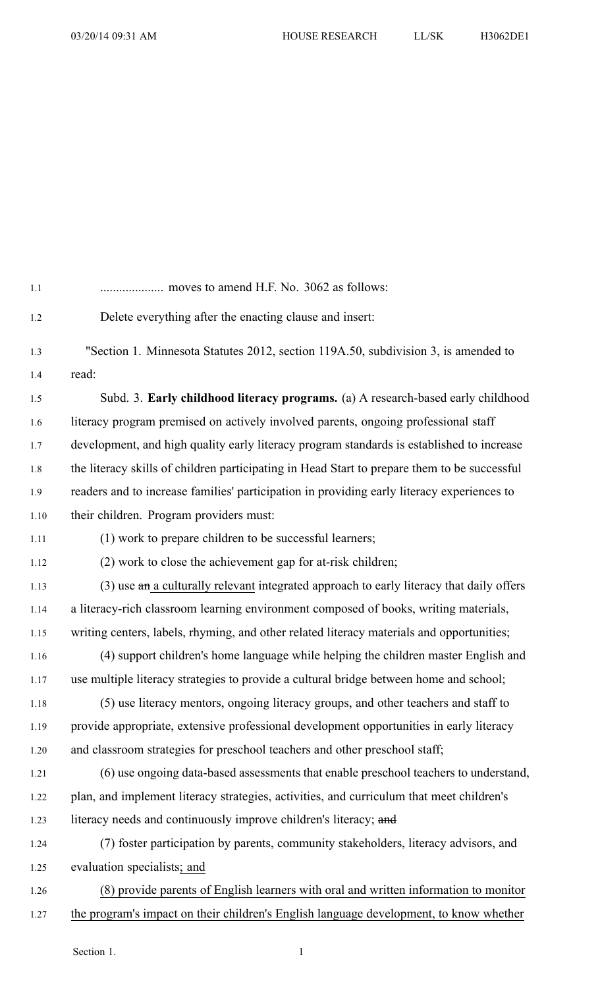| 1.1     |                                                                                              |
|---------|----------------------------------------------------------------------------------------------|
| 1.2     | Delete everything after the enacting clause and insert:                                      |
| 1.3     | "Section 1. Minnesota Statutes 2012, section 119A.50, subdivision 3, is amended to           |
| 1.4     | read:                                                                                        |
| 1.5     | Subd. 3. Early childhood literacy programs. (a) A research-based early childhood             |
| 1.6     | literacy program premised on actively involved parents, ongoing professional staff           |
| $1.7\,$ | development, and high quality early literacy program standards is established to increase    |
| $1.8\,$ | the literacy skills of children participating in Head Start to prepare them to be successful |
| 1.9     | readers and to increase families' participation in providing early literacy experiences to   |
| 1.10    | their children. Program providers must:                                                      |
| 1.11    | (1) work to prepare children to be successful learners;                                      |
| 1.12    | (2) work to close the achievement gap for at-risk children;                                  |
| 1.13    | $(3)$ use an a culturally relevant integrated approach to early literacy that daily offers   |
| 1.14    | a literacy-rich classroom learning environment composed of books, writing materials,         |
| 1.15    | writing centers, labels, rhyming, and other related literacy materials and opportunities;    |
| 1.16    | (4) support children's home language while helping the children master English and           |
| 1.17    | use multiple literacy strategies to provide a cultural bridge between home and school;       |
| 1.18    | (5) use literacy mentors, ongoing literacy groups, and other teachers and staff to           |
| 1.19    | provide appropriate, extensive professional development opportunities in early literacy      |
| 1.20    | and classroom strategies for preschool teachers and other preschool staff;                   |
| 1.21    | (6) use ongoing data-based assessments that enable preschool teachers to understand,         |
| 1.22    | plan, and implement literacy strategies, activities, and curriculum that meet children's     |
| 1.23    | literacy needs and continuously improve children's literacy; and                             |
| 1.24    | (7) foster participation by parents, community stakeholders, literacy advisors, and          |
| 1.25    | evaluation specialists; and                                                                  |
| 1.26    | (8) provide parents of English learners with oral and written information to monitor         |
| 1.27    | the program's impact on their children's English language development, to know whether       |
|         |                                                                                              |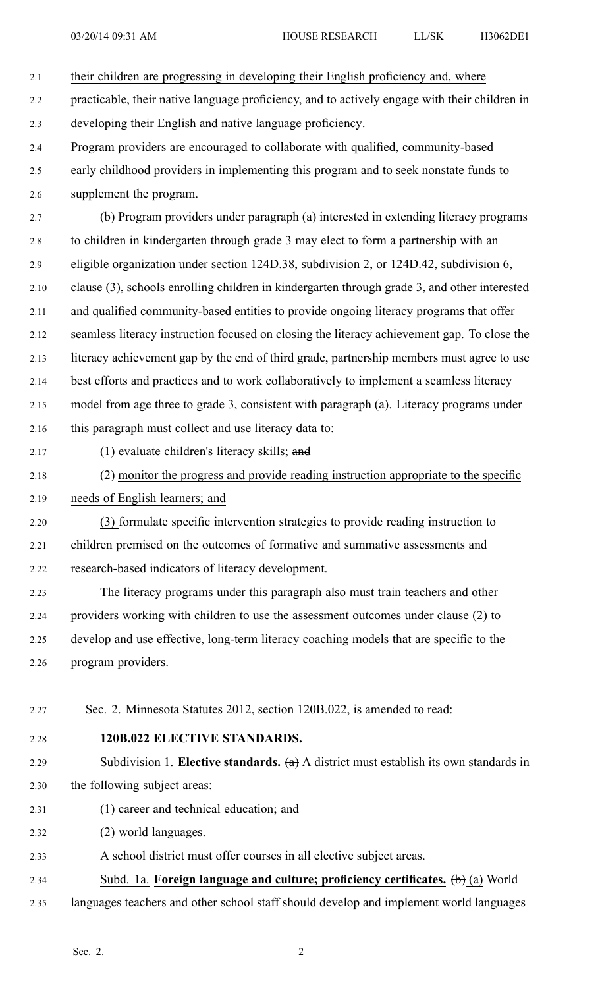| 2.1  | their children are progressing in developing their English proficiency and, where                     |
|------|-------------------------------------------------------------------------------------------------------|
| 2.2  | practicable, their native language proficiency, and to actively engage with their children in         |
| 2.3  | developing their English and native language proficiency.                                             |
| 2.4  | Program providers are encouraged to collaborate with qualified, community-based                       |
| 2.5  | early childhood providers in implementing this program and to seek nonstate funds to                  |
| 2.6  | supplement the program.                                                                               |
| 2.7  | (b) Program providers under paragraph (a) interested in extending literacy programs                   |
| 2.8  | to children in kindergarten through grade 3 may elect to form a partnership with an                   |
| 2.9  | eligible organization under section 124D.38, subdivision 2, or 124D.42, subdivision 6,                |
| 2.10 | clause (3), schools enrolling children in kindergarten through grade 3, and other interested          |
| 2.11 | and qualified community-based entities to provide ongoing literacy programs that offer                |
| 2.12 | seamless literacy instruction focused on closing the literacy achievement gap. To close the           |
| 2.13 | literacy achievement gap by the end of third grade, partnership members must agree to use             |
| 2.14 | best efforts and practices and to work collaboratively to implement a seamless literacy               |
| 2.15 | model from age three to grade 3, consistent with paragraph (a). Literacy programs under               |
| 2.16 | this paragraph must collect and use literacy data to:                                                 |
| 2.17 | $(1)$ evaluate children's literacy skills; and                                                        |
| 2.18 | (2) monitor the progress and provide reading instruction appropriate to the specific                  |
| 2.19 | needs of English learners; and                                                                        |
| 2.20 | (3) formulate specific intervention strategies to provide reading instruction to                      |
| 2.21 | children premised on the outcomes of formative and summative assessments and                          |
| 2.22 | research-based indicators of literacy development.                                                    |
| 2.23 | The literacy programs under this paragraph also must train teachers and other                         |
| 2.24 | providers working with children to use the assessment outcomes under clause (2) to                    |
| 2.25 | develop and use effective, long-term literacy coaching models that are specific to the                |
| 2.26 | program providers.                                                                                    |
|      |                                                                                                       |
| 2.27 | Sec. 2. Minnesota Statutes 2012, section 120B.022, is amended to read:                                |
| 2.28 | 120B.022 ELECTIVE STANDARDS.                                                                          |
| 2.29 | Subdivision 1. Elective standards. $(a)$ A district must establish its own standards in               |
| 2.30 | the following subject areas:                                                                          |
| 2.31 | (1) career and technical education; and                                                               |
| 2.32 | (2) world languages.                                                                                  |
| 2.33 | A school district must offer courses in all elective subject areas.                                   |
| 2.34 | Subd. 1a. Foreign language and culture; proficiency certificates. $\left(\mathbf{b}\right)$ (a) World |
| 2.35 | languages teachers and other school staff should develop and implement world languages                |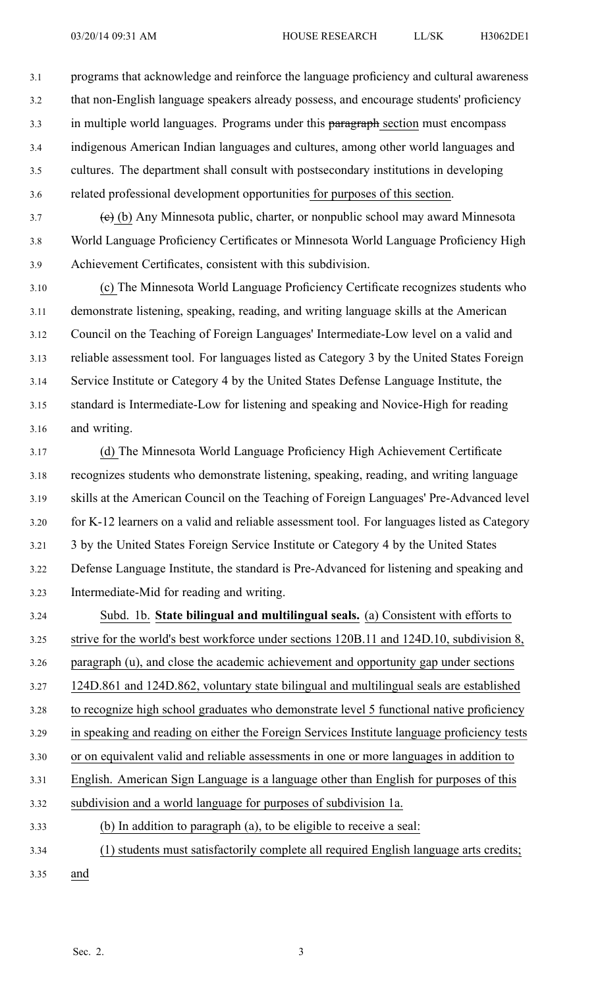3.1 programs that acknowledge and reinforce the language proficiency and cultural awareness 3.2 that non-English language speakers already possess, and encourage students' proficiency 3.3 in multiple world languages. Programs under this paragraph section must encompass 3.4 indigenous American Indian languages and cultures, among other world languages and 3.5 cultures. The department shall consult with postsecondary institutions in developing

 $3.7$  (e) (b) Any Minnesota public, charter, or nonpublic school may award Minnesota 3.8 World Language Proficiency Certificates or Minnesota World Language Proficiency High 3.9 Achievement Certificates, consistent with this subdivision.

3.6 related professional development opportunities for purposes of this section.

3.10 (c) The Minnesota World Language Proficiency Certificate recognizes students who 3.11 demonstrate listening, speaking, reading, and writing language skills at the American 3.12 Council on the Teaching of Foreign Languages' Intermediate-Low level on <sup>a</sup> valid and 3.13 reliable assessment tool. For languages listed as Category 3 by the United States Foreign 3.14 Service Institute or Category 4 by the United States Defense Language Institute, the 3.15 standard is Intermediate-Low for listening and speaking and Novice-High for reading 3.16 and writing.

3.17 (d) The Minnesota World Language Proficiency High Achievement Certificate 3.18 recognizes students who demonstrate listening, speaking, reading, and writing language 3.19 skills at the American Council on the Teaching of Foreign Languages' Pre-Advanced level 3.20 for K-12 learners on <sup>a</sup> valid and reliable assessment tool. For languages listed as Category 3.21 3 by the United States Foreign Service Institute or Category 4 by the United States 3.22 Defense Language Institute, the standard is Pre-Advanced for listening and speaking and 3.23 Intermediate-Mid for reading and writing.

3.24 Subd. 1b. **State bilingual and multilingual seals.** (a) Consistent with efforts to 3.25 strive for the world's best workforce under sections 120B.11 and 124D.10, subdivision 8, 3.26 paragraph (u), and close the academic achievement and opportunity gap under sections 3.27 124D.861 and 124D.862, voluntary state bilingual and multilingual seals are established 3.28 to recognize high school graduates who demonstrate level 5 functional native proficiency 3.29 in speaking and reading on either the Foreign Services Institute language proficiency tests 3.30 or on equivalent valid and reliable assessments in one or more languages in addition to 3.31 English. American Sign Language is <sup>a</sup> language other than English for purposes of this 3.32 subdivision and <sup>a</sup> world language for purposes of subdivision 1a. 3.33 (b) In addition to paragraph (a), to be eligible to receive <sup>a</sup> seal:

- 3.34 (1) students must satisfactorily complete all required English language arts credits;
- 3.35 and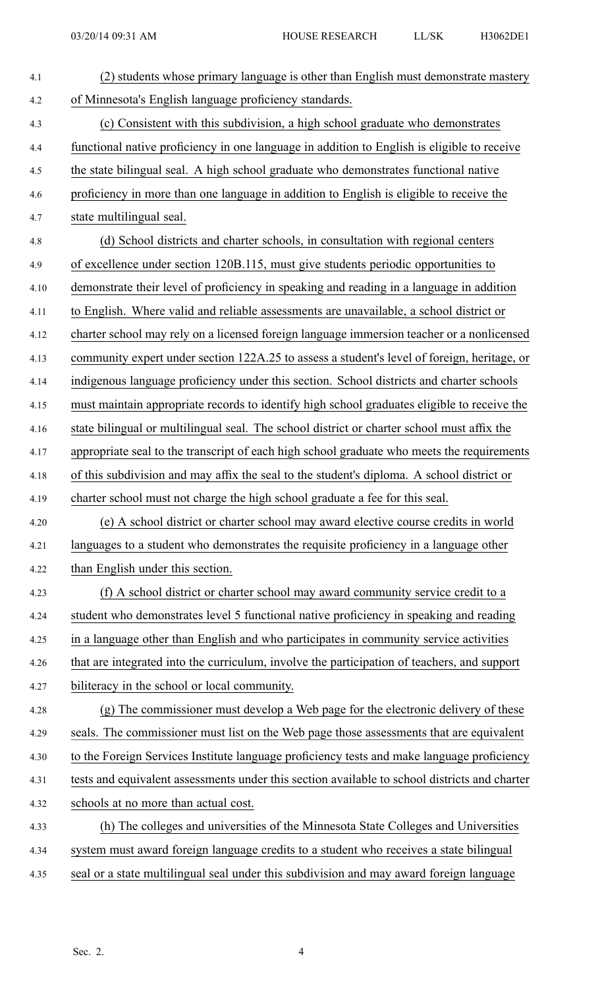| 4.1  | (2) students whose primary language is other than English must demonstrate mastery            |
|------|-----------------------------------------------------------------------------------------------|
| 4.2  | of Minnesota's English language proficiency standards.                                        |
| 4.3  | (c) Consistent with this subdivision, a high school graduate who demonstrates                 |
| 4.4  | functional native proficiency in one language in addition to English is eligible to receive   |
| 4.5  | the state bilingual seal. A high school graduate who demonstrates functional native           |
| 4.6  | proficiency in more than one language in addition to English is eligible to receive the       |
| 4.7  | state multilingual seal.                                                                      |
| 4.8  | (d) School districts and charter schools, in consultation with regional centers               |
| 4.9  | of excellence under section 120B.115, must give students periodic opportunities to            |
| 4.10 | demonstrate their level of proficiency in speaking and reading in a language in addition      |
| 4.11 | to English. Where valid and reliable assessments are unavailable, a school district or        |
| 4.12 | charter school may rely on a licensed foreign language immersion teacher or a nonlicensed     |
| 4.13 | community expert under section 122A.25 to assess a student's level of foreign, heritage, or   |
| 4.14 | indigenous language proficiency under this section. School districts and charter schools      |
| 4.15 | must maintain appropriate records to identify high school graduates eligible to receive the   |
| 4.16 | state bilingual or multilingual seal. The school district or charter school must affix the    |
| 4.17 | appropriate seal to the transcript of each high school graduate who meets the requirements    |
| 4.18 | of this subdivision and may affix the seal to the student's diploma. A school district or     |
| 4.19 | charter school must not charge the high school graduate a fee for this seal.                  |
| 4.20 | (e) A school district or charter school may award elective course credits in world            |
| 4.21 | languages to a student who demonstrates the requisite proficiency in a language other         |
| 4.22 | than English under this section.                                                              |
| 4.23 | (f) A school district or charter school may award community service credit to a               |
| 4.24 | student who demonstrates level 5 functional native proficiency in speaking and reading        |
| 4.25 | in a language other than English and who participates in community service activities         |
| 4.26 | that are integrated into the curriculum, involve the participation of teachers, and support   |
| 4.27 | biliteracy in the school or local community.                                                  |
| 4.28 | (g) The commissioner must develop a Web page for the electronic delivery of these             |
| 4.29 | seals. The commissioner must list on the Web page those assessments that are equivalent       |
| 4.30 | to the Foreign Services Institute language proficiency tests and make language proficiency    |
| 4.31 | tests and equivalent assessments under this section available to school districts and charter |
| 4.32 | schools at no more than actual cost.                                                          |
| 4.33 | (h) The colleges and universities of the Minnesota State Colleges and Universities            |
| 4.34 | system must award foreign language credits to a student who receives a state bilingual        |
| 4.35 | seal or a state multilingual seal under this subdivision and may award foreign language       |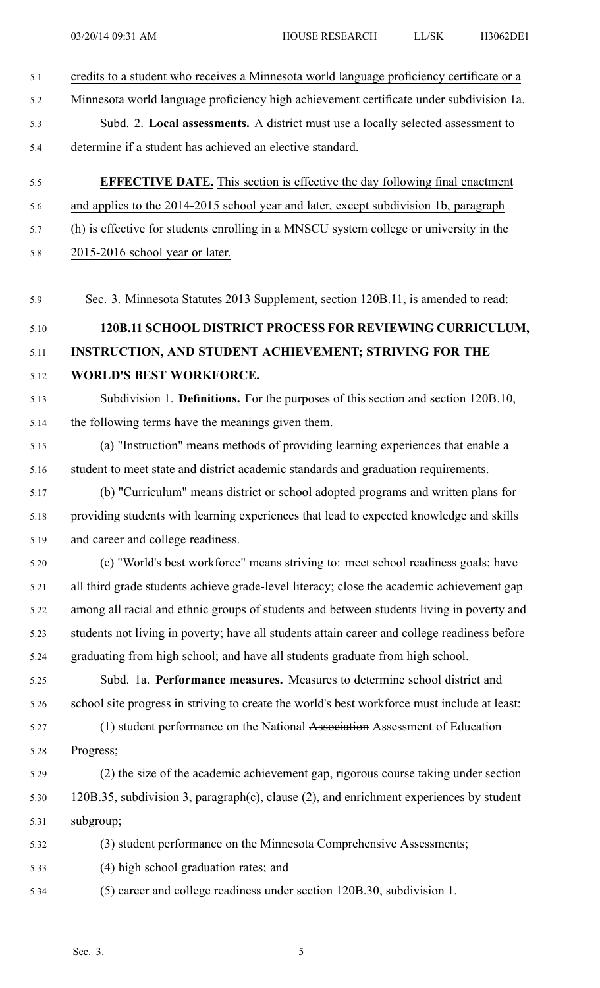5.1 credits to <sup>a</sup> student who receives <sup>a</sup> Minnesota world language proficiency certificate or <sup>a</sup> 5.2 Minnesota world language proficiency high achievement certificate under subdivision 1a. 5.3 Subd. 2. **Local assessments.** A district must use <sup>a</sup> locally selected assessment to 5.4 determine if <sup>a</sup> student has achieved an elective standard. 5.5 **EFFECTIVE DATE.** This section is effective the day following final enactment 5.6 and applies to the 2014-2015 school year and later, excep<sup>t</sup> subdivision 1b, paragraph 5.7 (h) is effective for students enrolling in <sup>a</sup> MNSCU system college or university in the 5.8 2015-2016 school year or later. 5.9 Sec. 3. Minnesota Statutes 2013 Supplement, section 120B.11, is amended to read: 5.10 **120B.11 SCHOOL DISTRICT PROCESS FOR REVIEWING CURRICULUM,** 5.11 **INSTRUCTION, AND STUDENT ACHIEVEMENT; STRIVING FOR THE** 5.12 **WORLD'S BEST WORKFORCE.** 5.13 Subdivision 1. **Definitions.** For the purposes of this section and section 120B.10, 5.14 the following terms have the meanings given them. 5.15 (a) "Instruction" means methods of providing learning experiences that enable <sup>a</sup> 5.16 student to meet state and district academic standards and graduation requirements. 5.17 (b) "Curriculum" means district or school adopted programs and written plans for 5.18 providing students with learning experiences that lead to expected knowledge and skills 5.19 and career and college readiness. 5.20 (c) "World's best workforce" means striving to: meet school readiness goals; have 5.21 all third grade students achieve grade-level literacy; close the academic achievement gap 5.22 among all racial and ethnic groups of students and between students living in poverty and 5.23 students not living in poverty; have all students attain career and college readiness before 5.24 graduating from high school; and have all students graduate from high school. 5.25 Subd. 1a. **Performance measures.** Measures to determine school district and 5.26 school site progress in striving to create the world's best workforce must include at least: 5.27 (1) student performance on the National Association Assessment of Education 5.28 Progress; 5.29 (2) the size of the academic achievement gap, rigorous course taking under section 5.30 120B.35, subdivision 3, paragraph(c), clause (2), and enrichment experiences by student 5.31 subgroup; 5.32 (3) student performance on the Minnesota Comprehensive Assessments; 5.33 (4) high school graduation rates; and 5.34 (5) career and college readiness under section 120B.30, subdivision 1.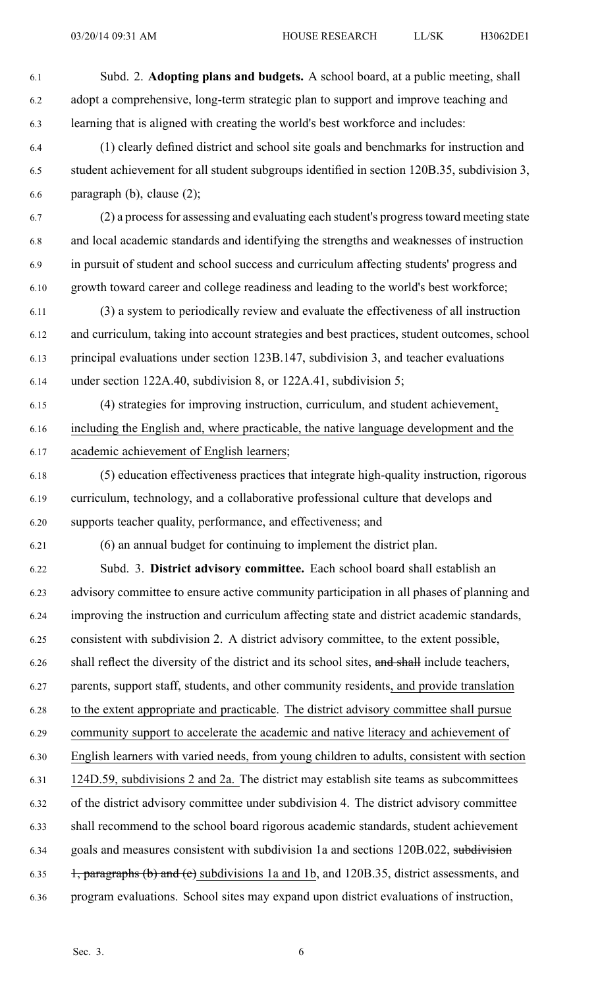| 6.1  | Subd. 2. Adopting plans and budgets. A school board, at a public meeting, shall               |
|------|-----------------------------------------------------------------------------------------------|
| 6.2  | adopt a comprehensive, long-term strategic plan to support and improve teaching and           |
| 6.3  | learning that is aligned with creating the world's best workforce and includes:               |
| 6.4  | (1) clearly defined district and school site goals and benchmarks for instruction and         |
| 6.5  | student achievement for all student subgroups identified in section 120B.35, subdivision 3,   |
| 6.6  | paragraph $(b)$ , clause $(2)$ ;                                                              |
| 6.7  | (2) a process for assessing and evaluating each student's progress toward meeting state       |
| 6.8  | and local academic standards and identifying the strengths and weaknesses of instruction      |
| 6.9  | in pursuit of student and school success and curriculum affecting students' progress and      |
| 6.10 | growth toward career and college readiness and leading to the world's best workforce;         |
| 6.11 | (3) a system to periodically review and evaluate the effectiveness of all instruction         |
| 6.12 | and curriculum, taking into account strategies and best practices, student outcomes, school   |
| 6.13 | principal evaluations under section 123B.147, subdivision 3, and teacher evaluations          |
| 6.14 | under section 122A.40, subdivision 8, or 122A.41, subdivision 5;                              |
| 6.15 | (4) strategies for improving instruction, curriculum, and student achievement,                |
| 6.16 | including the English and, where practicable, the native language development and the         |
| 6.17 | academic achievement of English learners;                                                     |
| 6.18 | (5) education effectiveness practices that integrate high-quality instruction, rigorous       |
| 6.19 | curriculum, technology, and a collaborative professional culture that develops and            |
| 6.20 | supports teacher quality, performance, and effectiveness; and                                 |
| 6.21 | (6) an annual budget for continuing to implement the district plan.                           |
| 6.22 | Subd. 3. District advisory committee. Each school board shall establish an                    |
| 6.23 | advisory committee to ensure active community participation in all phases of planning and     |
| 6.24 | improving the instruction and curriculum affecting state and district academic standards,     |
| 6.25 | consistent with subdivision 2. A district advisory committee, to the extent possible,         |
| 6.26 | shall reflect the diversity of the district and its school sites, and shall include teachers, |
| 6.27 | parents, support staff, students, and other community residents, and provide translation      |
| 6.28 | to the extent appropriate and practicable. The district advisory committee shall pursue       |
| 6.29 | community support to accelerate the academic and native literacy and achievement of           |
| 6.30 | English learners with varied needs, from young children to adults, consistent with section    |
| 6.31 | 124D.59, subdivisions 2 and 2a. The district may establish site teams as subcommittees        |
| 6.32 | of the district advisory committee under subdivision 4. The district advisory committee       |
| 6.33 | shall recommend to the school board rigorous academic standards, student achievement          |
| 6.34 | goals and measures consistent with subdivision 1a and sections 120B.022, subdivision          |
| 6.35 | 1, paragraphs (b) and (c) subdivisions 1a and 1b, and 120B.35, district assessments, and      |
| 6.36 | program evaluations. School sites may expand upon district evaluations of instruction,        |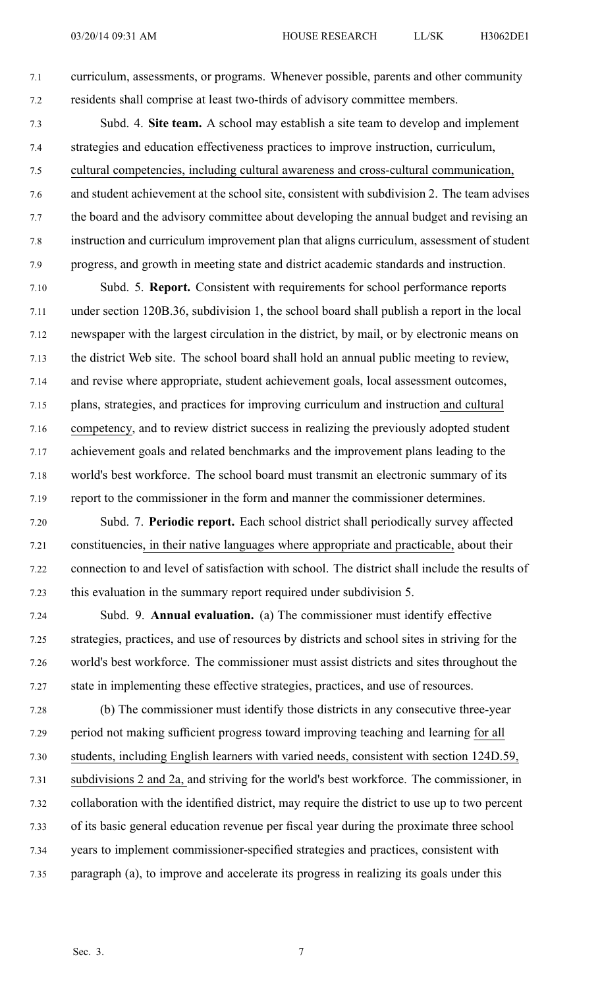7.1 curriculum, assessments, or programs. Whenever possible, parents and other community 7.2 residents shall comprise at least two-thirds of advisory committee members.

- 7.3 Subd. 4. **Site team.** A school may establish <sup>a</sup> site team to develop and implement 7.4 strategies and education effectiveness practices to improve instruction, curriculum, 7.5 cultural competencies, including cultural awareness and cross-cultural communication, 7.6 and student achievement at the school site, consistent with subdivision 2. The team advises 7.7 the board and the advisory committee about developing the annual budget and revising an 7.8 instruction and curriculum improvement plan that aligns curriculum, assessment of student 7.9 progress, and growth in meeting state and district academic standards and instruction.
- 7.10 Subd. 5. **Report.** Consistent with requirements for school performance reports 7.11 under section 120B.36, subdivision 1, the school board shall publish <sup>a</sup> repor<sup>t</sup> in the local 7.12 newspaper with the largest circulation in the district, by mail, or by electronic means on 7.13 the district Web site. The school board shall hold an annual public meeting to review, 7.14 and revise where appropriate, student achievement goals, local assessment outcomes, 7.15 plans, strategies, and practices for improving curriculum and instruction and cultural 7.16 competency, and to review district success in realizing the previously adopted student 7.17 achievement goals and related benchmarks and the improvement plans leading to the 7.18 world's best workforce. The school board must transmit an electronic summary of its 7.19 repor<sup>t</sup> to the commissioner in the form and manner the commissioner determines.
- 7.20 Subd. 7. **Periodic report.** Each school district shall periodically survey affected 7.21 constituencies, in their native languages where appropriate and practicable, about their 7.22 connection to and level of satisfaction with school. The district shall include the results of 7.23 this evaluation in the summary repor<sup>t</sup> required under subdivision 5.
- 7.24 Subd. 9. **Annual evaluation.** (a) The commissioner must identify effective 7.25 strategies, practices, and use of resources by districts and school sites in striving for the 7.26 world's best workforce. The commissioner must assist districts and sites throughout the 7.27 state in implementing these effective strategies, practices, and use of resources.
- 7.28 (b) The commissioner must identify those districts in any consecutive three-year 7.29 period not making sufficient progress toward improving teaching and learning for all 7.30 students, including English learners with varied needs, consistent with section 124D.59, 7.31 subdivisions 2 and 2a, and striving for the world's best workforce. The commissioner, in 7.32 collaboration with the identified district, may require the district to use up to two percen<sup>t</sup> 7.33 of its basic general education revenue per fiscal year during the proximate three school 7.34 years to implement commissioner-specified strategies and practices, consistent with 7.35 paragraph (a), to improve and accelerate its progress in realizing its goals under this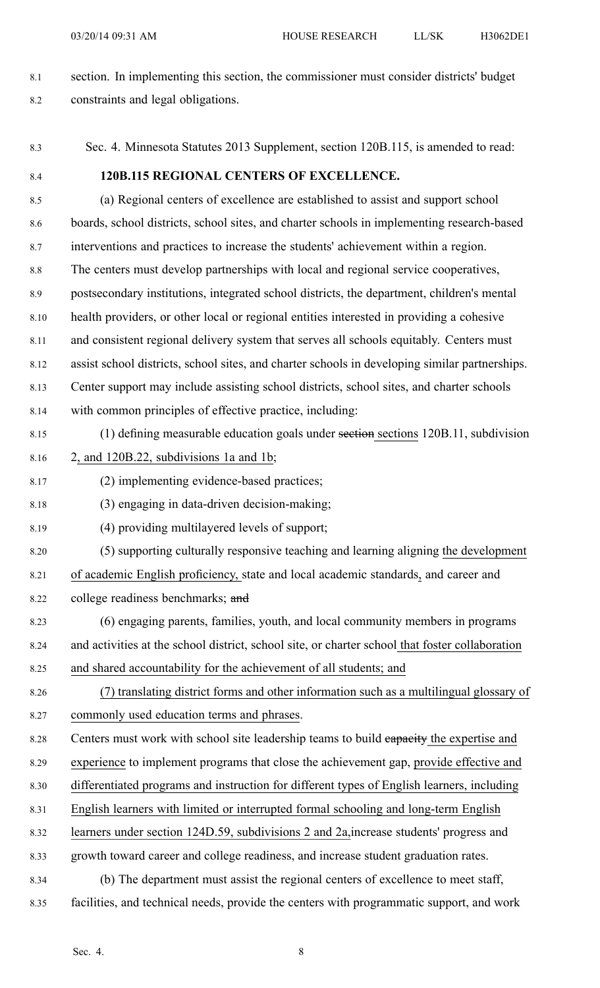- 8.1 section. In implementing this section, the commissioner must consider districts' budget 8.2 constraints and legal obligations.
- 8.3 Sec. 4. Minnesota Statutes 2013 Supplement, section 120B.115, is amended to read: 8.4 **120B.115 REGIONAL CENTERS OF EXCELLENCE.**
- 8.5 (a) Regional centers of excellence are established to assist and suppor<sup>t</sup> school 8.6 boards, school districts, school sites, and charter schools in implementing research-based 8.7 interventions and practices to increase the students' achievement within <sup>a</sup> region. 8.8 The centers must develop partnerships with local and regional service cooperatives, 8.9 postsecondary institutions, integrated school districts, the department, children's mental 8.10 health providers, or other local or regional entities interested in providing <sup>a</sup> cohesive 8.11 and consistent regional delivery system that serves all schools equitably. Centers must 8.12 assist school districts, school sites, and charter schools in developing similar partnerships. 8.13 Center suppor<sup>t</sup> may include assisting school districts, school sites, and charter schools 8.14 with common principles of effective practice, including: 8.15 (1) defining measurable education goals under section sections 120B.11, subdivision 8.16 2, and 120B.22, subdivisions 1a and 1b; 8.17 (2) implementing evidence-based practices; 8.18 (3) engaging in data-driven decision-making; 8.19 (4) providing multilayered levels of support; 8.20 (5) supporting culturally responsive teaching and learning aligning the development 8.21 of academic English proficiency, state and local academic standards, and career and 8.22 college readiness benchmarks; and 8.23 (6) engaging parents, families, youth, and local community members in programs 8.24 and activities at the school district, school site, or charter school that foster collaboration 8.25 and shared accountability for the achievement of all students; and 8.26 (7) translating district forms and other information such as <sup>a</sup> multilingual glossary of 8.27 commonly used education terms and phrases. 8.28 Centers must work with school site leadership teams to build eapacity the expertise and 8.29 experience to implement programs that close the achievement gap, provide effective and 8.30 differentiated programs and instruction for different types of English learners, including 8.31 English learners with limited or interrupted formal schooling and long-term English 8.32 learners under section 124D.59, subdivisions 2 and 2a,increase students' progress and
- 8.33 growth toward career and college readiness, and increase student graduation rates.
- 8.34 (b) The department must assist the regional centers of excellence to meet staff,
- 8.35 facilities, and technical needs, provide the centers with programmatic support, and work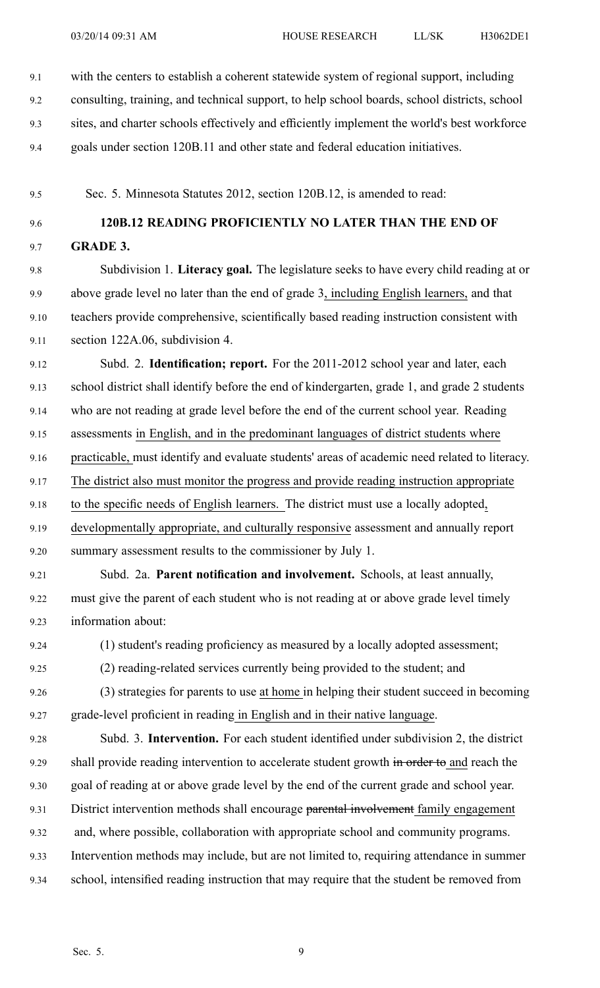9.1 with the centers to establish <sup>a</sup> coherent statewide system of regional support, including

9.2 consulting, training, and technical support, to help school boards, school districts, school

9.3 sites, and charter schools effectively and efficiently implement the world's best workforce

9.4 goals under section 120B.11 and other state and federal education initiatives.

9.5 Sec. 5. Minnesota Statutes 2012, section 120B.12, is amended to read:

9.6 **120B.12 READING PROFICIENTLY NO LATER THAN THE END OF** 9.7 **GRADE 3.**

9.8 Subdivision 1. **Literacy goal.** The legislature seeks to have every child reading at or 9.9 above grade level no later than the end of grade 3, including English learners, and that 9.10 teachers provide comprehensive, scientifically based reading instruction consistent with 9.11 section 122A.06, subdivision 4.

9.12 Subd. 2. **Identification; report.** For the 2011-2012 school year and later, each 9.13 school district shall identify before the end of kindergarten, grade 1, and grade 2 students 9.14 who are not reading at grade level before the end of the current school year. Reading 9.15 assessments in English, and in the predominant languages of district students where 9.16 practicable, must identify and evaluate students' areas of academic need related to literacy.

9.17 The district also must monitor the progress and provide reading instruction appropriate

9.18 to the specific needs of English learners. The district must use <sup>a</sup> locally adopted,

9.19 developmentally appropriate, and culturally responsive assessment and annually repor<sup>t</sup> 9.20 summary assessment results to the commissioner by July 1.

9.21 Subd. 2a. **Parent notification and involvement.** Schools, at least annually, 9.22 must give the paren<sup>t</sup> of each student who is not reading at or above grade level timely 9.23 information about:

9.24 (1) student's reading proficiency as measured by <sup>a</sup> locally adopted assessment;

9.25 (2) reading-related services currently being provided to the student; and

9.26 (3) strategies for parents to use at home in helping their student succeed in becoming 9.27 grade-level proficient in reading in English and in their native language.

9.28 Subd. 3. **Intervention.** For each student identified under subdivision 2, the district 9.29 shall provide reading intervention to accelerate student growth in order to and reach the 9.30 goal of reading at or above grade level by the end of the current grade and school year. 9.31 District intervention methods shall encourage parental involvement family engagement

9.32 and, where possible, collaboration with appropriate school and community programs.

9.33 Intervention methods may include, but are not limited to, requiring attendance in summer

9.34 school, intensified reading instruction that may require that the student be removed from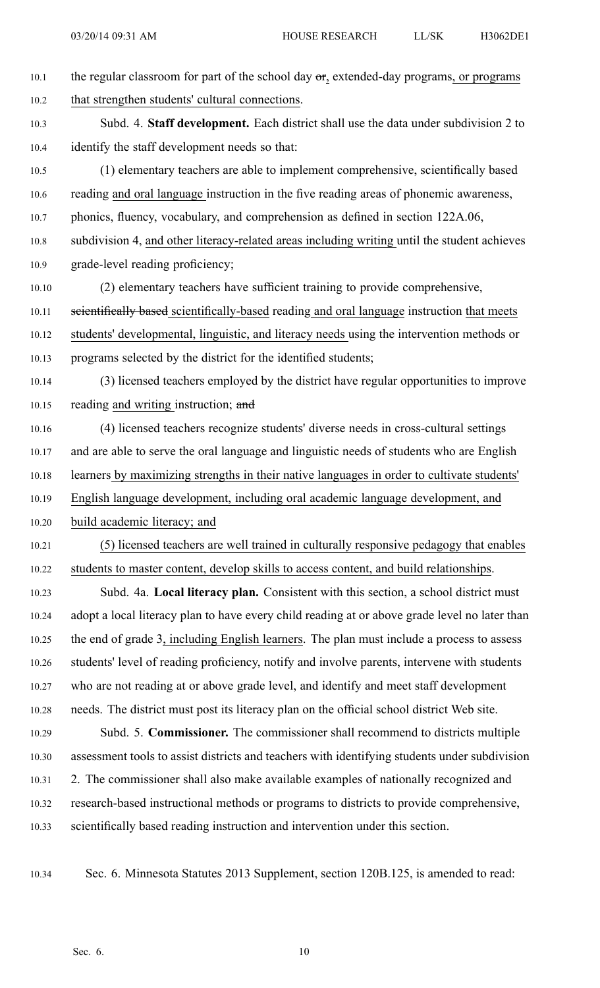- 10.1 the regular classroom for part of the school day  $\sigma_{12}$  extended-day programs, or programs 10.2 that strengthen students' cultural connections. 10.3 Subd. 4. **Staff development.** Each district shall use the data under subdivision 2 to 10.4 identify the staff development needs so that: 10.5 (1) elementary teachers are able to implement comprehensive, scientifically based 10.6 reading and oral language instruction in the five reading areas of phonemic awareness, 10.7 phonics, fluency, vocabulary, and comprehension as defined in section 122A.06, 10.8 subdivision 4, and other literacy-related areas including writing until the student achieves 10.9 grade-level reading proficiency; 10.10 (2) elementary teachers have sufficient training to provide comprehensive, 10.11 seientifically based scientifically-based reading and oral language instruction that meets 10.12 students' developmental, linguistic, and literacy needs using the intervention methods or 10.13 programs selected by the district for the identified students; 10.14 (3) licensed teachers employed by the district have regular opportunities to improve 10.15 reading and writing instruction; and 10.16 (4) licensed teachers recognize students' diverse needs in cross-cultural settings 10.17 and are able to serve the oral language and linguistic needs of students who are English 10.18 learners by maximizing strengths in their native languages in order to cultivate students' 10.19 English language development, including oral academic language development, and 10.20 build academic literacy; and 10.21 (5) licensed teachers are well trained in culturally responsive pedagogy that enables 10.22 students to master content, develop skills to access content, and build relationships. 10.23 Subd. 4a. **Local literacy plan.** Consistent with this section, <sup>a</sup> school district must 10.24 adopt <sup>a</sup> local literacy plan to have every child reading at or above grade level no later than 10.25 the end of grade 3, including English learners. The plan must include <sup>a</sup> process to assess 10.26 students' level of reading proficiency, notify and involve parents, intervene with students 10.27 who are not reading at or above grade level, and identify and meet staff development 10.28 needs. The district must pos<sup>t</sup> its literacy plan on the official school district Web site. 10.29 Subd. 5. **Commissioner.** The commissioner shall recommend to districts multiple 10.30 assessment tools to assist districts and teachers with identifying students under subdivision 10.31 2. The commissioner shall also make available examples of nationally recognized and 10.32 research-based instructional methods or programs to districts to provide comprehensive, 10.33 scientifically based reading instruction and intervention under this section.
	-

10.34 Sec. 6. Minnesota Statutes 2013 Supplement, section 120B.125, is amended to read: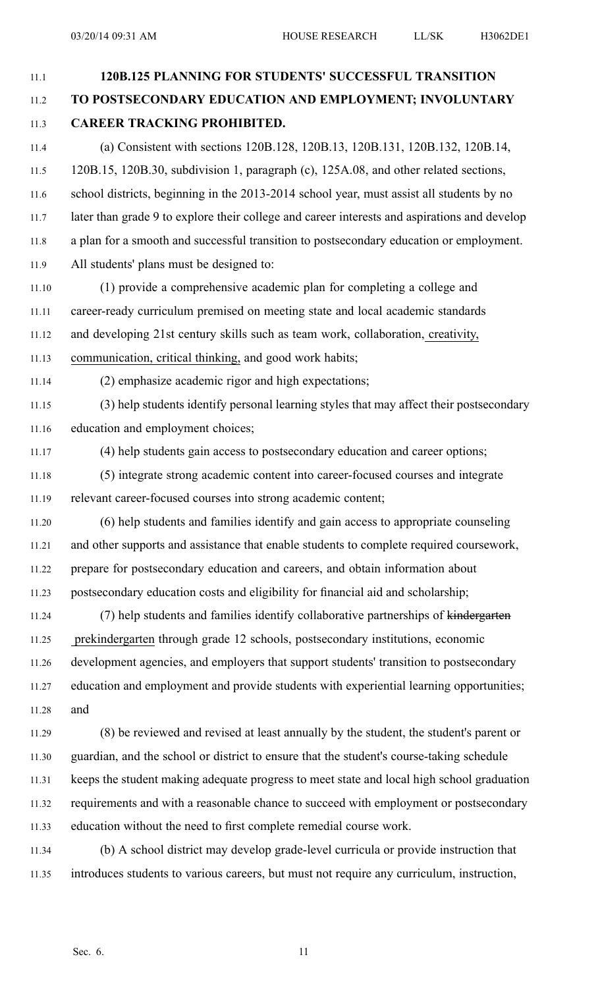11.1 **120B.125 PLANNING FOR STUDENTS' SUCCESSFUL TRANSITION** 11.2 **TO POSTSECONDARY EDUCATION AND EMPLOYMENT; INVOLUNTARY** 11.3 **CAREER TRACKING PROHIBITED.** 11.4 (a) Consistent with sections 120B.128, 120B.13, 120B.131, 120B.132, 120B.14, 11.5 120B.15, 120B.30, subdivision 1, paragraph (c), 125A.08, and other related sections, 11.6 school districts, beginning in the 2013-2014 school year, must assist all students by no 11.7 later than grade 9 to explore their college and career interests and aspirations and develop 11.8 <sup>a</sup> plan for <sup>a</sup> smooth and successful transition to postsecondary education or employment. 11.9 All students' plans must be designed to: 11.10 (1) provide <sup>a</sup> comprehensive academic plan for completing <sup>a</sup> college and 11.11 career-ready curriculum premised on meeting state and local academic standards 11.12 and developing 21st century skills such as team work, collaboration, creativity, 11.13 communication, critical thinking, and good work habits; 11.14 (2) emphasize academic rigor and high expectations; 11.15 (3) help students identify personal learning styles that may affect their postsecondary 11.16 education and employment choices; 11.17 (4) help students gain access to postsecondary education and career options; 11.18 (5) integrate strong academic content into career-focused courses and integrate 11.19 relevant career-focused courses into strong academic content; 11.20 (6) help students and families identify and gain access to appropriate counseling 11.21 and other supports and assistance that enable students to complete required coursework, 11.22 prepare for postsecondary education and careers, and obtain information about 11.23 postsecondary education costs and eligibility for financial aid and scholarship; 11.24 (7) help students and families identify collaborative partnerships of kindergarten 11.25 prekindergarten through grade 12 schools, postsecondary institutions, economic 11.26 development agencies, and employers that suppor<sup>t</sup> students' transition to postsecondary 11.27 education and employment and provide students with experiential learning opportunities; 11.28 and 11.29 (8) be reviewed and revised at least annually by the student, the student's paren<sup>t</sup> or 11.30 guardian, and the school or district to ensure that the student's course-taking schedule 11.31 keeps the student making adequate progress to meet state and local high school graduation 11.32 requirements and with <sup>a</sup> reasonable chance to succeed with employment or postsecondary 11.33 education without the need to first complete remedial course work. 11.34 (b) A school district may develop grade-level curricula or provide instruction that 11.35 introduces students to various careers, but must not require any curriculum, instruction,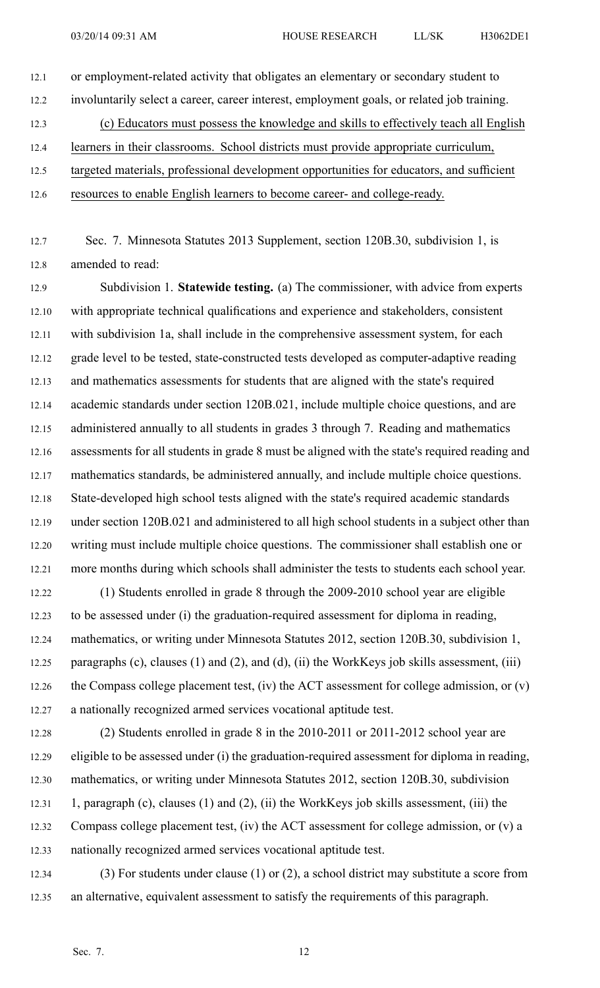12.1 or employment-related activity that obligates an elementary or secondary student to 12.2 involuntarily select <sup>a</sup> career, career interest, employment goals, or related job training. 12.3 (c) Educators must possess the knowledge and skills to effectively teach all English 12.4 learners in their classrooms. School districts must provide appropriate curriculum, 12.5 targeted materials, professional development opportunities for educators, and sufficient 12.6 resources to enable English learners to become career- and college-ready.

12.7 Sec. 7. Minnesota Statutes 2013 Supplement, section 120B.30, subdivision 1, is 12.8 amended to read:

12.9 Subdivision 1. **Statewide testing.** (a) The commissioner, with advice from experts 12.10 with appropriate technical qualifications and experience and stakeholders, consistent 12.11 with subdivision 1a, shall include in the comprehensive assessment system, for each 12.12 grade level to be tested, state-constructed tests developed as computer-adaptive reading 12.13 and mathematics assessments for students that are aligned with the state's required 12.14 academic standards under section 120B.021, include multiple choice questions, and are 12.15 administered annually to all students in grades 3 through 7. Reading and mathematics 12.16 assessments for all students in grade 8 must be aligned with the state's required reading and 12.17 mathematics standards, be administered annually, and include multiple choice questions. 12.18 State-developed high school tests aligned with the state's required academic standards 12.19 under section 120B.021 and administered to all high school students in <sup>a</sup> subject other than 12.20 writing must include multiple choice questions. The commissioner shall establish one or 12.21 more months during which schools shall administer the tests to students each school year. 12.22 (1) Students enrolled in grade 8 through the 2009-2010 school year are eligible

12.23 to be assessed under (i) the graduation-required assessment for diploma in reading, 12.24 mathematics, or writing under Minnesota Statutes 2012, section 120B.30, subdivision 1, 12.25 paragraphs (c), clauses (1) and (2), and (d), (ii) the WorkKeys job skills assessment, (iii) 12.26 the Compass college placement test, (iv) the ACT assessment for college admission, or (v) 12.27 <sup>a</sup> nationally recognized armed services vocational aptitude test.

- 12.28 (2) Students enrolled in grade 8 in the 2010-2011 or 2011-2012 school year are 12.29 eligible to be assessed under (i) the graduation-required assessment for diploma in reading, 12.30 mathematics, or writing under Minnesota Statutes 2012, section 120B.30, subdivision 12.31 1, paragraph (c), clauses (1) and (2), (ii) the WorkKeys job skills assessment, (iii) the 12.32 Compass college placement test, (iv) the ACT assessment for college admission, or (v) <sup>a</sup> 12.33 nationally recognized armed services vocational aptitude test.
- 12.34 (3) For students under clause (1) or (2), <sup>a</sup> school district may substitute <sup>a</sup> score from 12.35 an alternative, equivalent assessment to satisfy the requirements of this paragraph.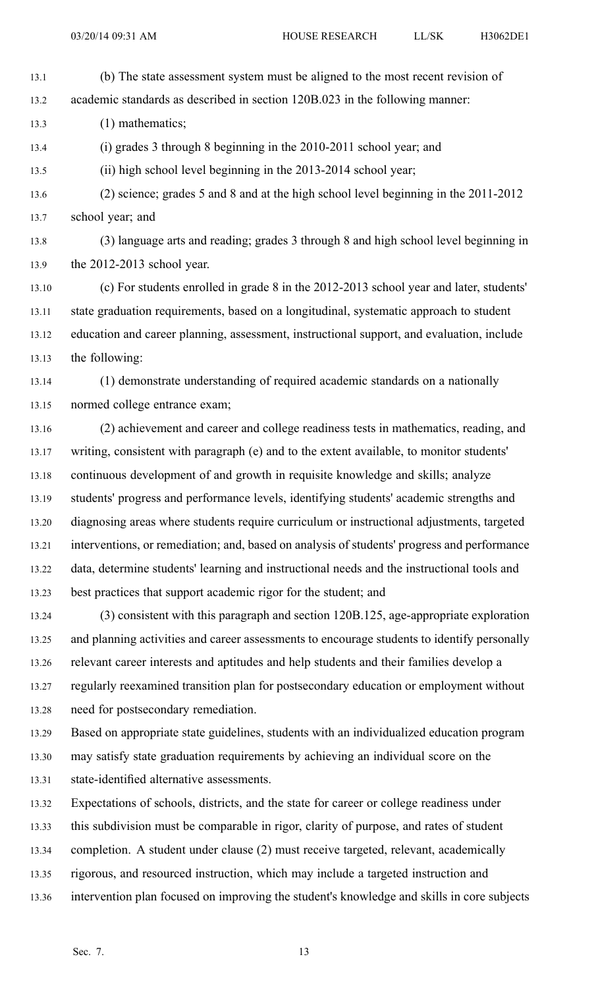13.1 (b) The state assessment system must be aligned to the most recent revision of

13.2 academic standards as described in section 120B.023 in the following manner:

13.3 (1) mathematics;

13.4 (i) grades 3 through 8 beginning in the 2010-2011 school year; and

13.5 (ii) high school level beginning in the 2013-2014 school year;

- 13.6 (2) science; grades 5 and 8 and at the high school level beginning in the 2011-2012 13.7 school year; and
- 13.8 (3) language arts and reading; grades 3 through 8 and high school level beginning in 13.9 the 2012-2013 school year.

13.10 (c) For students enrolled in grade 8 in the 2012-2013 school year and later, students' 13.11 state graduation requirements, based on <sup>a</sup> longitudinal, systematic approach to student 13.12 education and career planning, assessment, instructional support, and evaluation, include 13.13 the following:

- 13.14 (1) demonstrate understanding of required academic standards on <sup>a</sup> nationally 13.15 normed college entrance exam;
- 13.16 (2) achievement and career and college readiness tests in mathematics, reading, and 13.17 writing, consistent with paragraph (e) and to the extent available, to monitor students' 13.18 continuous development of and growth in requisite knowledge and skills; analyze 13.19 students' progress and performance levels, identifying students' academic strengths and 13.20 diagnosing areas where students require curriculum or instructional adjustments, targeted 13.21 interventions, or remediation; and, based on analysis of students' progress and performance 13.22 data, determine students' learning and instructional needs and the instructional tools and 13.23 best practices that suppor<sup>t</sup> academic rigor for the student; and
- 13.24 (3) consistent with this paragraph and section 120B.125, age-appropriate exploration 13.25 and planning activities and career assessments to encourage students to identify personally 13.26 relevant career interests and aptitudes and help students and their families develop <sup>a</sup> 13.27 regularly reexamined transition plan for postsecondary education or employment without 13.28 need for postsecondary remediation.

13.29 Based on appropriate state guidelines, students with an individualized education program

13.30 may satisfy state graduation requirements by achieving an individual score on the

13.31 state-identified alternative assessments.

13.32 Expectations of schools, districts, and the state for career or college readiness under

13.33 this subdivision must be comparable in rigor, clarity of purpose, and rates of student

- 13.34 completion. A student under clause (2) must receive targeted, relevant, academically
- 13.35 rigorous, and resourced instruction, which may include <sup>a</sup> targeted instruction and
- 13.36 intervention plan focused on improving the student's knowledge and skills in core subjects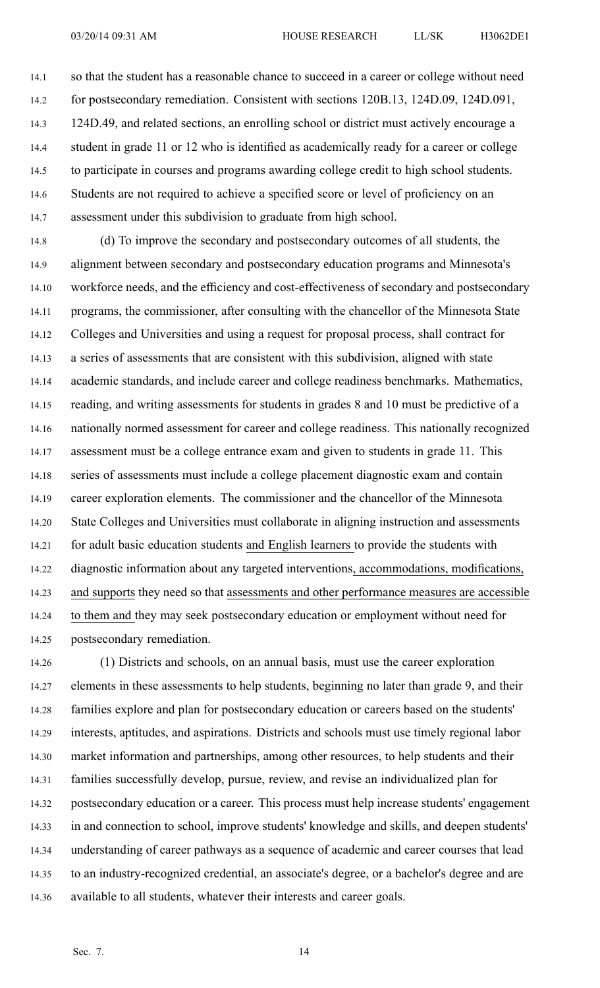14.1 so that the student has <sup>a</sup> reasonable chance to succeed in <sup>a</sup> career or college without need 14.2 for postsecondary remediation. Consistent with sections 120B.13, 124D.09, 124D.091, 14.3 124D.49, and related sections, an enrolling school or district must actively encourage <sup>a</sup> 14.4 student in grade 11 or 12 who is identified as academically ready for <sup>a</sup> career or college 14.5 to participate in courses and programs awarding college credit to high school students. 14.6 Students are not required to achieve <sup>a</sup> specified score or level of proficiency on an 14.7 assessment under this subdivision to graduate from high school.

14.8 (d) To improve the secondary and postsecondary outcomes of all students, the 14.9 alignment between secondary and postsecondary education programs and Minnesota's 14.10 workforce needs, and the efficiency and cost-effectiveness of secondary and postsecondary 14.11 programs, the commissioner, after consulting with the chancellor of the Minnesota State 14.12 Colleges and Universities and using <sup>a</sup> reques<sup>t</sup> for proposal process, shall contract for 14.13 <sup>a</sup> series of assessments that are consistent with this subdivision, aligned with state 14.14 academic standards, and include career and college readiness benchmarks. Mathematics, 14.15 reading, and writing assessments for students in grades 8 and 10 must be predictive of <sup>a</sup> 14.16 nationally normed assessment for career and college readiness. This nationally recognized 14.17 assessment must be <sup>a</sup> college entrance exam and given to students in grade 11. This 14.18 series of assessments must include <sup>a</sup> college placement diagnostic exam and contain 14.19 career exploration elements. The commissioner and the chancellor of the Minnesota 14.20 State Colleges and Universities must collaborate in aligning instruction and assessments 14.21 for adult basic education students and English learners to provide the students with 14.22 diagnostic information about any targeted interventions, accommodations, modifications, 14.23 and supports they need so that assessments and other performance measures are accessible 14.24 to them and they may seek postsecondary education or employment without need for 14.25 postsecondary remediation.

14.26 (1) Districts and schools, on an annual basis, must use the career exploration 14.27 elements in these assessments to help students, beginning no later than grade 9, and their 14.28 families explore and plan for postsecondary education or careers based on the students' 14.29 interests, aptitudes, and aspirations. Districts and schools must use timely regional labor 14.30 market information and partnerships, among other resources, to help students and their 14.31 families successfully develop, pursue, review, and revise an individualized plan for 14.32 postsecondary education or <sup>a</sup> career. This process must help increase students' engagemen<sup>t</sup> 14.33 in and connection to school, improve students' knowledge and skills, and deepen students' 14.34 understanding of career pathways as <sup>a</sup> sequence of academic and career courses that lead 14.35 to an industry-recognized credential, an associate's degree, or <sup>a</sup> bachelor's degree and are 14.36 available to all students, whatever their interests and career goals.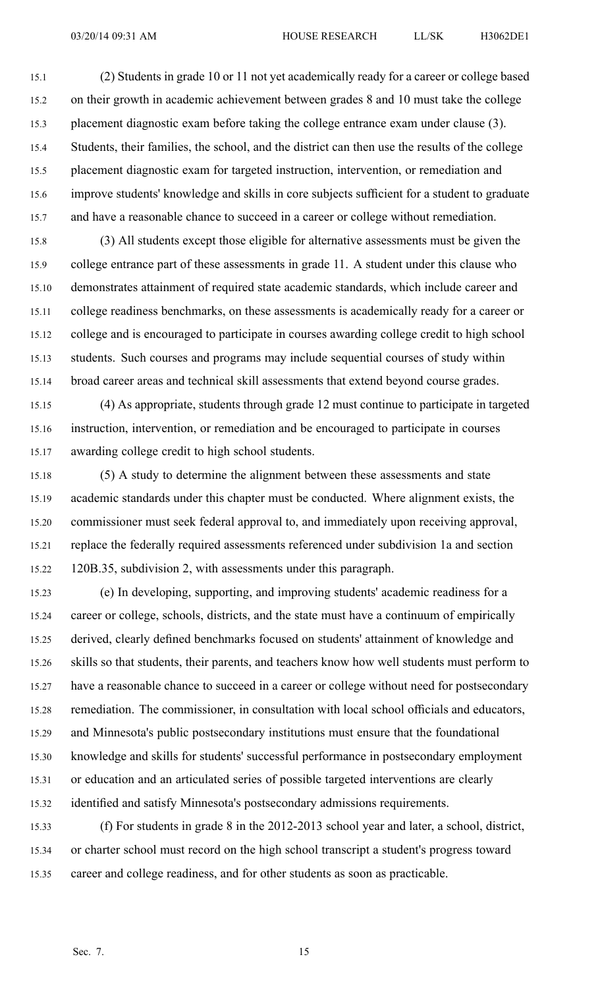15.1 (2) Students in grade 10 or 11 not ye<sup>t</sup> academically ready for <sup>a</sup> career or college based 15.2 on their growth in academic achievement between grades 8 and 10 must take the college 15.3 placement diagnostic exam before taking the college entrance exam under clause (3). 15.4 Students, their families, the school, and the district can then use the results of the college 15.5 placement diagnostic exam for targeted instruction, intervention, or remediation and 15.6 improve students' knowledge and skills in core subjects sufficient for <sup>a</sup> student to graduate 15.7 and have <sup>a</sup> reasonable chance to succeed in <sup>a</sup> career or college without remediation.

15.8 (3) All students excep<sup>t</sup> those eligible for alternative assessments must be given the 15.9 college entrance par<sup>t</sup> of these assessments in grade 11. A student under this clause who 15.10 demonstrates attainment of required state academic standards, which include career and 15.11 college readiness benchmarks, on these assessments is academically ready for <sup>a</sup> career or 15.12 college and is encouraged to participate in courses awarding college credit to high school 15.13 students. Such courses and programs may include sequential courses of study within 15.14 broad career areas and technical skill assessments that extend beyond course grades.

15.15 (4) As appropriate, students through grade 12 must continue to participate in targeted 15.16 instruction, intervention, or remediation and be encouraged to participate in courses 15.17 awarding college credit to high school students.

15.18 (5) A study to determine the alignment between these assessments and state 15.19 academic standards under this chapter must be conducted. Where alignment exists, the 15.20 commissioner must seek federal approval to, and immediately upon receiving approval, 15.21 replace the federally required assessments referenced under subdivision 1a and section 15.22 120B.35, subdivision 2, with assessments under this paragraph.

15.23 (e) In developing, supporting, and improving students' academic readiness for <sup>a</sup> 15.24 career or college, schools, districts, and the state must have <sup>a</sup> continuum of empirically 15.25 derived, clearly defined benchmarks focused on students' attainment of knowledge and 15.26 skills so that students, their parents, and teachers know how well students must perform to 15.27 have <sup>a</sup> reasonable chance to succeed in <sup>a</sup> career or college without need for postsecondary 15.28 remediation. The commissioner, in consultation with local school officials and educators, 15.29 and Minnesota's public postsecondary institutions must ensure that the foundational 15.30 knowledge and skills for students' successful performance in postsecondary employment 15.31 or education and an articulated series of possible targeted interventions are clearly 15.32 identified and satisfy Minnesota's postsecondary admissions requirements.

15.33 (f) For students in grade 8 in the 2012-2013 school year and later, <sup>a</sup> school, district, 15.34 or charter school must record on the high school transcript <sup>a</sup> student's progress toward 15.35 career and college readiness, and for other students as soon as practicable.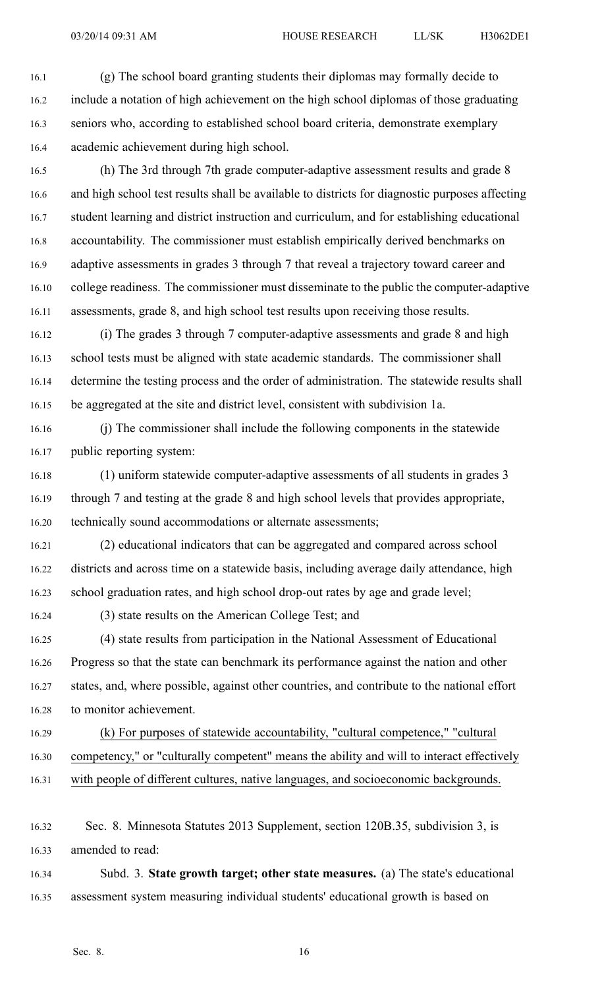16.1 (g) The school board granting students their diplomas may formally decide to 16.2 include <sup>a</sup> notation of high achievement on the high school diplomas of those graduating 16.3 seniors who, according to established school board criteria, demonstrate exemplary 16.4 academic achievement during high school.

16.5 (h) The 3rd through 7th grade computer-adaptive assessment results and grade 8 16.6 and high school test results shall be available to districts for diagnostic purposes affecting 16.7 student learning and district instruction and curriculum, and for establishing educational 16.8 accountability. The commissioner must establish empirically derived benchmarks on 16.9 adaptive assessments in grades 3 through 7 that reveal <sup>a</sup> trajectory toward career and 16.10 college readiness. The commissioner must disseminate to the public the computer-adaptive 16.11 assessments, grade 8, and high school test results upon receiving those results.

16.12 (i) The grades 3 through 7 computer-adaptive assessments and grade 8 and high 16.13 school tests must be aligned with state academic standards. The commissioner shall 16.14 determine the testing process and the order of administration. The statewide results shall 16.15 be aggregated at the site and district level, consistent with subdivision 1a.

16.16 (j) The commissioner shall include the following components in the statewide 16.17 public reporting system:

16.18 (1) uniform statewide computer-adaptive assessments of all students in grades 3 16.19 through 7 and testing at the grade 8 and high school levels that provides appropriate, 16.20 technically sound accommodations or alternate assessments;

16.21 (2) educational indicators that can be aggregated and compared across school 16.22 districts and across time on <sup>a</sup> statewide basis, including average daily attendance, high 16.23 school graduation rates, and high school drop-out rates by age and grade level;

16.24 (3) state results on the American College Test; and

16.25 (4) state results from participation in the National Assessment of Educational 16.26 Progress so that the state can benchmark its performance against the nation and other 16.27 states, and, where possible, against other countries, and contribute to the national effort 16.28 to monitor achievement.

16.29 (k) For purposes of statewide accountability, "cultural competence," "cultural 16.30 competency," or "culturally competent" means the ability and will to interact effectively 16.31 with people of different cultures, native languages, and socioeconomic backgrounds.

16.32 Sec. 8. Minnesota Statutes 2013 Supplement, section 120B.35, subdivision 3, is 16.33 amended to read:

16.34 Subd. 3. **State growth target; other state measures.** (a) The state's educational 16.35 assessment system measuring individual students' educational growth is based on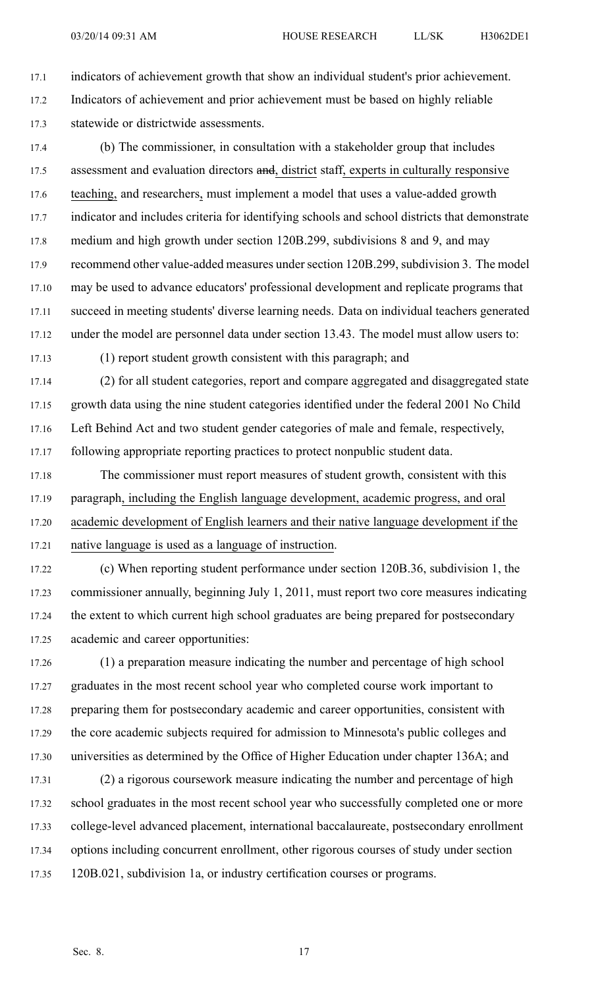17.1 indicators of achievement growth that show an individual student's prior achievement. 17.2 Indicators of achievement and prior achievement must be based on highly reliable 17.3 statewide or districtwide assessments.

17.4 (b) The commissioner, in consultation with <sup>a</sup> stakeholder group that includes 17.5 assessment and evaluation directors and, district staff, experts in culturally responsive 17.6 teaching, and researchers, must implement <sup>a</sup> model that uses <sup>a</sup> value-added growth 17.7 indicator and includes criteria for identifying schools and school districts that demonstrate 17.8 medium and high growth under section 120B.299, subdivisions 8 and 9, and may 17.9 recommend other value-added measures undersection 120B.299, subdivision 3. The model 17.10 may be used to advance educators' professional development and replicate programs that 17.11 succeed in meeting students' diverse learning needs. Data on individual teachers generated 17.12 under the model are personnel data under section 13.43. The model must allow users to:

17.13 (1) repor<sup>t</sup> student growth consistent with this paragraph; and

17.14 (2) for all student categories, repor<sup>t</sup> and compare aggregated and disaggregated state 17.15 growth data using the nine student categories identified under the federal 2001 No Child 17.16 Left Behind Act and two student gender categories of male and female, respectively, 17.17 following appropriate reporting practices to protect nonpublic student data.

17.18 The commissioner must repor<sup>t</sup> measures of student growth, consistent with this 17.19 paragraph, including the English language development, academic progress, and oral 17.20 academic development of English learners and their native language development if the 17.21 native language is used as <sup>a</sup> language of instruction.

17.22 (c) When reporting student performance under section 120B.36, subdivision 1, the 17.23 commissioner annually, beginning July 1, 2011, must repor<sup>t</sup> two core measures indicating 17.24 the extent to which current high school graduates are being prepared for postsecondary 17.25 academic and career opportunities:

17.26 (1) <sup>a</sup> preparation measure indicating the number and percentage of high school 17.27 graduates in the most recent school year who completed course work important to 17.28 preparing them for postsecondary academic and career opportunities, consistent with 17.29 the core academic subjects required for admission to Minnesota's public colleges and 17.30 universities as determined by the Office of Higher Education under chapter 136A; and

17.31 (2) <sup>a</sup> rigorous coursework measure indicating the number and percentage of high 17.32 school graduates in the most recent school year who successfully completed one or more 17.33 college-level advanced placement, international baccalaureate, postsecondary enrollment 17.34 options including concurrent enrollment, other rigorous courses of study under section 17.35 120B.021, subdivision 1a, or industry certification courses or programs.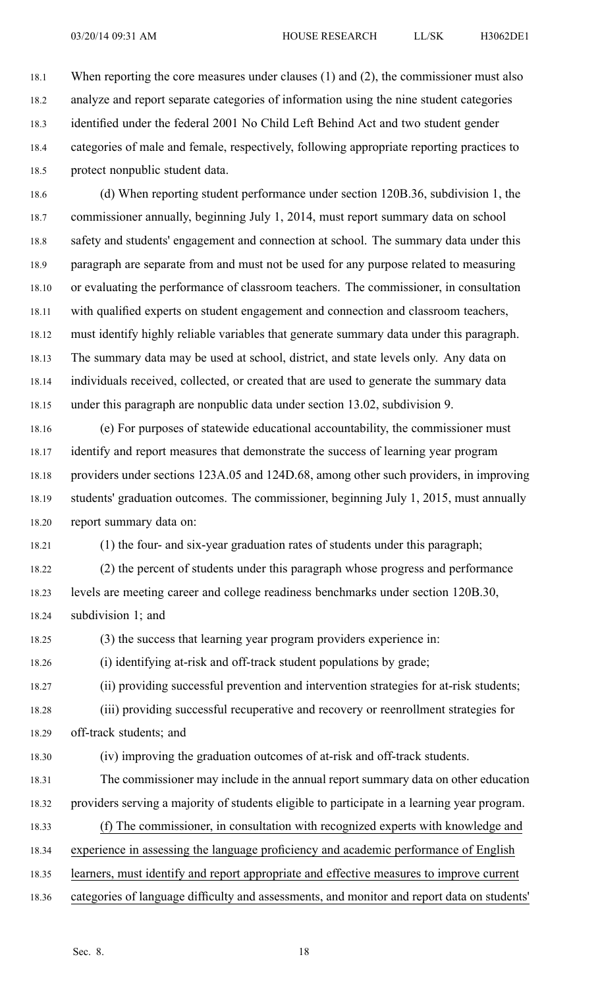18.1 When reporting the core measures under clauses (1) and (2), the commissioner must also 18.2 analyze and repor<sup>t</sup> separate categories of information using the nine student categories 18.3 identified under the federal 2001 No Child Left Behind Act and two student gender 18.4 categories of male and female, respectively, following appropriate reporting practices to 18.5 protect nonpublic student data.

18.6 (d) When reporting student performance under section 120B.36, subdivision 1, the 18.7 commissioner annually, beginning July 1, 2014, must repor<sup>t</sup> summary data on school 18.8 safety and students' engagement and connection at school. The summary data under this 18.9 paragraph are separate from and must not be used for any purpose related to measuring 18.10 or evaluating the performance of classroom teachers. The commissioner, in consultation 18.11 with qualified experts on student engagemen<sup>t</sup> and connection and classroom teachers, 18.12 must identify highly reliable variables that generate summary data under this paragraph. 18.13 The summary data may be used at school, district, and state levels only. Any data on 18.14 individuals received, collected, or created that are used to generate the summary data 18.15 under this paragraph are nonpublic data under section 13.02, subdivision 9.

18.16 (e) For purposes of statewide educational accountability, the commissioner must 18.17 identify and repor<sup>t</sup> measures that demonstrate the success of learning year program 18.18 providers under sections 123A.05 and 124D.68, among other such providers, in improving 18.19 students' graduation outcomes. The commissioner, beginning July 1, 2015, must annually 18.20 repor<sup>t</sup> summary data on:

18.21 (1) the four- and six-year graduation rates of students under this paragraph;

18.22 (2) the percen<sup>t</sup> of students under this paragraph whose progress and performance 18.23 levels are meeting career and college readiness benchmarks under section 120B.30, 18.24 subdivision 1; and

18.25 (3) the success that learning year program providers experience in:

18.26 (i) identifying at-risk and off-track student populations by grade;

18.27 (ii) providing successful prevention and intervention strategies for at-risk students;

18.28 (iii) providing successful recuperative and recovery or reenrollment strategies for 18.29 off-track students; and

18.30 (iv) improving the graduation outcomes of at-risk and off-track students.

18.31 The commissioner may include in the annual repor<sup>t</sup> summary data on other education 18.32 providers serving <sup>a</sup> majority of students eligible to participate in <sup>a</sup> learning year program.

- 18.33 (f) The commissioner, in consultation with recognized experts with knowledge and
- 18.34 experience in assessing the language proficiency and academic performance of English
- 18.35 learners, must identify and repor<sup>t</sup> appropriate and effective measures to improve current
- 18.36 categories of language difficulty and assessments, and monitor and repor<sup>t</sup> data on students'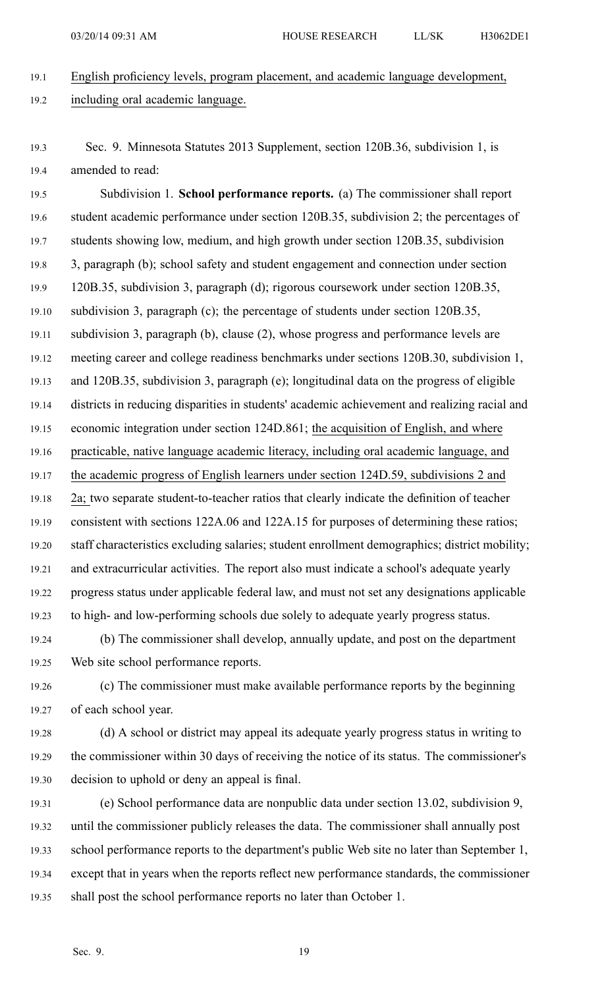- 19.1 English proficiency levels, program placement, and academic language development, 19.2 including oral academic language.
- 19.3 Sec. 9. Minnesota Statutes 2013 Supplement, section 120B.36, subdivision 1, is 19.4 amended to read:

19.5 Subdivision 1. **School performance reports.** (a) The commissioner shall repor<sup>t</sup> 19.6 student academic performance under section 120B.35, subdivision 2; the percentages of 19.7 students showing low, medium, and high growth under section 120B.35, subdivision 19.8 3, paragraph (b); school safety and student engagemen<sup>t</sup> and connection under section 19.9 120B.35, subdivision 3, paragraph (d); rigorous coursework under section 120B.35, 19.10 subdivision 3, paragraph (c); the percentage of students under section 120B.35, 19.11 subdivision 3, paragraph (b), clause (2), whose progress and performance levels are 19.12 meeting career and college readiness benchmarks under sections 120B.30, subdivision 1, 19.13 and 120B.35, subdivision 3, paragraph (e); longitudinal data on the progress of eligible 19.14 districts in reducing disparities in students' academic achievement and realizing racial and 19.15 economic integration under section 124D.861; the acquisition of English, and where 19.16 practicable, native language academic literacy, including oral academic language, and 19.17 the academic progress of English learners under section 124D.59, subdivisions 2 and 19.18 2a; two separate student-to-teacher ratios that clearly indicate the definition of teacher 19.19 consistent with sections 122A.06 and 122A.15 for purposes of determining these ratios; 19.20 staff characteristics excluding salaries; student enrollment demographics; district mobility; 19.21 and extracurricular activities. The repor<sup>t</sup> also must indicate <sup>a</sup> school's adequate yearly 19.22 progress status under applicable federal law, and must not set any designations applicable 19.23 to high- and low-performing schools due solely to adequate yearly progress status.

19.24 (b) The commissioner shall develop, annually update, and pos<sup>t</sup> on the department 19.25 Web site school performance reports.

19.26 (c) The commissioner must make available performance reports by the beginning 19.27 of each school year.

- 19.28 (d) A school or district may appeal its adequate yearly progress status in writing to 19.29 the commissioner within 30 days of receiving the notice of its status. The commissioner's 19.30 decision to uphold or deny an appeal is final.
- 19.31 (e) School performance data are nonpublic data under section 13.02, subdivision 9, 19.32 until the commissioner publicly releases the data. The commissioner shall annually pos<sup>t</sup> 19.33 school performance reports to the department's public Web site no later than September 1, 19.34 excep<sup>t</sup> that in years when the reports reflect new performance standards, the commissioner 19.35 shall pos<sup>t</sup> the school performance reports no later than October 1.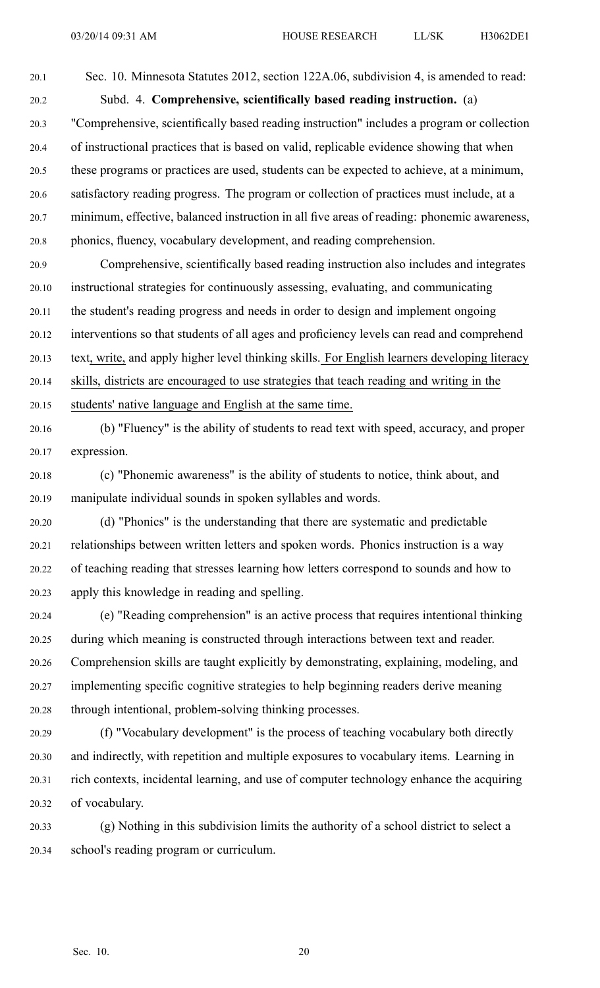20.1 Sec. 10. Minnesota Statutes 2012, section 122A.06, subdivision 4, is amended to read: 20.2 Subd. 4. **Comprehensive, scientifically based reading instruction.** (a) 20.3 "Comprehensive, scientifically based reading instruction" includes <sup>a</sup> program or collection 20.4 of instructional practices that is based on valid, replicable evidence showing that when 20.5 these programs or practices are used, students can be expected to achieve, at <sup>a</sup> minimum, 20.6 satisfactory reading progress. The program or collection of practices must include, at <sup>a</sup> 20.7 minimum, effective, balanced instruction in all five areas of reading: phonemic awareness, 20.8 phonics, fluency, vocabulary development, and reading comprehension.

20.9 Comprehensive, scientifically based reading instruction also includes and integrates 20.10 instructional strategies for continuously assessing, evaluating, and communicating 20.11 the student's reading progress and needs in order to design and implement ongoing 20.12 interventions so that students of all ages and proficiency levels can read and comprehend 20.13 text, write, and apply higher level thinking skills. For English learners developing literacy 20.14 skills, districts are encouraged to use strategies that teach reading and writing in the 20.15 students' native language and English at the same time.

- 20.16 (b) "Fluency" is the ability of students to read text with speed, accuracy, and proper 20.17 expression.
- 20.18 (c) "Phonemic awareness" is the ability of students to notice, think about, and 20.19 manipulate individual sounds in spoken syllables and words.
- 20.20 (d) "Phonics" is the understanding that there are systematic and predictable 20.21 relationships between written letters and spoken words. Phonics instruction is <sup>a</sup> way 20.22 of teaching reading that stresses learning how letters correspond to sounds and how to 20.23 apply this knowledge in reading and spelling.
- 20.24 (e) "Reading comprehension" is an active process that requires intentional thinking 20.25 during which meaning is constructed through interactions between text and reader. 20.26 Comprehension skills are taught explicitly by demonstrating, explaining, modeling, and 20.27 implementing specific cognitive strategies to help beginning readers derive meaning 20.28 through intentional, problem-solving thinking processes.
- 20.29 (f) "Vocabulary development" is the process of teaching vocabulary both directly 20.30 and indirectly, with repetition and multiple exposures to vocabulary items. Learning in 20.31 rich contexts, incidental learning, and use of computer technology enhance the acquiring 20.32 of vocabulary.
- 20.33 (g) Nothing in this subdivision limits the authority of <sup>a</sup> school district to select <sup>a</sup> 20.34 school's reading program or curriculum.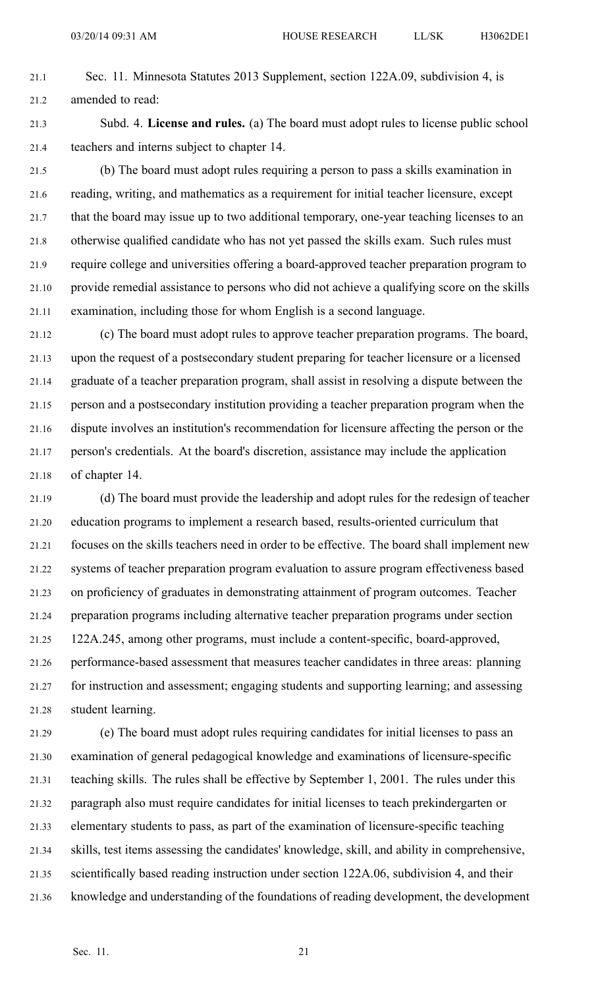- 21.1 Sec. 11. Minnesota Statutes 2013 Supplement, section 122A.09, subdivision 4, is 21.2 amended to read:
- 21.3 Subd. 4. **License and rules.** (a) The board must adopt rules to license public school 21.4 teachers and interns subject to chapter 14.
- 21.5 (b) The board must adopt rules requiring <sup>a</sup> person to pass <sup>a</sup> skills examination in 21.6 reading, writing, and mathematics as <sup>a</sup> requirement for initial teacher licensure, excep<sup>t</sup> 21.7 that the board may issue up to two additional temporary, one-year teaching licenses to an 21.8 otherwise qualified candidate who has not ye<sup>t</sup> passed the skills exam. Such rules must 21.9 require college and universities offering <sup>a</sup> board-approved teacher preparation program to 21.10 provide remedial assistance to persons who did not achieve <sup>a</sup> qualifying score on the skills 21.11 examination, including those for whom English is <sup>a</sup> second language.
- 21.12 (c) The board must adopt rules to approve teacher preparation programs. The board, 21.13 upon the reques<sup>t</sup> of <sup>a</sup> postsecondary student preparing for teacher licensure or <sup>a</sup> licensed 21.14 graduate of <sup>a</sup> teacher preparation program, shall assist in resolving <sup>a</sup> dispute between the 21.15 person and <sup>a</sup> postsecondary institution providing <sup>a</sup> teacher preparation program when the 21.16 dispute involves an institution's recommendation for licensure affecting the person or the 21.17 person's credentials. At the board's discretion, assistance may include the application 21.18 of chapter 14.
- 21.19 (d) The board must provide the leadership and adopt rules for the redesign of teacher 21.20 education programs to implement <sup>a</sup> research based, results-oriented curriculum that 21.21 focuses on the skills teachers need in order to be effective. The board shall implement new 21.22 systems of teacher preparation program evaluation to assure program effectiveness based 21.23 on proficiency of graduates in demonstrating attainment of program outcomes. Teacher 21.24 preparation programs including alternative teacher preparation programs under section 21.25 122A.245, among other programs, must include <sup>a</sup> content-specific, board-approved, 21.26 performance-based assessment that measures teacher candidates in three areas: planning 21.27 for instruction and assessment; engaging students and supporting learning; and assessing 21.28 student learning.
- 21.29 (e) The board must adopt rules requiring candidates for initial licenses to pass an 21.30 examination of general pedagogical knowledge and examinations of licensure-specific 21.31 teaching skills. The rules shall be effective by September 1, 2001. The rules under this 21.32 paragraph also must require candidates for initial licenses to teach prekindergarten or 21.33 elementary students to pass, as par<sup>t</sup> of the examination of licensure-specific teaching 21.34 skills, test items assessing the candidates' knowledge, skill, and ability in comprehensive, 21.35 scientifically based reading instruction under section 122A.06, subdivision 4, and their 21.36 knowledge and understanding of the foundations of reading development, the development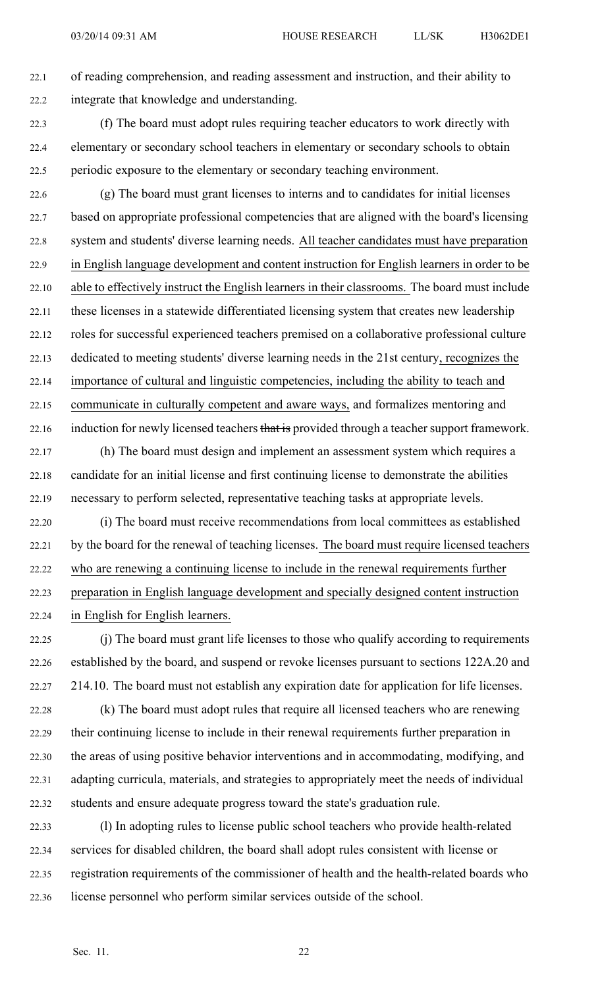22.1 of reading comprehension, and reading assessment and instruction, and their ability to 22.2 integrate that knowledge and understanding.

22.3 (f) The board must adopt rules requiring teacher educators to work directly with 22.4 elementary or secondary school teachers in elementary or secondary schools to obtain 22.5 periodic exposure to the elementary or secondary teaching environment.

22.6 (g) The board must gran<sup>t</sup> licenses to interns and to candidates for initial licenses 22.7 based on appropriate professional competencies that are aligned with the board's licensing 22.8 system and students' diverse learning needs. All teacher candidates must have preparation 22.9 in English language development and content instruction for English learners in order to be 22.10 able to effectively instruct the English learners in their classrooms. The board must include 22.11 these licenses in <sup>a</sup> statewide differentiated licensing system that creates new leadership 22.12 roles for successful experienced teachers premised on <sup>a</sup> collaborative professional culture 22.13 dedicated to meeting students' diverse learning needs in the 21st century, recognizes the 22.14 importance of cultural and linguistic competencies, including the ability to teach and 22.15 communicate in culturally competent and aware ways, and formalizes mentoring and 22.16 induction for newly licensed teachers that is provided through a teacher support framework.

- 22.17 (h) The board must design and implement an assessment system which requires <sup>a</sup> 22.18 candidate for an initial license and first continuing license to demonstrate the abilities 22.19 necessary to perform selected, representative teaching tasks at appropriate levels.
- 22.20 (i) The board must receive recommendations from local committees as established 22.21 by the board for the renewal of teaching licenses. The board must require licensed teachers 22.22 who are renewing <sup>a</sup> continuing license to include in the renewal requirements further 22.23 preparation in English language development and specially designed content instruction 22.24 in English for English learners.
- 22.25 (j) The board must gran<sup>t</sup> life licenses to those who qualify according to requirements 22.26 established by the board, and suspend or revoke licenses pursuan<sup>t</sup> to sections 122A.20 and 22.27 214.10. The board must not establish any expiration date for application for life licenses.
- 22.28 (k) The board must adopt rules that require all licensed teachers who are renewing 22.29 their continuing license to include in their renewal requirements further preparation in 22.30 the areas of using positive behavior interventions and in accommodating, modifying, and 22.31 adapting curricula, materials, and strategies to appropriately meet the needs of individual 22.32 students and ensure adequate progress toward the state's graduation rule.
- 22.33 (l) In adopting rules to license public school teachers who provide health-related 22.34 services for disabled children, the board shall adopt rules consistent with license or 22.35 registration requirements of the commissioner of health and the health-related boards who 22.36 license personnel who perform similar services outside of the school.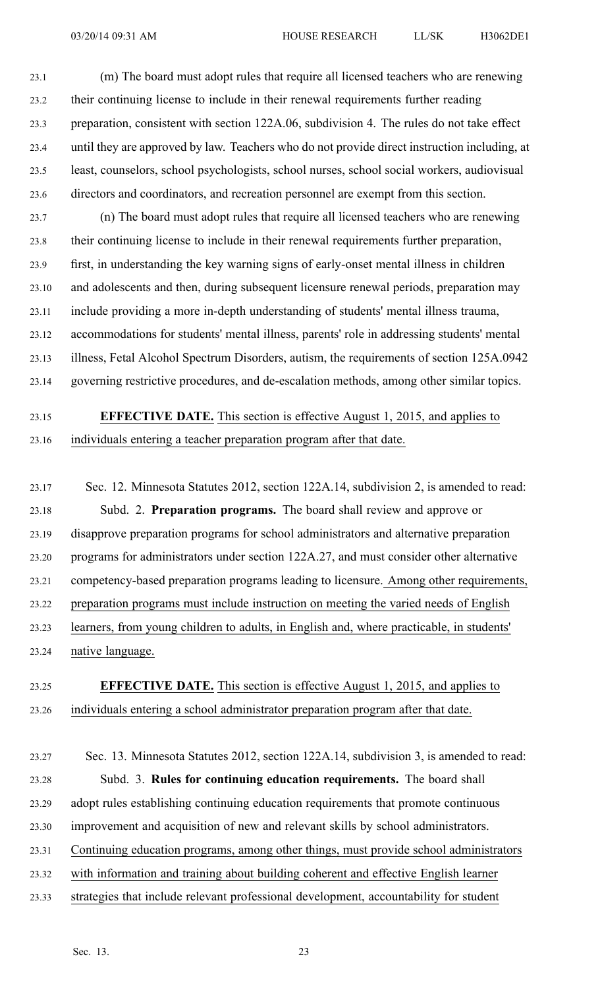23.1 (m) The board must adopt rules that require all licensed teachers who are renewing 23.2 their continuing license to include in their renewal requirements further reading 23.3 preparation, consistent with section 122A.06, subdivision 4. The rules do not take effect 23.4 until they are approved by law. Teachers who do not provide direct instruction including, at 23.5 least, counselors, school psychologists, school nurses, school social workers, audiovisual 23.6 directors and coordinators, and recreation personnel are exemp<sup>t</sup> from this section.

23.7 (n) The board must adopt rules that require all licensed teachers who are renewing 23.8 their continuing license to include in their renewal requirements further preparation, 23.9 first, in understanding the key warning signs of early-onset mental illness in children 23.10 and adolescents and then, during subsequent licensure renewal periods, preparation may 23.11 include providing <sup>a</sup> more in-depth understanding of students' mental illness trauma, 23.12 accommodations for students' mental illness, parents' role in addressing students' mental 23.13 illness, Fetal Alcohol Spectrum Disorders, autism, the requirements of section 125A.0942 23.14 governing restrictive procedures, and de-escalation methods, among other similar topics.

## 23.15 **EFFECTIVE DATE.** This section is effective August 1, 2015, and applies to 23.16 individuals entering <sup>a</sup> teacher preparation program after that date.

23.17 Sec. 12. Minnesota Statutes 2012, section 122A.14, subdivision 2, is amended to read: 23.18 Subd. 2. **Preparation programs.** The board shall review and approve or 23.19 disapprove preparation programs for school administrators and alternative preparation 23.20 programs for administrators under section 122A.27, and must consider other alternative 23.21 competency-based preparation programs leading to licensure. Among other requirements, 23.22 preparation programs must include instruction on meeting the varied needs of English 23.23 learners, from young children to adults, in English and, where practicable, in students' 23.24 native language.

### 23.25 **EFFECTIVE DATE.** This section is effective August 1, 2015, and applies to 23.26 individuals entering <sup>a</sup> school administrator preparation program after that date.

23.27 Sec. 13. Minnesota Statutes 2012, section 122A.14, subdivision 3, is amended to read: 23.28 Subd. 3. **Rules for continuing education requirements.** The board shall 23.29 adopt rules establishing continuing education requirements that promote continuous 23.30 improvement and acquisition of new and relevant skills by school administrators. 23.31 Continuing education programs, among other things, must provide school administrators 23.32 with information and training about building coherent and effective English learner 23.33 strategies that include relevant professional development, accountability for student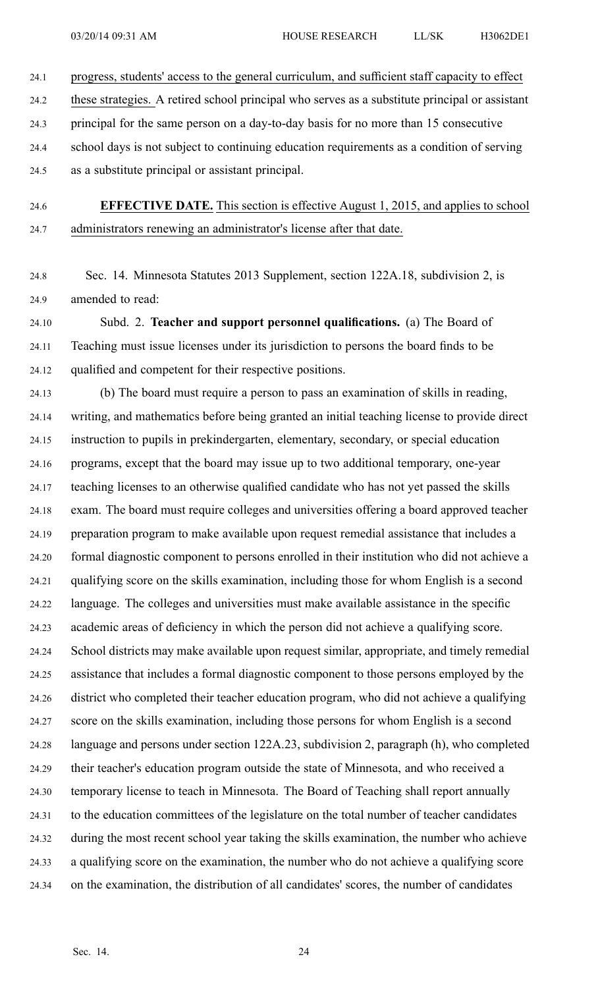- 24.1 progress, students' access to the general curriculum, and sufficient staff capacity to effect
- 24.2 these strategies. A retired school principal who serves as <sup>a</sup> substitute principal or assistant
- 24.3 principal for the same person on <sup>a</sup> day-to-day basis for no more than 15 consecutive
- 24.4 school days is not subject to continuing education requirements as <sup>a</sup> condition of serving
- 24.5 as <sup>a</sup> substitute principal or assistant principal.
- 

24.6 **EFFECTIVE DATE.** This section is effective August 1, 2015, and applies to school 24.7 administrators renewing an administrator's license after that date.

24.8 Sec. 14. Minnesota Statutes 2013 Supplement, section 122A.18, subdivision 2, is 24.9 amended to read:

24.10 Subd. 2. **Teacher and suppor<sup>t</sup> personnel qualifications.** (a) The Board of 24.11 Teaching must issue licenses under its jurisdiction to persons the board finds to be 24.12 qualified and competent for their respective positions.

24.13 (b) The board must require <sup>a</sup> person to pass an examination of skills in reading, 24.14 writing, and mathematics before being granted an initial teaching license to provide direct 24.15 instruction to pupils in prekindergarten, elementary, secondary, or special education 24.16 programs, excep<sup>t</sup> that the board may issue up to two additional temporary, one-year 24.17 teaching licenses to an otherwise qualified candidate who has not ye<sup>t</sup> passed the skills 24.18 exam. The board must require colleges and universities offering <sup>a</sup> board approved teacher 24.19 preparation program to make available upon reques<sup>t</sup> remedial assistance that includes <sup>a</sup> 24.20 formal diagnostic componen<sup>t</sup> to persons enrolled in their institution who did not achieve <sup>a</sup> 24.21 qualifying score on the skills examination, including those for whom English is <sup>a</sup> second 24.22 language. The colleges and universities must make available assistance in the specific 24.23 academic areas of deficiency in which the person did not achieve <sup>a</sup> qualifying score. 24.24 School districts may make available upon reques<sup>t</sup> similar, appropriate, and timely remedial 24.25 assistance that includes <sup>a</sup> formal diagnostic componen<sup>t</sup> to those persons employed by the 24.26 district who completed their teacher education program, who did not achieve <sup>a</sup> qualifying 24.27 score on the skills examination, including those persons for whom English is <sup>a</sup> second 24.28 language and persons under section 122A.23, subdivision 2, paragraph (h), who completed 24.29 their teacher's education program outside the state of Minnesota, and who received <sup>a</sup> 24.30 temporary license to teach in Minnesota. The Board of Teaching shall repor<sup>t</sup> annually 24.31 to the education committees of the legislature on the total number of teacher candidates 24.32 during the most recent school year taking the skills examination, the number who achieve 24.33 <sup>a</sup> qualifying score on the examination, the number who do not achieve <sup>a</sup> qualifying score 24.34 on the examination, the distribution of all candidates' scores, the number of candidates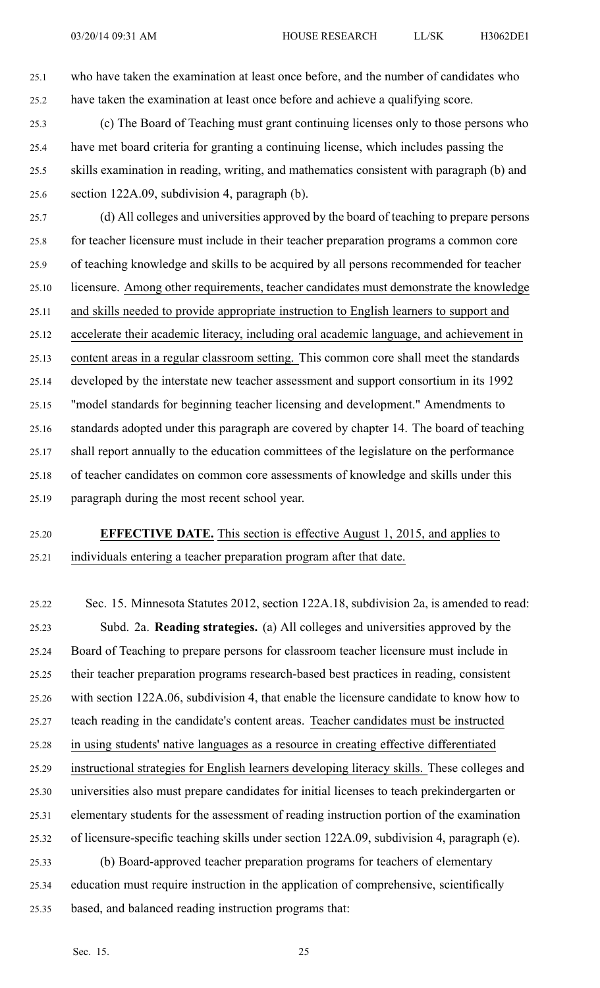25.1 who have taken the examination at least once before, and the number of candidates who 25.2 have taken the examination at least once before and achieve <sup>a</sup> qualifying score.

25.3 (c) The Board of Teaching must gran<sup>t</sup> continuing licenses only to those persons who 25.4 have met board criteria for granting <sup>a</sup> continuing license, which includes passing the 25.5 skills examination in reading, writing, and mathematics consistent with paragraph (b) and 25.6 section 122A.09, subdivision 4, paragraph (b).

25.7 (d) All colleges and universities approved by the board of teaching to prepare persons 25.8 for teacher licensure must include in their teacher preparation programs <sup>a</sup> common core 25.9 of teaching knowledge and skills to be acquired by all persons recommended for teacher 25.10 licensure. Among other requirements, teacher candidates must demonstrate the knowledge 25.11 and skills needed to provide appropriate instruction to English learners to suppor<sup>t</sup> and 25.12 accelerate their academic literacy, including oral academic language, and achievement in 25.13 content areas in <sup>a</sup> regular classroom setting. This common core shall meet the standards 25.14 developed by the interstate new teacher assessment and suppor<sup>t</sup> consortium in its 1992 25.15 "model standards for beginning teacher licensing and development." Amendments to 25.16 standards adopted under this paragraph are covered by chapter 14. The board of teaching 25.17 shall repor<sup>t</sup> annually to the education committees of the legislature on the performance 25.18 of teacher candidates on common core assessments of knowledge and skills under this 25.19 paragraph during the most recent school year.

25.20 **EFFECTIVE DATE.** This section is effective August 1, 2015, and applies to 25.21 individuals entering <sup>a</sup> teacher preparation program after that date.

25.22 Sec. 15. Minnesota Statutes 2012, section 122A.18, subdivision 2a, is amended to read: 25.23 Subd. 2a. **Reading strategies.** (a) All colleges and universities approved by the 25.24 Board of Teaching to prepare persons for classroom teacher licensure must include in 25.25 their teacher preparation programs research-based best practices in reading, consistent 25.26 with section 122A.06, subdivision 4, that enable the licensure candidate to know how to 25.27 teach reading in the candidate's content areas. Teacher candidates must be instructed 25.28 in using students' native languages as <sup>a</sup> resource in creating effective differentiated 25.29 instructional strategies for English learners developing literacy skills. These colleges and 25.30 universities also must prepare candidates for initial licenses to teach prekindergarten or 25.31 elementary students for the assessment of reading instruction portion of the examination 25.32 of licensure-specific teaching skills under section 122A.09, subdivision 4, paragraph (e). 25.33 (b) Board-approved teacher preparation programs for teachers of elementary 25.34 education must require instruction in the application of comprehensive, scientifically 25.35 based, and balanced reading instruction programs that: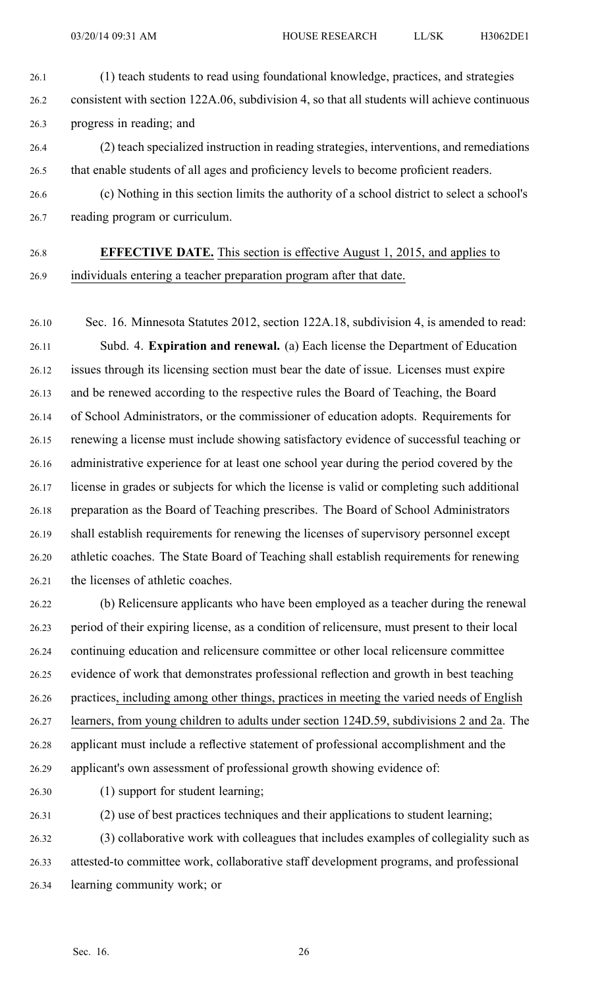26.1 (1) teach students to read using foundational knowledge, practices, and strategies 26.2 consistent with section 122A.06, subdivision 4, so that all students will achieve continuous 26.3 progress in reading; and

- 26.4 (2) teach specialized instruction in reading strategies, interventions, and remediations 26.5 that enable students of all ages and proficiency levels to become proficient readers.
- 26.6 (c) Nothing in this section limits the authority of <sup>a</sup> school district to select <sup>a</sup> school's 26.7 reading program or curriculum.

# 26.8 **EFFECTIVE DATE.** This section is effective August 1, 2015, and applies to

26.9 individuals entering <sup>a</sup> teacher preparation program after that date.

26.10 Sec. 16. Minnesota Statutes 2012, section 122A.18, subdivision 4, is amended to read: 26.11 Subd. 4. **Expiration and renewal.** (a) Each license the Department of Education 26.12 issues through its licensing section must bear the date of issue. Licenses must expire 26.13 and be renewed according to the respective rules the Board of Teaching, the Board 26.14 of School Administrators, or the commissioner of education adopts. Requirements for 26.15 renewing <sup>a</sup> license must include showing satisfactory evidence of successful teaching or 26.16 administrative experience for at least one school year during the period covered by the 26.17 license in grades or subjects for which the license is valid or completing such additional 26.18 preparation as the Board of Teaching prescribes. The Board of School Administrators 26.19 shall establish requirements for renewing the licenses of supervisory personnel excep<sup>t</sup> 26.20 athletic coaches. The State Board of Teaching shall establish requirements for renewing 26.21 the licenses of athletic coaches.

26.22 (b) Relicensure applicants who have been employed as <sup>a</sup> teacher during the renewal 26.23 period of their expiring license, as <sup>a</sup> condition of relicensure, must presen<sup>t</sup> to their local 26.24 continuing education and relicensure committee or other local relicensure committee 26.25 evidence of work that demonstrates professional reflection and growth in best teaching 26.26 practices, including among other things, practices in meeting the varied needs of English 26.27 learners, from young children to adults under section 124D.59, subdivisions 2 and 2a. The 26.28 applicant must include <sup>a</sup> reflective statement of professional accomplishment and the 26.29 applicant's own assessment of professional growth showing evidence of:

26.30 (1) suppor<sup>t</sup> for student learning;

26.31 (2) use of best practices techniques and their applications to student learning; 26.32 (3) collaborative work with colleagues that includes examples of collegiality such as 26.33 attested-to committee work, collaborative staff development programs, and professional 26.34 learning community work; or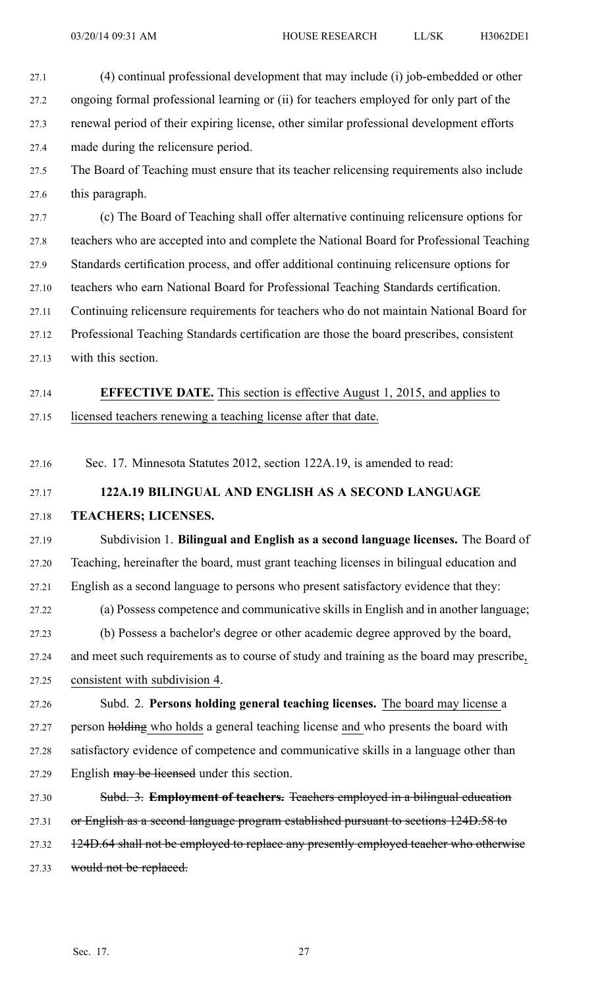- 27.1 (4) continual professional development that may include (i) job-embedded or other 27.2 ongoing formal professional learning or (ii) for teachers employed for only par<sup>t</sup> of the 27.3 renewal period of their expiring license, other similar professional development efforts 27.4 made during the relicensure period.
- 27.5 The Board of Teaching must ensure that its teacher relicensing requirements also include 27.6 this paragraph.
- 27.7 (c) The Board of Teaching shall offer alternative continuing relicensure options for 27.8 teachers who are accepted into and complete the National Board for Professional Teaching 27.9 Standards certification process, and offer additional continuing relicensure options for 27.10 teachers who earn National Board for Professional Teaching Standards certification. 27.11 Continuing relicensure requirements for teachers who do not maintain National Board for 27.12 Professional Teaching Standards certification are those the board prescribes, consistent 27.13 with this section.
- 27.14 **EFFECTIVE DATE.** This section is effective August 1, 2015, and applies to 27.15 licensed teachers renewing <sup>a</sup> teaching license after that date.
- 27.16 Sec. 17. Minnesota Statutes 2012, section 122A.19, is amended to read:
- 27.17 **122A.19 BILINGUAL AND ENGLISH AS A SECOND LANGUAGE**

#### 27.18 **TEACHERS; LICENSES.**

27.19 Subdivision 1. **Bilingual and English as <sup>a</sup> second language licenses.** The Board of 27.20 Teaching, hereinafter the board, must gran<sup>t</sup> teaching licenses in bilingual education and 27.21 English as <sup>a</sup> second language to persons who presen<sup>t</sup> satisfactory evidence that they:

- 27.22 (a) Possess competence and communicative skills in English and in another language; 27.23 (b) Possess <sup>a</sup> bachelor's degree or other academic degree approved by the board, 27.24 and meet such requirements as to course of study and training as the board may prescribe, 27.25 consistent with subdivision 4.
- 27.26 Subd. 2. **Persons holding general teaching licenses.** The board may license <sup>a</sup> 27.27 person holding who holds <sup>a</sup> general teaching license and who presents the board with 27.28 satisfactory evidence of competence and communicative skills in <sup>a</sup> language other than 27.29 English may be licensed under this section.
- 27.30 Subd. 3. **Employment of teachers.** Teachers employed in <sup>a</sup> bilingual education 27.31 or English as a second language program established pursuant to sections 124D.58 to 27.32 124D.64 shall not be employed to replace any presently employed teacher who otherwise 27.33 would not be replaced.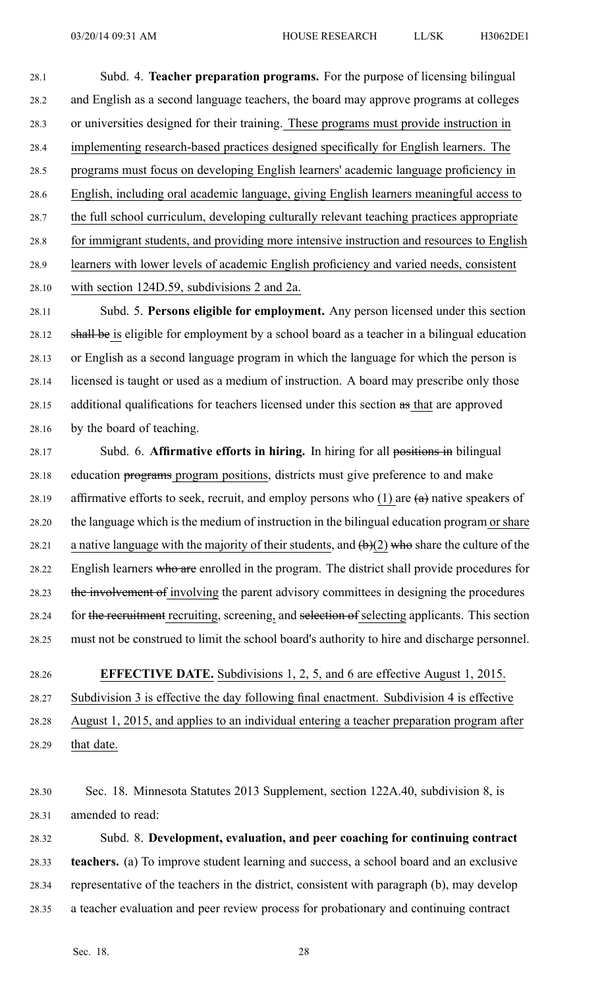28.1 Subd. 4. **Teacher preparation programs.** For the purpose of licensing bilingual 28.2 and English as <sup>a</sup> second language teachers, the board may approve programs at colleges 28.3 or universities designed for their training. These programs must provide instruction in 28.4 implementing research-based practices designed specifically for English learners. The 28.5 programs must focus on developing English learners' academic language proficiency in 28.6 English, including oral academic language, giving English learners meaningful access to 28.7 the full school curriculum, developing culturally relevant teaching practices appropriate 28.8 for immigrant students, and providing more intensive instruction and resources to English 28.9 learners with lower levels of academic English proficiency and varied needs, consistent 28.10 with section 124D.59, subdivisions 2 and 2a.

28.11 Subd. 5. **Persons eligible for employment.** Any person licensed under this section 28.12 shall be is eligible for employment by <sup>a</sup> school board as <sup>a</sup> teacher in <sup>a</sup> bilingual education 28.13 or English as <sup>a</sup> second language program in which the language for which the person is 28.14 licensed is taught or used as <sup>a</sup> medium of instruction. A board may prescribe only those 28.15 additional qualifications for teachers licensed under this section as that are approved 28.16 by the board of teaching.

28.17 Subd. 6. **Affirmative efforts in hiring.** In hiring for all positions in bilingual 28.18 education programs program positions, districts must give preference to and make 28.19 affirmative efforts to seek, recruit, and employ persons who  $(1)$  are  $(a)$  native speakers of 28.20 the language which is the medium of instruction in the bilingual education program or share 28.21 a native language with the majority of their students, and  $(b)(2)$  who share the culture of the 28.22 English learners who are enrolled in the program. The district shall provide procedures for 28.23 the involvement of involving the parent advisory committees in designing the procedures 28.24 for the recruitment recruiting, screening, and selection of selecting applicants. This section 28.25 must not be construed to limit the school board's authority to hire and discharge personnel.

28.26 **EFFECTIVE DATE.** Subdivisions 1, 2, 5, and 6 are effective August 1, 2015. 28.27 Subdivision 3 is effective the day following final enactment. Subdivision 4 is effective 28.28 August 1, 2015, and applies to an individual entering <sup>a</sup> teacher preparation program after 28.29 that date.

28.30 Sec. 18. Minnesota Statutes 2013 Supplement, section 122A.40, subdivision 8, is 28.31 amended to read:

28.32 Subd. 8. **Development, evaluation, and peer coaching for continuing contract** 28.33 **teachers.** (a) To improve student learning and success, <sup>a</sup> school board and an exclusive 28.34 representative of the teachers in the district, consistent with paragraph (b), may develop 28.35 <sup>a</sup> teacher evaluation and peer review process for probationary and continuing contract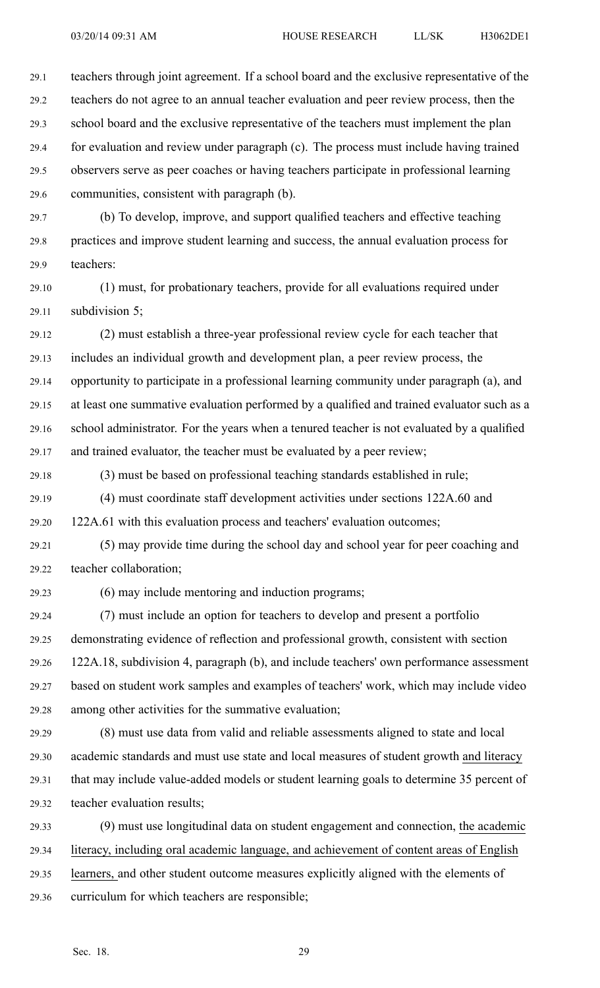29.1 teachers through joint agreement. If <sup>a</sup> school board and the exclusive representative of the 29.2 teachers do not agree to an annual teacher evaluation and peer review process, then the 29.3 school board and the exclusive representative of the teachers must implement the plan 29.4 for evaluation and review under paragraph (c). The process must include having trained 29.5 observers serve as peer coaches or having teachers participate in professional learning 29.6 communities, consistent with paragraph (b).

29.7 (b) To develop, improve, and suppor<sup>t</sup> qualified teachers and effective teaching 29.8 practices and improve student learning and success, the annual evaluation process for 29.9 teachers:

29.10 (1) must, for probationary teachers, provide for all evaluations required under 29.11 subdivision 5;

29.12 (2) must establish <sup>a</sup> three-year professional review cycle for each teacher that 29.13 includes an individual growth and development plan, <sup>a</sup> peer review process, the 29.14 opportunity to participate in <sup>a</sup> professional learning community under paragraph (a), and 29.15 at least one summative evaluation performed by <sup>a</sup> qualified and trained evaluator such as <sup>a</sup> 29.16 school administrator. For the years when <sup>a</sup> tenured teacher is not evaluated by <sup>a</sup> qualified 29.17 and trained evaluator, the teacher must be evaluated by <sup>a</sup> peer review;

29.18 (3) must be based on professional teaching standards established in rule;

29.19 (4) must coordinate staff development activities under sections 122A.60 and

29.20 122A.61 with this evaluation process and teachers' evaluation outcomes;

29.21 (5) may provide time during the school day and school year for peer coaching and 29.22 teacher collaboration;

29.23 (6) may include mentoring and induction programs;

29.24 (7) must include an option for teachers to develop and presen<sup>t</sup> <sup>a</sup> portfolio 29.25 demonstrating evidence of reflection and professional growth, consistent with section 29.26 122A.18, subdivision 4, paragraph (b), and include teachers' own performance assessment 29.27 based on student work samples and examples of teachers' work, which may include video 29.28 among other activities for the summative evaluation;

29.29 (8) must use data from valid and reliable assessments aligned to state and local 29.30 academic standards and must use state and local measures of student growth and literacy 29.31 that may include value-added models or student learning goals to determine 35 percen<sup>t</sup> of 29.32 teacher evaluation results;

29.33 (9) must use longitudinal data on student engagemen<sup>t</sup> and connection, the academic 29.34 literacy, including oral academic language, and achievement of content areas of English 29.35 learners, and other student outcome measures explicitly aligned with the elements of 29.36 curriculum for which teachers are responsible;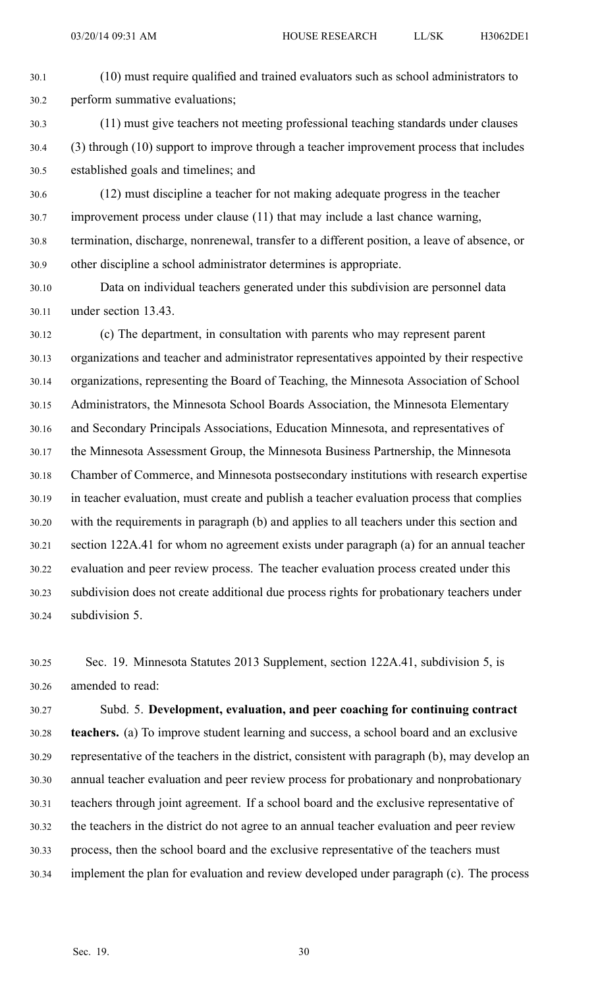- 30.1 (10) must require qualified and trained evaluators such as school administrators to 30.2 perform summative evaluations; 30.3 (11) must give teachers not meeting professional teaching standards under clauses 30.4 (3) through (10) suppor<sup>t</sup> to improve through <sup>a</sup> teacher improvement process that includes 30.5 established goals and timelines; and 30.6 (12) must discipline <sup>a</sup> teacher for not making adequate progress in the teacher 30.7 improvement process under clause (11) that may include <sup>a</sup> last chance warning, 30.8 termination, discharge, nonrenewal, transfer to <sup>a</sup> different position, <sup>a</sup> leave of absence, or
- 30.9 other discipline <sup>a</sup> school administrator determines is appropriate.
- 30.10 Data on individual teachers generated under this subdivision are personnel data 30.11 under section 13.43.
- 30.12 (c) The department, in consultation with parents who may represen<sup>t</sup> paren<sup>t</sup> 30.13 organizations and teacher and administrator representatives appointed by their respective 30.14 organizations, representing the Board of Teaching, the Minnesota Association of School 30.15 Administrators, the Minnesota School Boards Association, the Minnesota Elementary 30.16 and Secondary Principals Associations, Education Minnesota, and representatives of 30.17 the Minnesota Assessment Group, the Minnesota Business Partnership, the Minnesota 30.18 Chamber of Commerce, and Minnesota postsecondary institutions with research expertise 30.19 in teacher evaluation, must create and publish <sup>a</sup> teacher evaluation process that complies 30.20 with the requirements in paragraph (b) and applies to all teachers under this section and 30.21 section 122A.41 for whom no agreemen<sup>t</sup> exists under paragraph (a) for an annual teacher 30.22 evaluation and peer review process. The teacher evaluation process created under this 30.23 subdivision does not create additional due process rights for probationary teachers under 30.24 subdivision 5.
- 30.25 Sec. 19. Minnesota Statutes 2013 Supplement, section 122A.41, subdivision 5, is 30.26 amended to read:

30.27 Subd. 5. **Development, evaluation, and peer coaching for continuing contract** 30.28 **teachers.** (a) To improve student learning and success, <sup>a</sup> school board and an exclusive 30.29 representative of the teachers in the district, consistent with paragraph (b), may develop an 30.30 annual teacher evaluation and peer review process for probationary and nonprobationary 30.31 teachers through joint agreement. If <sup>a</sup> school board and the exclusive representative of 30.32 the teachers in the district do not agree to an annual teacher evaluation and peer review 30.33 process, then the school board and the exclusive representative of the teachers must 30.34 implement the plan for evaluation and review developed under paragraph (c). The process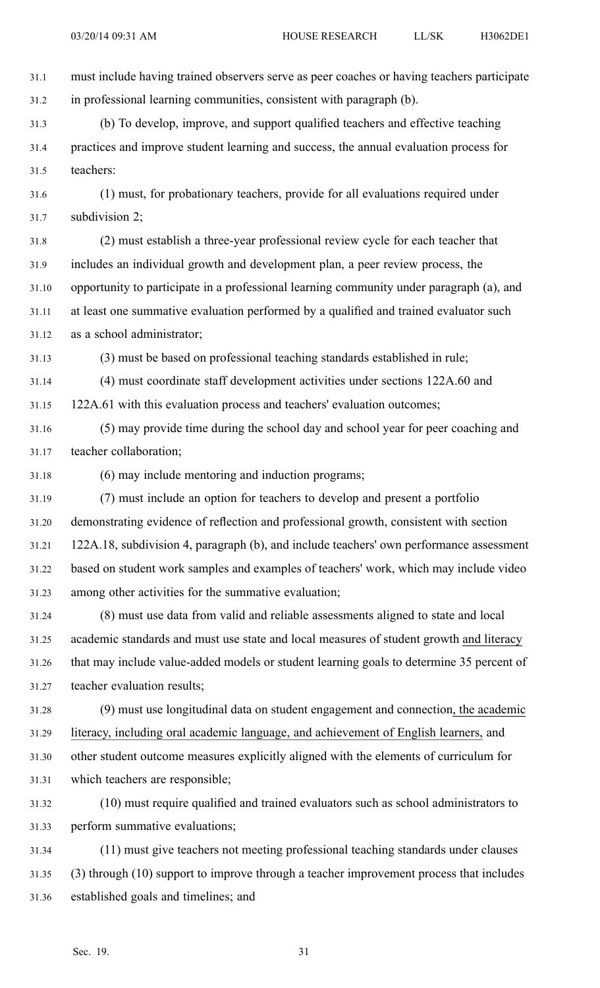31.1 must include having trained observers serve as peer coaches or having teachers participate 31.2 in professional learning communities, consistent with paragraph (b). 31.3 (b) To develop, improve, and suppor<sup>t</sup> qualified teachers and effective teaching 31.4 practices and improve student learning and success, the annual evaluation process for 31.5 teachers: 31.6 (1) must, for probationary teachers, provide for all evaluations required under 31.7 subdivision 2; 31.8 (2) must establish <sup>a</sup> three-year professional review cycle for each teacher that 31.9 includes an individual growth and development plan, <sup>a</sup> peer review process, the 31.10 opportunity to participate in <sup>a</sup> professional learning community under paragraph (a), and 31.11 at least one summative evaluation performed by <sup>a</sup> qualified and trained evaluator such 31.12 as <sup>a</sup> school administrator; 31.13 (3) must be based on professional teaching standards established in rule; 31.14 (4) must coordinate staff development activities under sections 122A.60 and 31.15 122A.61 with this evaluation process and teachers' evaluation outcomes; 31.16 (5) may provide time during the school day and school year for peer coaching and 31.17 teacher collaboration; 31.18 (6) may include mentoring and induction programs; 31.19 (7) must include an option for teachers to develop and presen<sup>t</sup> <sup>a</sup> portfolio 31.20 demonstrating evidence of reflection and professional growth, consistent with section 31.21 122A.18, subdivision 4, paragraph (b), and include teachers' own performance assessment 31.22 based on student work samples and examples of teachers' work, which may include video 31.23 among other activities for the summative evaluation; 31.24 (8) must use data from valid and reliable assessments aligned to state and local 31.25 academic standards and must use state and local measures of student growth and literacy 31.26 that may include value-added models or student learning goals to determine 35 percen<sup>t</sup> of 31.27 teacher evaluation results; 31.28 (9) must use longitudinal data on student engagemen<sup>t</sup> and connection, the academic 31.29 literacy, including oral academic language, and achievement of English learners, and 31.30 other student outcome measures explicitly aligned with the elements of curriculum for 31.31 which teachers are responsible; 31.32 (10) must require qualified and trained evaluators such as school administrators to 31.33 perform summative evaluations; 31.34 (11) must give teachers not meeting professional teaching standards under clauses 31.35 (3) through (10) suppor<sup>t</sup> to improve through <sup>a</sup> teacher improvement process that includes

31.36 established goals and timelines; and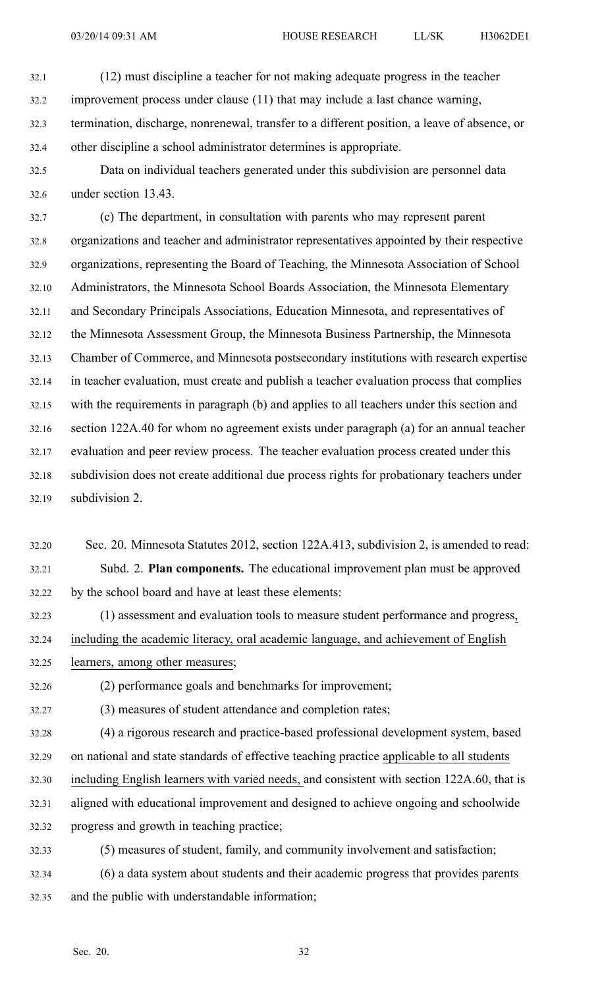- 32.1 (12) must discipline <sup>a</sup> teacher for not making adequate progress in the teacher 32.2 improvement process under clause (11) that may include <sup>a</sup> last chance warning, 32.3 termination, discharge, nonrenewal, transfer to <sup>a</sup> different position, <sup>a</sup> leave of absence, or 32.4 other discipline <sup>a</sup> school administrator determines is appropriate.
- 32.5 Data on individual teachers generated under this subdivision are personnel data 32.6 under section 13.43.

32.7 (c) The department, in consultation with parents who may represen<sup>t</sup> paren<sup>t</sup> 32.8 organizations and teacher and administrator representatives appointed by their respective 32.9 organizations, representing the Board of Teaching, the Minnesota Association of School 32.10 Administrators, the Minnesota School Boards Association, the Minnesota Elementary 32.11 and Secondary Principals Associations, Education Minnesota, and representatives of 32.12 the Minnesota Assessment Group, the Minnesota Business Partnership, the Minnesota 32.13 Chamber of Commerce, and Minnesota postsecondary institutions with research expertise 32.14 in teacher evaluation, must create and publish <sup>a</sup> teacher evaluation process that complies 32.15 with the requirements in paragraph (b) and applies to all teachers under this section and 32.16 section 122A.40 for whom no agreemen<sup>t</sup> exists under paragraph (a) for an annual teacher 32.17 evaluation and peer review process. The teacher evaluation process created under this 32.18 subdivision does not create additional due process rights for probationary teachers under 32.19 subdivision 2.

- 32.20 Sec. 20. Minnesota Statutes 2012, section 122A.413, subdivision 2, is amended to read: 32.21 Subd. 2. **Plan components.** The educational improvement plan must be approved 32.22 by the school board and have at least these elements:
- 32.23 (1) assessment and evaluation tools to measure student performance and progress, 32.24 including the academic literacy, oral academic language, and achievement of English 32.25 learners, among other measures;
- 32.26 (2) performance goals and benchmarks for improvement;
- 32.27 (3) measures of student attendance and completion rates;
- 32.28 (4) <sup>a</sup> rigorous research and practice-based professional development system, based 32.29 on national and state standards of effective teaching practice applicable to all students 32.30 including English learners with varied needs, and consistent with section 122A.60, that is 32.31 aligned with educational improvement and designed to achieve ongoing and schoolwide 32.32 progress and growth in teaching practice;
- 32.33 (5) measures of student, family, and community involvement and satisfaction; 32.34 (6) <sup>a</sup> data system about students and their academic progress that provides parents 32.35 and the public with understandable information;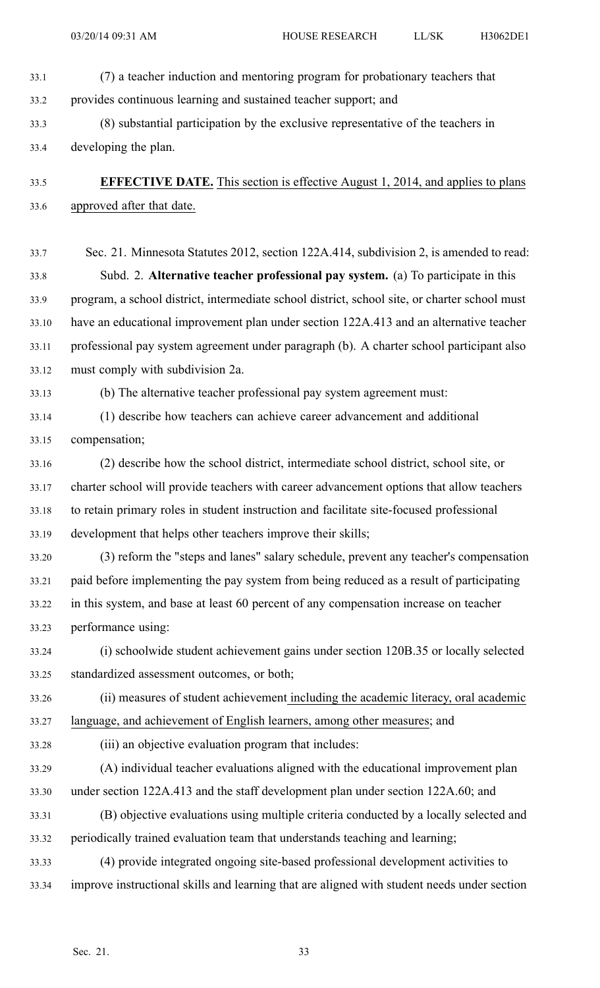- 33.1 (7) <sup>a</sup> teacher induction and mentoring program for probationary teachers that 33.2 provides continuous learning and sustained teacher support; and
- 33.3 (8) substantial participation by the exclusive representative of the teachers in 33.4 developing the plan.
- 33.5 **EFFECTIVE DATE.** This section is effective August 1, 2014, and applies to plans 33.6 approved after that date.

33.7 Sec. 21. Minnesota Statutes 2012, section 122A.414, subdivision 2, is amended to read: 33.8 Subd. 2. **Alternative teacher professional pay system.** (a) To participate in this 33.9 program, <sup>a</sup> school district, intermediate school district, school site, or charter school must 33.10 have an educational improvement plan under section 122A.413 and an alternative teacher 33.11 professional pay system agreemen<sup>t</sup> under paragraph (b). A charter school participant also 33.12 must comply with subdivision 2a.

33.13 (b) The alternative teacher professional pay system agreemen<sup>t</sup> must:

- 33.14 (1) describe how teachers can achieve career advancement and additional 33.15 compensation;
- 33.16 (2) describe how the school district, intermediate school district, school site, or 33.17 charter school will provide teachers with career advancement options that allow teachers 33.18 to retain primary roles in student instruction and facilitate site-focused professional 33.19 development that helps other teachers improve their skills;
- 33.20 (3) reform the "steps and lanes" salary schedule, preven<sup>t</sup> any teacher's compensation 33.21 paid before implementing the pay system from being reduced as <sup>a</sup> result of participating 33.22 in this system, and base at least 60 percen<sup>t</sup> of any compensation increase on teacher 33.23 performance using:
- 33.24 (i) schoolwide student achievement gains under section 120B.35 or locally selected 33.25 standardized assessment outcomes, or both;

33.26 (ii) measures of student achievement including the academic literacy, oral academic 33.27 language, and achievement of English learners, among other measures; and

- 33.28 (iii) an objective evaluation program that includes:
- 33.29 (A) individual teacher evaluations aligned with the educational improvement plan 33.30 under section 122A.413 and the staff development plan under section 122A.60; and
- 33.31 (B) objective evaluations using multiple criteria conducted by <sup>a</sup> locally selected and 33.32 periodically trained evaluation team that understands teaching and learning;
- 33.33 (4) provide integrated ongoing site-based professional development activities to 33.34 improve instructional skills and learning that are aligned with student needs under section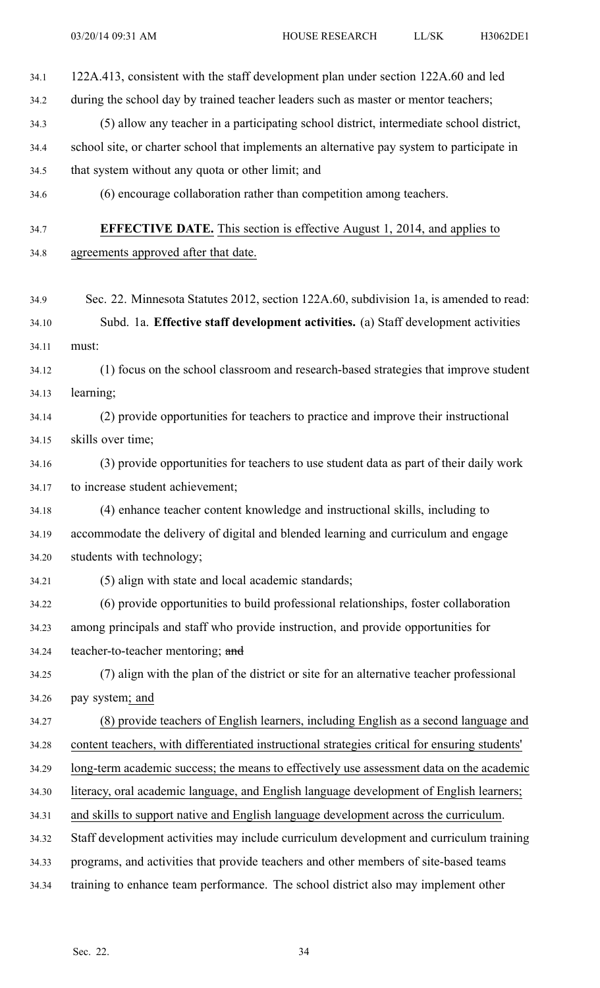34.1 122A.413, consistent with the staff development plan under section 122A.60 and led 34.2 during the school day by trained teacher leaders such as master or mentor teachers; 34.3 (5) allow any teacher in <sup>a</sup> participating school district, intermediate school district, 34.4 school site, or charter school that implements an alternative pay system to participate in 34.5 that system without any quota or other limit; and 34.6 (6) encourage collaboration rather than competition among teachers. 34.7 **EFFECTIVE DATE.** This section is effective August 1, 2014, and applies to 34.8 agreements approved after that date. 34.9 Sec. 22. Minnesota Statutes 2012, section 122A.60, subdivision 1a, is amended to read: 34.10 Subd. 1a. **Effective staff development activities.** (a) Staff development activities 34.11 must: 34.12 (1) focus on the school classroom and research-based strategies that improve student 34.13 learning; 34.14 (2) provide opportunities for teachers to practice and improve their instructional 34.15 skills over time; 34.16 (3) provide opportunities for teachers to use student data as par<sup>t</sup> of their daily work 34.17 to increase student achievement; 34.18 (4) enhance teacher content knowledge and instructional skills, including to 34.19 accommodate the delivery of digital and blended learning and curriculum and engage 34.20 students with technology; 34.21 (5) align with state and local academic standards; 34.22 (6) provide opportunities to build professional relationships, foster collaboration 34.23 among principals and staff who provide instruction, and provide opportunities for 34.24 teacher-to-teacher mentoring; and 34.25 (7) align with the plan of the district or site for an alternative teacher professional 34.26 pay system; and 34.27 (8) provide teachers of English learners, including English as <sup>a</sup> second language and 34.28 content teachers, with differentiated instructional strategies critical for ensuring students' 34.29 long-term academic success; the means to effectively use assessment data on the academic 34.30 literacy, oral academic language, and English language development of English learners; 34.31 and skills to suppor<sup>t</sup> native and English language development across the curriculum. 34.32 Staff development activities may include curriculum development and curriculum training 34.33 programs, and activities that provide teachers and other members of site-based teams 34.34 training to enhance team performance. The school district also may implement other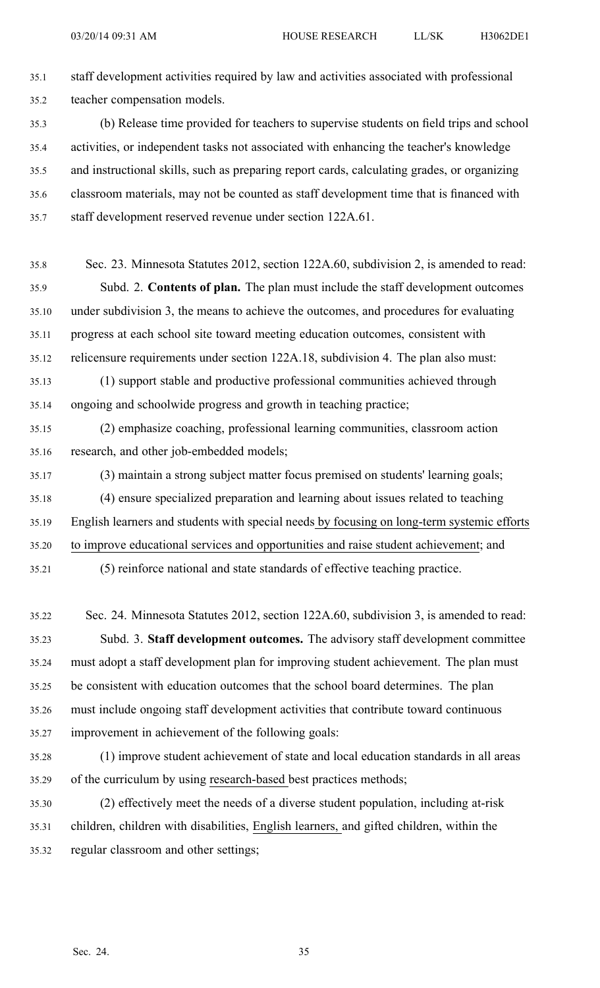35.1 staff development activities required by law and activities associated with professional 35.2 teacher compensation models. 35.3 (b) Release time provided for teachers to supervise students on field trips and school 35.4 activities, or independent tasks not associated with enhancing the teacher's knowledge 35.5 and instructional skills, such as preparing repor<sup>t</sup> cards, calculating grades, or organizing 35.6 classroom materials, may not be counted as staff development time that is financed with 35.7 staff development reserved revenue under section 122A.61. 35.8 Sec. 23. Minnesota Statutes 2012, section 122A.60, subdivision 2, is amended to read: 35.9 Subd. 2. **Contents of plan.** The plan must include the staff development outcomes 35.10 under subdivision 3, the means to achieve the outcomes, and procedures for evaluating 35.11 progress at each school site toward meeting education outcomes, consistent with 35.12 relicensure requirements under section 122A.18, subdivision 4. The plan also must: 35.13 (1) suppor<sup>t</sup> stable and productive professional communities achieved through

35.14 ongoing and schoolwide progress and growth in teaching practice;

35.15 (2) emphasize coaching, professional learning communities, classroom action 35.16 research, and other job-embedded models;

- 35.17 (3) maintain <sup>a</sup> strong subject matter focus premised on students' learning goals; 35.18 (4) ensure specialized preparation and learning about issues related to teaching 35.19 English learners and students with special needs by focusing on long-term systemic efforts 35.20 to improve educational services and opportunities and raise student achievement; and
- 35.21 (5) reinforce national and state standards of effective teaching practice.

35.22 Sec. 24. Minnesota Statutes 2012, section 122A.60, subdivision 3, is amended to read: 35.23 Subd. 3. **Staff development outcomes.** The advisory staff development committee 35.24 must adopt <sup>a</sup> staff development plan for improving student achievement. The plan must 35.25 be consistent with education outcomes that the school board determines. The plan 35.26 must include ongoing staff development activities that contribute toward continuous 35.27 improvement in achievement of the following goals:

- 35.28 (1) improve student achievement of state and local education standards in all areas 35.29 of the curriculum by using research-based best practices methods;
- 35.30 (2) effectively meet the needs of <sup>a</sup> diverse student population, including at-risk 35.31 children, children with disabilities, English learners, and gifted children, within the 35.32 regular classroom and other settings;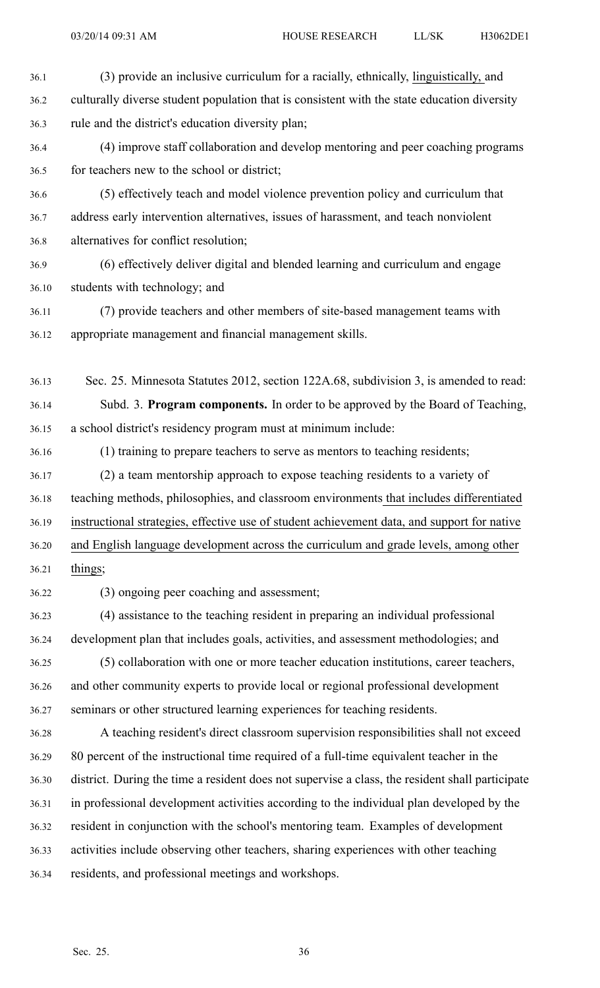36.2 culturally diverse student population that is consistent with the state education diversity 36.3 rule and the district's education diversity plan; 36.4 (4) improve staff collaboration and develop mentoring and peer coaching programs 36.5 for teachers new to the school or district; 36.6 (5) effectively teach and model violence prevention policy and curriculum that 36.7 address early intervention alternatives, issues of harassment, and teach nonviolent 36.8 alternatives for conflict resolution; 36.9 (6) effectively deliver digital and blended learning and curriculum and engage 36.10 students with technology; and 36.11 (7) provide teachers and other members of site-based managemen<sup>t</sup> teams with 36.12 appropriate managemen<sup>t</sup> and financial managemen<sup>t</sup> skills. 36.13 Sec. 25. Minnesota Statutes 2012, section 122A.68, subdivision 3, is amended to read: 36.14 Subd. 3. **Program components.** In order to be approved by the Board of Teaching, 36.15 <sup>a</sup> school district's residency program must at minimum include: 36.16 (1) training to prepare teachers to serve as mentors to teaching residents; 36.17 (2) <sup>a</sup> team mentorship approach to expose teaching residents to <sup>a</sup> variety of 36.18 teaching methods, philosophies, and classroom environments that includes differentiated 36.19 instructional strategies, effective use of student achievement data, and suppor<sup>t</sup> for native 36.20 and English language development across the curriculum and grade levels, among other 36.21 things; 36.22 (3) ongoing peer coaching and assessment; 36.23 (4) assistance to the teaching resident in preparing an individual professional 36.24 development plan that includes goals, activities, and assessment methodologies; and 36.25 (5) collaboration with one or more teacher education institutions, career teachers, 36.26 and other community experts to provide local or regional professional development 36.27 seminars or other structured learning experiences for teaching residents. 36.28 A teaching resident's direct classroom supervision responsibilities shall not exceed 36.29 80 percen<sup>t</sup> of the instructional time required of <sup>a</sup> full-time equivalent teacher in the

36.1 (3) provide an inclusive curriculum for <sup>a</sup> racially, ethnically, linguistically, and

36.30 district. During the time <sup>a</sup> resident does not supervise <sup>a</sup> class, the resident shall participate 36.31 in professional development activities according to the individual plan developed by the

36.32 resident in conjunction with the school's mentoring team. Examples of development

36.33 activities include observing other teachers, sharing experiences with other teaching

36.34 residents, and professional meetings and workshops.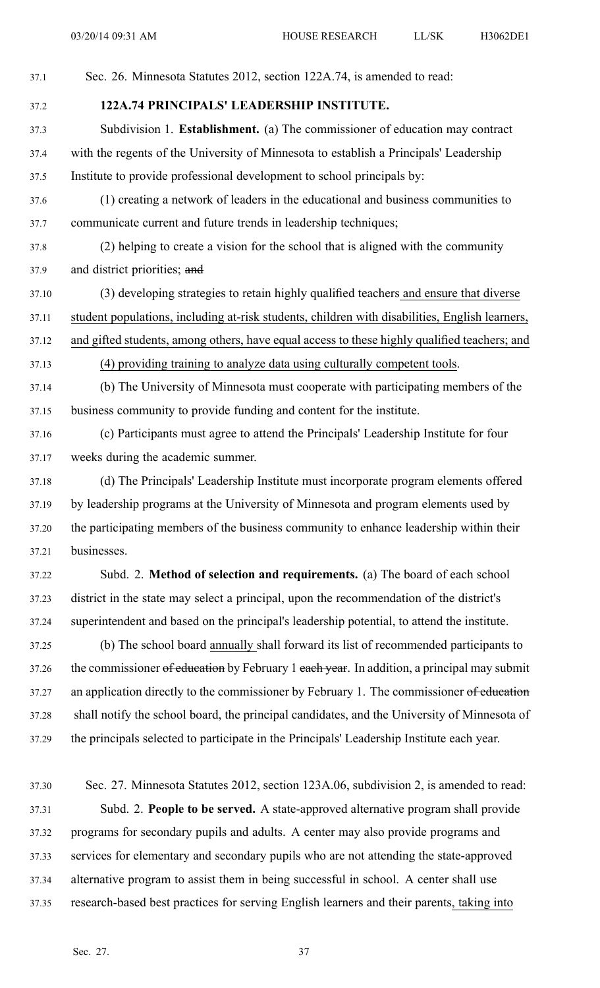37.1 Sec. 26. Minnesota Statutes 2012, section 122A.74, is amended to read: 37.2 **122A.74 PRINCIPALS' LEADERSHIP INSTITUTE.** 37.3 Subdivision 1. **Establishment.** (a) The commissioner of education may contract 37.4 with the regents of the University of Minnesota to establish <sup>a</sup> Principals' Leadership 37.5 Institute to provide professional development to school principals by: 37.6 (1) creating <sup>a</sup> network of leaders in the educational and business communities to 37.7 communicate current and future trends in leadership techniques; 37.8 (2) helping to create <sup>a</sup> vision for the school that is aligned with the community 37.9 and district priorities; and 37.10 (3) developing strategies to retain highly qualified teachers and ensure that diverse 37.11 student populations, including at-risk students, children with disabilities, English learners, 37.12 and gifted students, among others, have equal access to these highly qualified teachers; and

37.13 (4) providing training to analyze data using culturally competent tools.

37.14 (b) The University of Minnesota must cooperate with participating members of the 37.15 business community to provide funding and content for the institute.

37.16 (c) Participants must agree to attend the Principals' Leadership Institute for four 37.17 weeks during the academic summer.

37.18 (d) The Principals' Leadership Institute must incorporate program elements offered 37.19 by leadership programs at the University of Minnesota and program elements used by 37.20 the participating members of the business community to enhance leadership within their 37.21 businesses.

37.22 Subd. 2. **Method of selection and requirements.** (a) The board of each school 37.23 district in the state may select <sup>a</sup> principal, upon the recommendation of the district's 37.24 superintendent and based on the principal's leadership potential, to attend the institute.

37.25 (b) The school board annually shall forward its list of recommended participants to 37.26 the commissioner of education by February 1 each year. In addition, a principal may submit 37.27 an application directly to the commissioner by February 1. The commissioner of education 37.28 shall notify the school board, the principal candidates, and the University of Minnesota of 37.29 the principals selected to participate in the Principals' Leadership Institute each year.

37.30 Sec. 27. Minnesota Statutes 2012, section 123A.06, subdivision 2, is amended to read: 37.31 Subd. 2. **People to be served.** A state-approved alternative program shall provide 37.32 programs for secondary pupils and adults. A center may also provide programs and 37.33 services for elementary and secondary pupils who are not attending the state-approved 37.34 alternative program to assist them in being successful in school. A center shall use 37.35 research-based best practices for serving English learners and their parents, taking into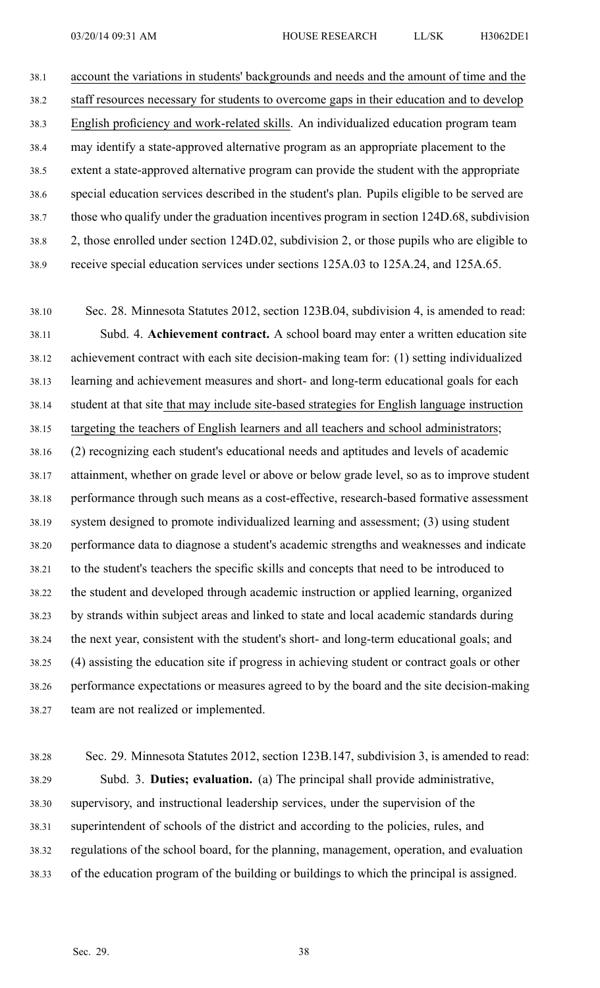38.1 account the variations in students' backgrounds and needs and the amount of time and the 38.2 staff resources necessary for students to overcome gaps in their education and to develop 38.3 English proficiency and work-related skills. An individualized education program team 38.4 may identify <sup>a</sup> state-approved alternative program as an appropriate placement to the 38.5 extent <sup>a</sup> state-approved alternative program can provide the student with the appropriate 38.6 special education services described in the student's plan. Pupils eligible to be served are 38.7 those who qualify under the graduation incentives program in section 124D.68, subdivision 38.8 2, those enrolled under section 124D.02, subdivision 2, or those pupils who are eligible to 38.9 receive special education services under sections 125A.03 to 125A.24, and 125A.65.

38.10 Sec. 28. Minnesota Statutes 2012, section 123B.04, subdivision 4, is amended to read: 38.11 Subd. 4. **Achievement contract.** A school board may enter <sup>a</sup> written education site 38.12 achievement contract with each site decision-making team for: (1) setting individualized 38.13 learning and achievement measures and short- and long-term educational goals for each 38.14 student at that site that may include site-based strategies for English language instruction 38.15 targeting the teachers of English learners and all teachers and school administrators; 38.16 (2) recognizing each student's educational needs and aptitudes and levels of academic 38.17 attainment, whether on grade level or above or below grade level, so as to improve student 38.18 performance through such means as <sup>a</sup> cost-effective, research-based formative assessment 38.19 system designed to promote individualized learning and assessment; (3) using student 38.20 performance data to diagnose <sup>a</sup> student's academic strengths and weaknesses and indicate 38.21 to the student's teachers the specific skills and concepts that need to be introduced to 38.22 the student and developed through academic instruction or applied learning, organized 38.23 by strands within subject areas and linked to state and local academic standards during 38.24 the next year, consistent with the student's short- and long-term educational goals; and 38.25 (4) assisting the education site if progress in achieving student or contract goals or other 38.26 performance expectations or measures agreed to by the board and the site decision-making 38.27 team are not realized or implemented.

38.28 Sec. 29. Minnesota Statutes 2012, section 123B.147, subdivision 3, is amended to read: 38.29 Subd. 3. **Duties; evaluation.** (a) The principal shall provide administrative, 38.30 supervisory, and instructional leadership services, under the supervision of the 38.31 superintendent of schools of the district and according to the policies, rules, and 38.32 regulations of the school board, for the planning, management, operation, and evaluation 38.33 of the education program of the building or buildings to which the principal is assigned.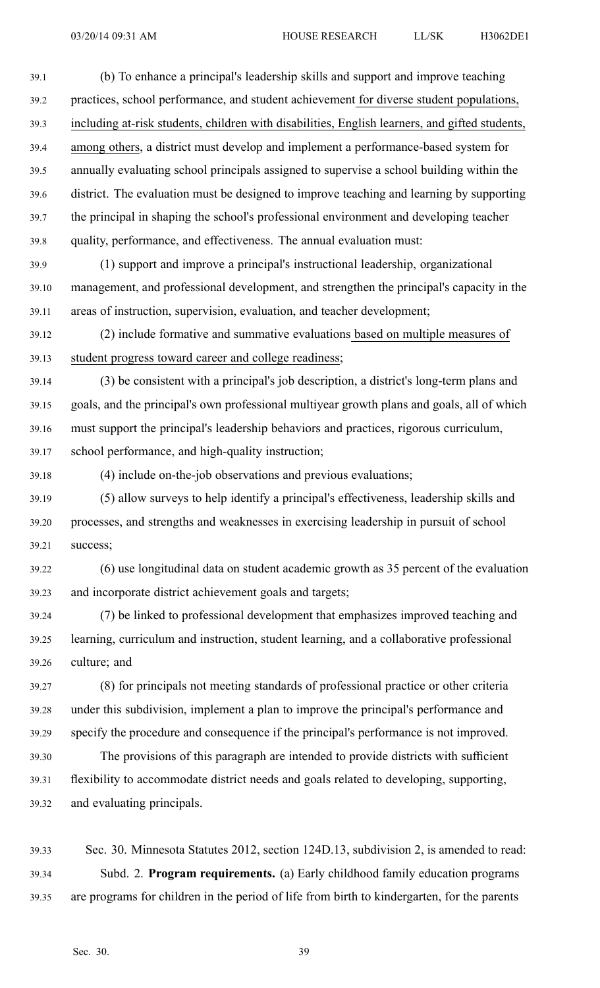39.1 (b) To enhance <sup>a</sup> principal's leadership skills and suppor<sup>t</sup> and improve teaching 39.2 practices, school performance, and student achievement for diverse student populations, 39.3 including at-risk students, children with disabilities, English learners, and gifted students, 39.4 among others, <sup>a</sup> district must develop and implement <sup>a</sup> performance-based system for 39.5 annually evaluating school principals assigned to supervise <sup>a</sup> school building within the 39.6 district. The evaluation must be designed to improve teaching and learning by supporting 39.7 the principal in shaping the school's professional environment and developing teacher 39.8 quality, performance, and effectiveness. The annual evaluation must:

39.9 (1) suppor<sup>t</sup> and improve <sup>a</sup> principal's instructional leadership, organizational 39.10 management, and professional development, and strengthen the principal's capacity in the 39.11 areas of instruction, supervision, evaluation, and teacher development;

39.12 (2) include formative and summative evaluations based on multiple measures of 39.13 student progress toward career and college readiness;

39.14 (3) be consistent with <sup>a</sup> principal's job description, <sup>a</sup> district's long-term plans and 39.15 goals, and the principal's own professional multiyear growth plans and goals, all of which 39.16 must suppor<sup>t</sup> the principal's leadership behaviors and practices, rigorous curriculum, 39.17 school performance, and high-quality instruction;

39.18 (4) include on-the-job observations and previous evaluations; 39.19 (5) allow surveys to help identify <sup>a</sup> principal's effectiveness, leadership skills and

39.20 processes, and strengths and weaknesses in exercising leadership in pursuit of school 39.21 success;

39.22 (6) use longitudinal data on student academic growth as 35 percen<sup>t</sup> of the evaluation 39.23 and incorporate district achievement goals and targets;

39.24 (7) be linked to professional development that emphasizes improved teaching and 39.25 learning, curriculum and instruction, student learning, and <sup>a</sup> collaborative professional 39.26 culture; and

39.27 (8) for principals not meeting standards of professional practice or other criteria 39.28 under this subdivision, implement <sup>a</sup> plan to improve the principal's performance and 39.29 specify the procedure and consequence if the principal's performance is not improved.

39.30 The provisions of this paragraph are intended to provide districts with sufficient 39.31 flexibility to accommodate district needs and goals related to developing, supporting, 39.32 and evaluating principals.

39.33 Sec. 30. Minnesota Statutes 2012, section 124D.13, subdivision 2, is amended to read: 39.34 Subd. 2. **Program requirements.** (a) Early childhood family education programs 39.35 are programs for children in the period of life from birth to kindergarten, for the parents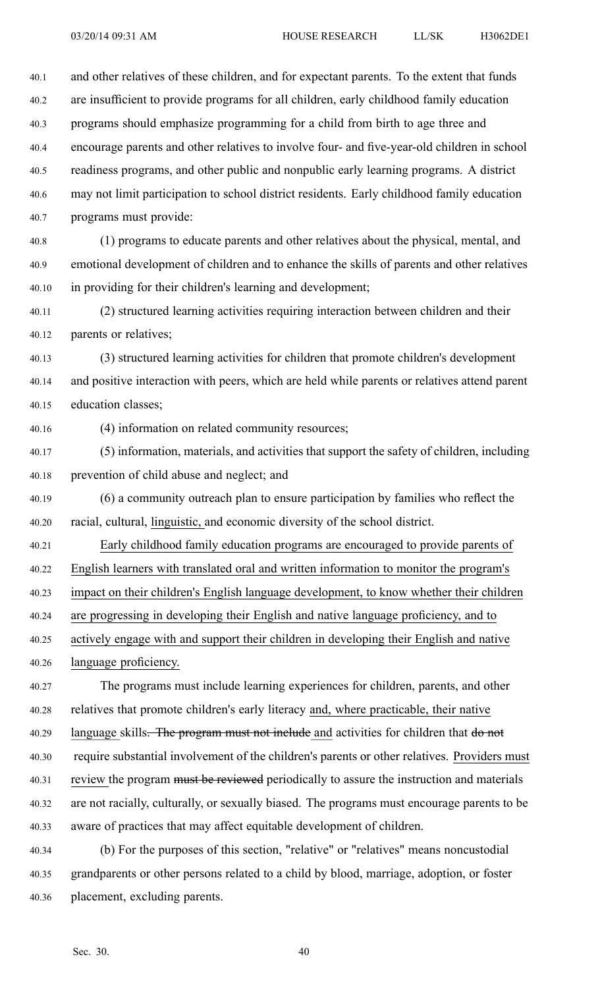40.1 and other relatives of these children, and for expectant parents. To the extent that funds 40.2 are insufficient to provide programs for all children, early childhood family education 40.3 programs should emphasize programming for <sup>a</sup> child from birth to age three and 40.4 encourage parents and other relatives to involve four- and five-year-old children in school 40.5 readiness programs, and other public and nonpublic early learning programs. A district 40.6 may not limit participation to school district residents. Early childhood family education 40.7 programs must provide:

40.8 (1) programs to educate parents and other relatives about the physical, mental, and 40.9 emotional development of children and to enhance the skills of parents and other relatives 40.10 in providing for their children's learning and development;

40.11 (2) structured learning activities requiring interaction between children and their 40.12 parents or relatives;

40.13 (3) structured learning activities for children that promote children's development 40.14 and positive interaction with peers, which are held while parents or relatives attend paren<sup>t</sup> 40.15 education classes;

40.16 (4) information on related community resources;

40.17 (5) information, materials, and activities that suppor<sup>t</sup> the safety of children, including 40.18 prevention of child abuse and neglect; and

40.19 (6) <sup>a</sup> community outreach plan to ensure participation by families who reflect the 40.20 racial, cultural, linguistic, and economic diversity of the school district.

40.21 Early childhood family education programs are encouraged to provide parents of 40.22 English learners with translated oral and written information to monitor the program's 40.23 impact on their children's English language development, to know whether their children 40.24 are progressing in developing their English and native language proficiency, and to 40.25 actively engage with and suppor<sup>t</sup> their children in developing their English and native

40.26 language proficiency. 40.27 The programs must include learning experiences for children, parents, and other

40.28 relatives that promote children's early literacy and, where practicable, their native 40.29 language skills. The program must not include and activities for children that do not 40.30 require substantial involvement of the children's parents or other relatives. Providers must 40.31 review the program must be reviewed periodically to assure the instruction and materials 40.32 are not racially, culturally, or sexually biased. The programs must encourage parents to be 40.33 aware of practices that may affect equitable development of children.

40.34 (b) For the purposes of this section, "relative" or "relatives" means noncustodial 40.35 grandparents or other persons related to <sup>a</sup> child by blood, marriage, adoption, or foster 40.36 placement, excluding parents.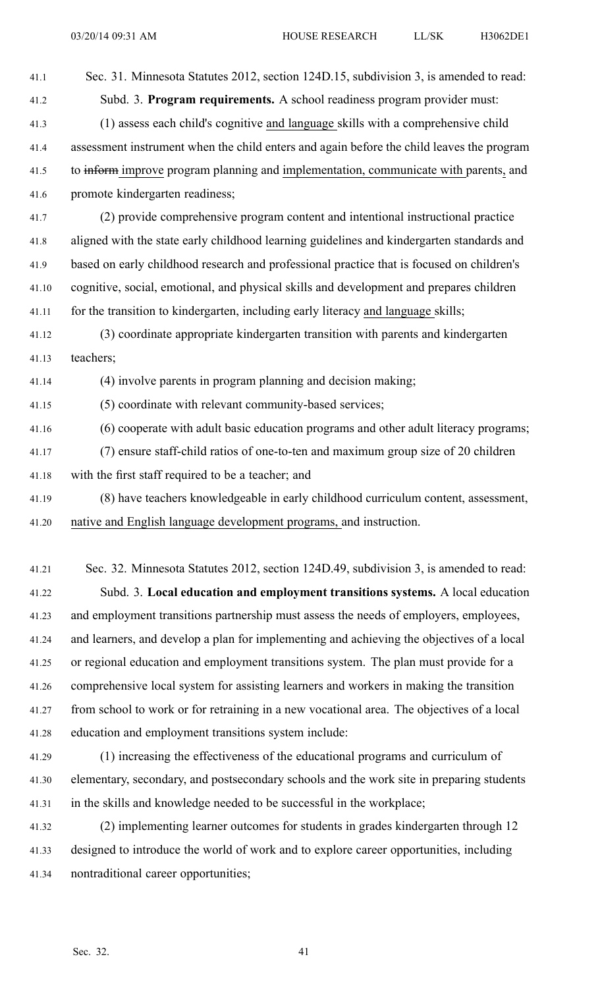41.1 Sec. 31. Minnesota Statutes 2012, section 124D.15, subdivision 3, is amended to read: 41.2 Subd. 3. **Program requirements.** A school readiness program provider must: 41.3 (1) assess each child's cognitive and language skills with <sup>a</sup> comprehensive child 41.4 assessment instrument when the child enters and again before the child leaves the program 41.5 to inform improve program planning and implementation, communicate with parents, and 41.6 promote kindergarten readiness; 41.7 (2) provide comprehensive program content and intentional instructional practice 41.8 aligned with the state early childhood learning guidelines and kindergarten standards and 41.9 based on early childhood research and professional practice that is focused on children's 41.10 cognitive, social, emotional, and physical skills and development and prepares children 41.11 for the transition to kindergarten, including early literacy and language skills; 41.12 (3) coordinate appropriate kindergarten transition with parents and kindergarten 41.13 teachers; 41.14 (4) involve parents in program planning and decision making;

41.15 (5) coordinate with relevant community-based services;

- 41.16 (6) cooperate with adult basic education programs and other adult literacy programs;
- 41.17 (7) ensure staff-child ratios of one-to-ten and maximum group size of 20 children
- 41.18 with the first staff required to be <sup>a</sup> teacher; and
- 41.19 (8) have teachers knowledgeable in early childhood curriculum content, assessment, 41.20 native and English language development programs, and instruction.

41.21 Sec. 32. Minnesota Statutes 2012, section 124D.49, subdivision 3, is amended to read: 41.22 Subd. 3. **Local education and employment transitions systems.** A local education 41.23 and employment transitions partnership must assess the needs of employers, employees, 41.24 and learners, and develop <sup>a</sup> plan for implementing and achieving the objectives of <sup>a</sup> local 41.25 or regional education and employment transitions system. The plan must provide for <sup>a</sup> 41.26 comprehensive local system for assisting learners and workers in making the transition 41.27 from school to work or for retraining in <sup>a</sup> new vocational area. The objectives of <sup>a</sup> local 41.28 education and employment transitions system include:

41.29 (1) increasing the effectiveness of the educational programs and curriculum of 41.30 elementary, secondary, and postsecondary schools and the work site in preparing students 41.31 in the skills and knowledge needed to be successful in the workplace;

41.32 (2) implementing learner outcomes for students in grades kindergarten through 12 41.33 designed to introduce the world of work and to explore career opportunities, including 41.34 nontraditional career opportunities;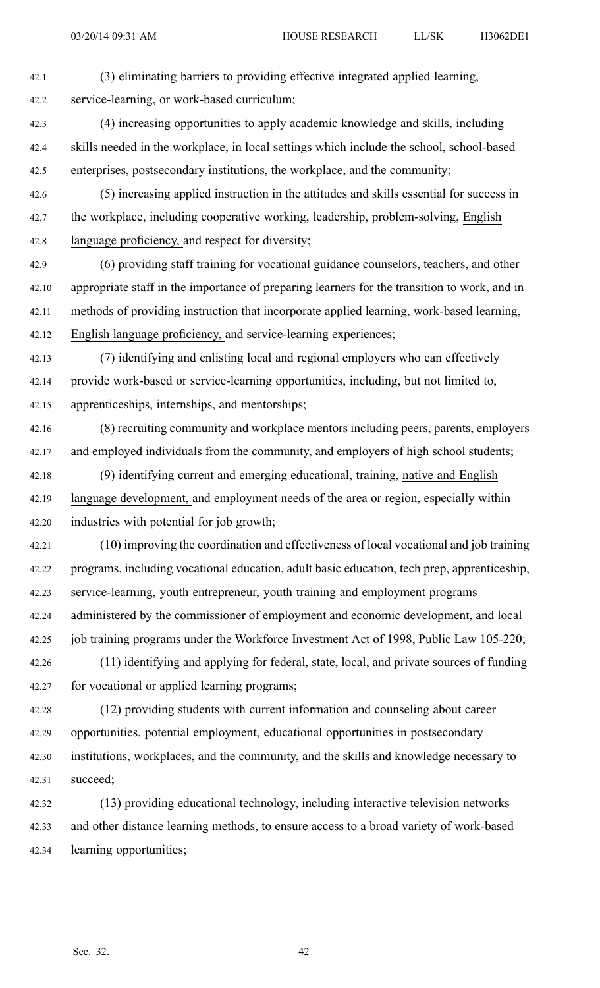42.1 (3) eliminating barriers to providing effective integrated applied learning, 42.2 service-learning, or work-based curriculum;

- 42.3 (4) increasing opportunities to apply academic knowledge and skills, including 42.4 skills needed in the workplace, in local settings which include the school, school-based 42.5 enterprises, postsecondary institutions, the workplace, and the community;
- 42.6 (5) increasing applied instruction in the attitudes and skills essential for success in 42.7 the workplace, including cooperative working, leadership, problem-solving, English 42.8 language proficiency, and respec<sup>t</sup> for diversity;
- 42.9 (6) providing staff training for vocational guidance counselors, teachers, and other 42.10 appropriate staff in the importance of preparing learners for the transition to work, and in 42.11 methods of providing instruction that incorporate applied learning, work-based learning, 42.12 English language proficiency, and service-learning experiences;
- 42.13 (7) identifying and enlisting local and regional employers who can effectively 42.14 provide work-based or service-learning opportunities, including, but not limited to, 42.15 apprenticeships, internships, and mentorships;
- 42.16 (8) recruiting community and workplace mentors including peers, parents, employers 42.17 and employed individuals from the community, and employers of high school students;
- 42.18 (9) identifying current and emerging educational, training, native and English 42.19 language development, and employment needs of the area or region, especially within 42.20 industries with potential for job growth;
- 42.21 (10) improving the coordination and effectiveness of local vocational and job training 42.22 programs, including vocational education, adult basic education, tech prep, apprenticeship, 42.23 service-learning, youth entrepreneur, youth training and employment programs 42.24 administered by the commissioner of employment and economic development, and local 42.25 job training programs under the Workforce Investment Act of 1998, Public Law 105-220;
- 42.26 (11) identifying and applying for federal, state, local, and private sources of funding 42.27 for vocational or applied learning programs;
- 42.28 (12) providing students with current information and counseling about career 42.29 opportunities, potential employment, educational opportunities in postsecondary 42.30 institutions, workplaces, and the community, and the skills and knowledge necessary to 42.31 succeed;
- 42.32 (13) providing educational technology, including interactive television networks 42.33 and other distance learning methods, to ensure access to <sup>a</sup> broad variety of work-based 42.34 learning opportunities;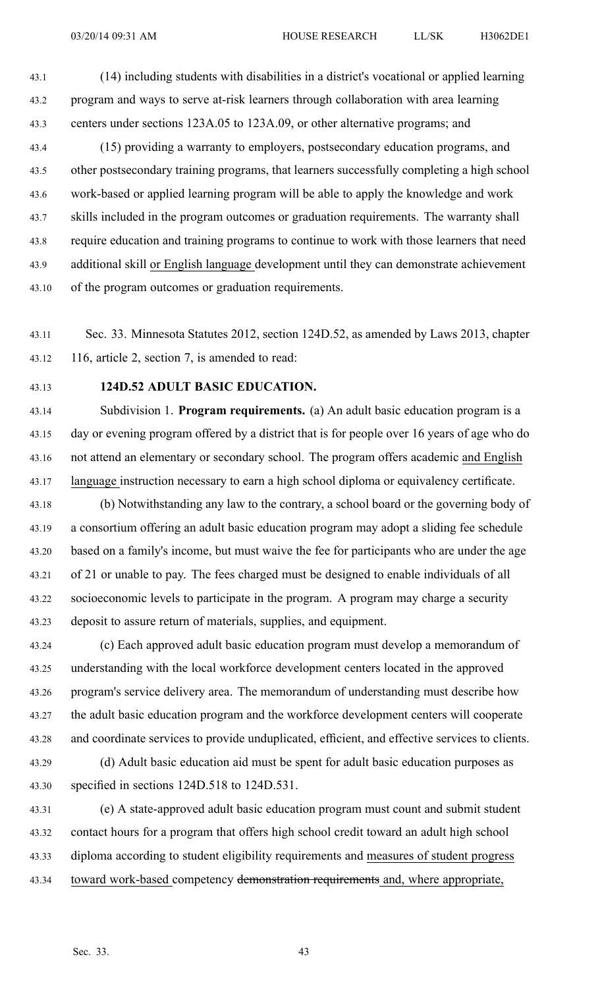43.1 (14) including students with disabilities in <sup>a</sup> district's vocational or applied learning 43.2 program and ways to serve at-risk learners through collaboration with area learning 43.3 centers under sections 123A.05 to 123A.09, or other alternative programs; and

43.4 (15) providing <sup>a</sup> warranty to employers, postsecondary education programs, and 43.5 other postsecondary training programs, that learners successfully completing <sup>a</sup> high school 43.6 work-based or applied learning program will be able to apply the knowledge and work 43.7 skills included in the program outcomes or graduation requirements. The warranty shall 43.8 require education and training programs to continue to work with those learners that need 43.9 additional skill or English language development until they can demonstrate achievement 43.10 of the program outcomes or graduation requirements.

43.11 Sec. 33. Minnesota Statutes 2012, section 124D.52, as amended by Laws 2013, chapter 43.12 116, article 2, section 7, is amended to read:

#### 43.13 **124D.52 ADULT BASIC EDUCATION.**

43.14 Subdivision 1. **Program requirements.** (a) An adult basic education program is <sup>a</sup> 43.15 day or evening program offered by <sup>a</sup> district that is for people over 16 years of age who do 43.16 not attend an elementary or secondary school. The program offers academic and English 43.17 language instruction necessary to earn <sup>a</sup> high school diploma or equivalency certificate.

43.18 (b) Notwithstanding any law to the contrary, <sup>a</sup> school board or the governing body of 43.19 <sup>a</sup> consortium offering an adult basic education program may adopt <sup>a</sup> sliding fee schedule 43.20 based on <sup>a</sup> family's income, but must waive the fee for participants who are under the age 43.21 of 21 or unable to pay. The fees charged must be designed to enable individuals of all 43.22 socioeconomic levels to participate in the program. A program may charge <sup>a</sup> security 43.23 deposit to assure return of materials, supplies, and equipment.

43.24 (c) Each approved adult basic education program must develop <sup>a</sup> memorandum of 43.25 understanding with the local workforce development centers located in the approved 43.26 program's service delivery area. The memorandum of understanding must describe how 43.27 the adult basic education program and the workforce development centers will cooperate 43.28 and coordinate services to provide unduplicated, efficient, and effective services to clients.

43.29 (d) Adult basic education aid must be spen<sup>t</sup> for adult basic education purposes as 43.30 specified in sections 124D.518 to 124D.531.

43.31 (e) A state-approved adult basic education program must count and submit student 43.32 contact hours for <sup>a</sup> program that offers high school credit toward an adult high school 43.33 diploma according to student eligibility requirements and measures of student progress 43.34 toward work-based competency demonstration requirements and, where appropriate,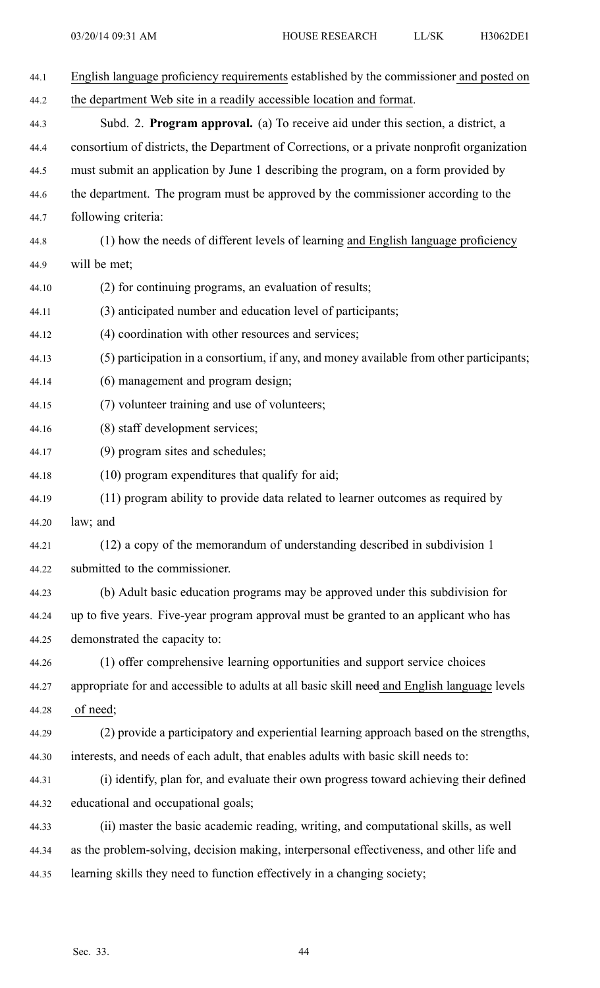| 44.1  | English language proficiency requirements established by the commissioner and posted on      |
|-------|----------------------------------------------------------------------------------------------|
| 44.2  | the department Web site in a readily accessible location and format.                         |
| 44.3  | Subd. 2. <b>Program approval.</b> (a) To receive aid under this section, a district, a       |
| 44.4  | consortium of districts, the Department of Corrections, or a private nonprofit organization  |
| 44.5  | must submit an application by June 1 describing the program, on a form provided by           |
| 44.6  | the department. The program must be approved by the commissioner according to the            |
| 44.7  | following criteria:                                                                          |
| 44.8  | (1) how the needs of different levels of learning and English language proficiency           |
| 44.9  | will be met;                                                                                 |
| 44.10 | (2) for continuing programs, an evaluation of results;                                       |
| 44.11 | (3) anticipated number and education level of participants;                                  |
| 44.12 | (4) coordination with other resources and services;                                          |
| 44.13 | (5) participation in a consortium, if any, and money available from other participants;      |
| 44.14 | (6) management and program design;                                                           |
| 44.15 | (7) volunteer training and use of volunteers;                                                |
| 44.16 | (8) staff development services;                                                              |
| 44.17 | (9) program sites and schedules;                                                             |
| 44.18 | (10) program expenditures that qualify for aid;                                              |
| 44.19 | (11) program ability to provide data related to learner outcomes as required by              |
| 44.20 | law; and                                                                                     |
| 44.21 | (12) a copy of the memorandum of understanding described in subdivision 1                    |
| 44.22 | submitted to the commissioner.                                                               |
| 44.23 | (b) Adult basic education programs may be approved under this subdivision for                |
| 44.24 | up to five years. Five-year program approval must be granted to an applicant who has         |
| 44.25 | demonstrated the capacity to:                                                                |
| 44.26 | (1) offer comprehensive learning opportunities and support service choices                   |
| 44.27 | appropriate for and accessible to adults at all basic skill need and English language levels |
| 44.28 | of need;                                                                                     |
| 44.29 | (2) provide a participatory and experiential learning approach based on the strengths,       |
| 44.30 | interests, and needs of each adult, that enables adults with basic skill needs to:           |
| 44.31 | (i) identify, plan for, and evaluate their own progress toward achieving their defined       |
| 44.32 | educational and occupational goals;                                                          |
| 44.33 | (ii) master the basic academic reading, writing, and computational skills, as well           |
| 44.34 | as the problem-solving, decision making, interpersonal effectiveness, and other life and     |
| 44.35 | learning skills they need to function effectively in a changing society;                     |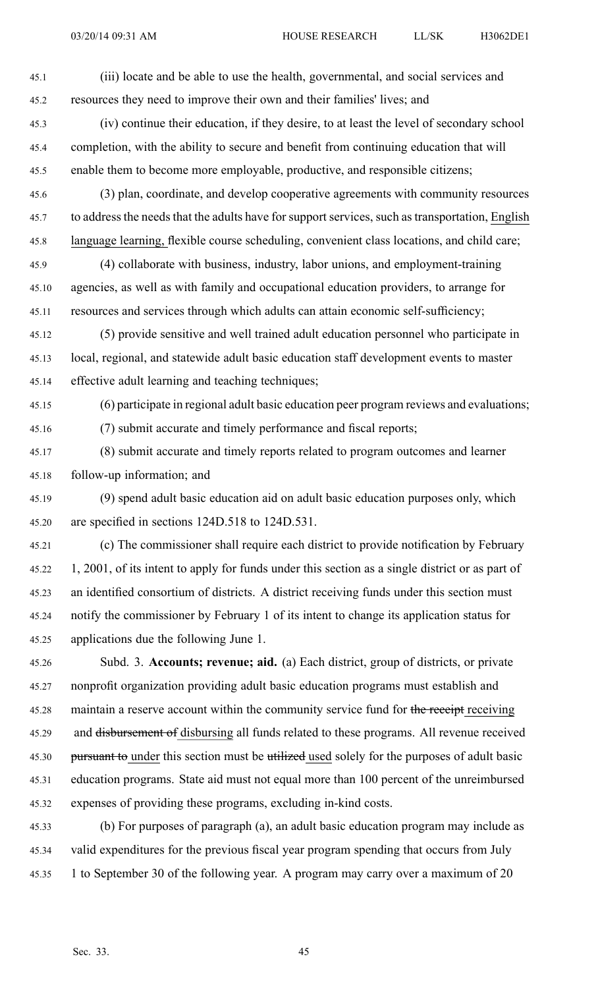- 45.1 (iii) locate and be able to use the health, governmental, and social services and 45.2 resources they need to improve their own and their families' lives; and 45.3 (iv) continue their education, if they desire, to at least the level of secondary school 45.4 completion, with the ability to secure and benefit from continuing education that will 45.5 enable them to become more employable, productive, and responsible citizens; 45.6 (3) plan, coordinate, and develop cooperative agreements with community resources 45.7 to address the needs that the adults have for support services, such as transportation, English 45.8 language learning, flexible course scheduling, convenient class locations, and child care; 45.9 (4) collaborate with business, industry, labor unions, and employment-training 45.10 agencies, as well as with family and occupational education providers, to arrange for 45.11 resources and services through which adults can attain economic self-sufficiency; 45.12 (5) provide sensitive and well trained adult education personnel who participate in 45.13 local, regional, and statewide adult basic education staff development events to master 45.14 effective adult learning and teaching techniques; 45.15 (6) participate in regional adult basic education peer program reviews and evaluations; 45.16 (7) submit accurate and timely performance and fiscal reports; 45.17 (8) submit accurate and timely reports related to program outcomes and learner 45.18 follow-up information; and 45.19 (9) spend adult basic education aid on adult basic education purposes only, which 45.20 are specified in sections 124D.518 to 124D.531. 45.21 (c) The commissioner shall require each district to provide notification by February 45.22 1, 2001, of its intent to apply for funds under this section as <sup>a</sup> single district or as par<sup>t</sup> of 45.23 an identified consortium of districts. A district receiving funds under this section must 45.24 notify the commissioner by February 1 of its intent to change its application status for 45.25 applications due the following June 1.
	- 45.26 Subd. 3. **Accounts; revenue; aid.** (a) Each district, group of districts, or private 45.27 nonprofit organization providing adult basic education programs must establish and 45.28 maintain a reserve account within the community service fund for the receipt receiving 45.29 and disbursement of disbursing all funds related to these programs. All revenue received 45.30 pursuant to under this section must be utilized used solely for the purposes of adult basic 45.31 education programs. State aid must not equal more than 100 percen<sup>t</sup> of the unreimbursed 45.32 expenses of providing these programs, excluding in-kind costs.
	- 45.33 (b) For purposes of paragraph (a), an adult basic education program may include as 45.34 valid expenditures for the previous fiscal year program spending that occurs from July 45.35 1 to September 30 of the following year. A program may carry over <sup>a</sup> maximum of 20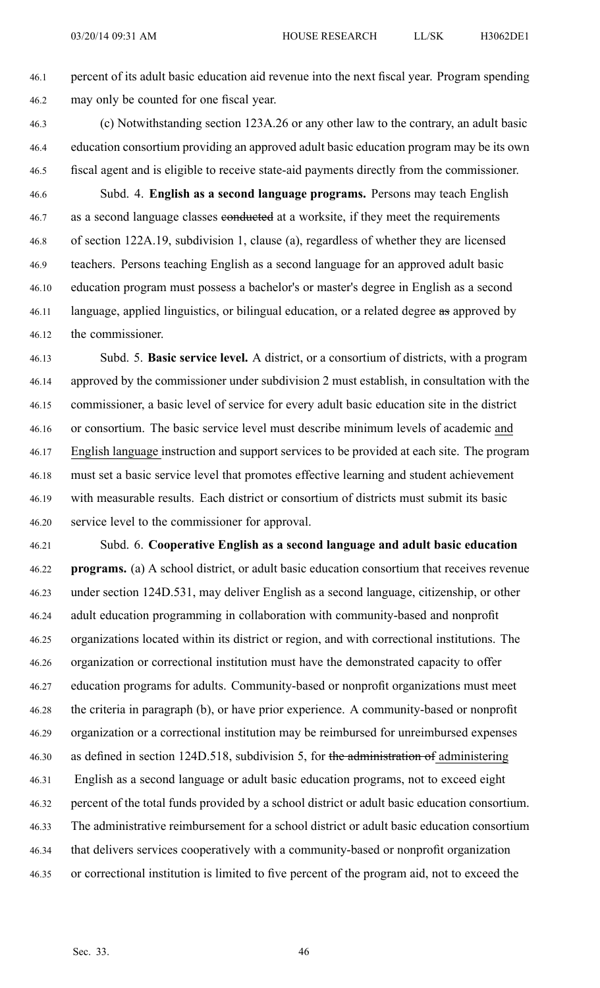46.1 percen<sup>t</sup> of its adult basic education aid revenue into the next fiscal year. Program spending 46.2 may only be counted for one fiscal year.

46.3 (c) Notwithstanding section 123A.26 or any other law to the contrary, an adult basic 46.4 education consortium providing an approved adult basic education program may be its own 46.5 fiscal agen<sup>t</sup> and is eligible to receive state-aid payments directly from the commissioner.

46.6 Subd. 4. **English as <sup>a</sup> second language programs.** Persons may teach English 46.7 as a second language classes conducted at a worksite, if they meet the requirements 46.8 of section 122A.19, subdivision 1, clause (a), regardless of whether they are licensed 46.9 teachers. Persons teaching English as <sup>a</sup> second language for an approved adult basic 46.10 education program must possess <sup>a</sup> bachelor's or master's degree in English as <sup>a</sup> second 46.11 language, applied linguistics, or bilingual education, or a related degree as approved by 46.12 the commissioner.

46.13 Subd. 5. **Basic service level.** A district, or <sup>a</sup> consortium of districts, with <sup>a</sup> program 46.14 approved by the commissioner under subdivision 2 must establish, in consultation with the 46.15 commissioner, <sup>a</sup> basic level of service for every adult basic education site in the district 46.16 or consortium. The basic service level must describe minimum levels of academic and 46.17 English language instruction and suppor<sup>t</sup> services to be provided at each site. The program 46.18 must set <sup>a</sup> basic service level that promotes effective learning and student achievement 46.19 with measurable results. Each district or consortium of districts must submit its basic 46.20 service level to the commissioner for approval.

46.21 Subd. 6. **Cooperative English as <sup>a</sup> second language and adult basic education** 46.22 **programs.** (a) A school district, or adult basic education consortium that receives revenue 46.23 under section 124D.531, may deliver English as <sup>a</sup> second language, citizenship, or other 46.24 adult education programming in collaboration with community-based and nonprofit 46.25 organizations located within its district or region, and with correctional institutions. The 46.26 organization or correctional institution must have the demonstrated capacity to offer 46.27 education programs for adults. Community-based or nonprofit organizations must meet 46.28 the criteria in paragraph (b), or have prior experience. A community-based or nonprofit 46.29 organization or <sup>a</sup> correctional institution may be reimbursed for unreimbursed expenses 46.30 as defined in section 124D.518, subdivision 5, for the administration of administering 46.31 English as <sup>a</sup> second language or adult basic education programs, not to exceed eight 46.32 percen<sup>t</sup> of the total funds provided by <sup>a</sup> school district or adult basic education consortium. 46.33 The administrative reimbursement for <sup>a</sup> school district or adult basic education consortium 46.34 that delivers services cooperatively with <sup>a</sup> community-based or nonprofit organization 46.35 or correctional institution is limited to five percen<sup>t</sup> of the program aid, not to exceed the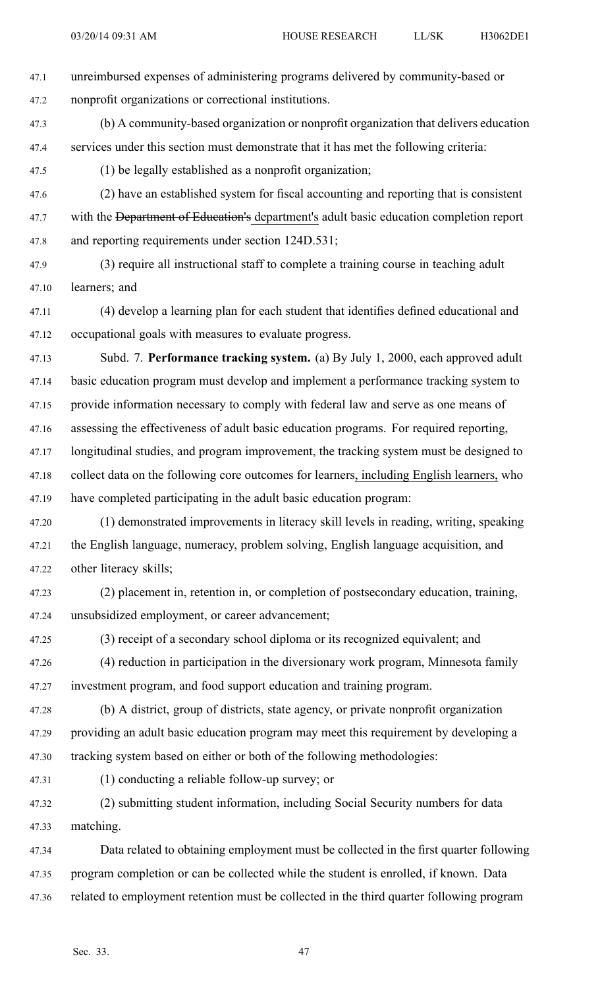- 47.1 unreimbursed expenses of administering programs delivered by community-based or 47.2 nonprofit organizations or correctional institutions.
- 47.3 (b) A community-based organization or nonprofit organization that delivers education 47.4 services under this section must demonstrate that it has met the following criteria:

47.5 (1) be legally established as <sup>a</sup> nonprofit organization;

47.6 (2) have an established system for fiscal accounting and reporting that is consistent 47.7 with the Department of Education's department's adult basic education completion report 47.8 and reporting requirements under section 124D.531;

47.9 (3) require all instructional staff to complete <sup>a</sup> training course in teaching adult 47.10 learners; and

47.11 (4) develop <sup>a</sup> learning plan for each student that identifies defined educational and 47.12 occupational goals with measures to evaluate progress.

47.13 Subd. 7. **Performance tracking system.** (a) By July 1, 2000, each approved adult 47.14 basic education program must develop and implement <sup>a</sup> performance tracking system to 47.15 provide information necessary to comply with federal law and serve as one means of 47.16 assessing the effectiveness of adult basic education programs. For required reporting, 47.17 longitudinal studies, and program improvement, the tracking system must be designed to 47.18 collect data on the following core outcomes for learners, including English learners, who 47.19 have completed participating in the adult basic education program:

- 47.20 (1) demonstrated improvements in literacy skill levels in reading, writing, speaking 47.21 the English language, numeracy, problem solving, English language acquisition, and 47.22 other literacy skills;
- 47.23 (2) placement in, retention in, or completion of postsecondary education, training, 47.24 unsubsidized employment, or career advancement;
- 47.25 (3) receipt of <sup>a</sup> secondary school diploma or its recognized equivalent; and 47.26 (4) reduction in participation in the diversionary work program, Minnesota family 47.27 investment program, and food suppor<sup>t</sup> education and training program.

47.28 (b) A district, group of districts, state agency, or private nonprofit organization 47.29 providing an adult basic education program may meet this requirement by developing <sup>a</sup> 47.30 tracking system based on either or both of the following methodologies:

- 
- 47.31 (1) conducting <sup>a</sup> reliable follow-up survey; or

47.32 (2) submitting student information, including Social Security numbers for data 47.33 matching.

47.34 Data related to obtaining employment must be collected in the first quarter following 47.35 program completion or can be collected while the student is enrolled, if known. Data 47.36 related to employment retention must be collected in the third quarter following program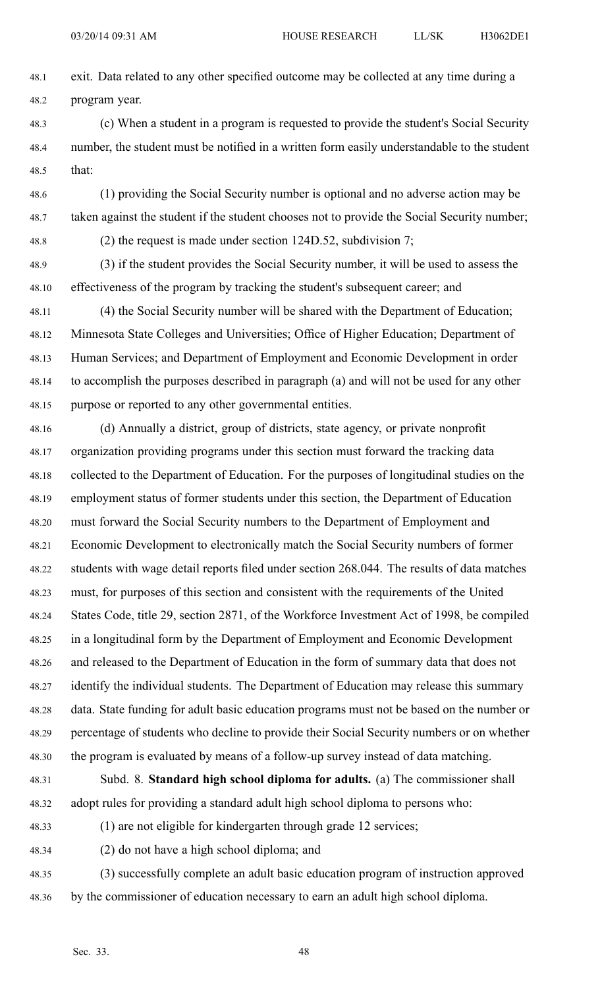- 48.1 exit. Data related to any other specified outcome may be collected at any time during <sup>a</sup> 48.2 program year.
- 48.3 (c) When <sup>a</sup> student in <sup>a</sup> program is requested to provide the student's Social Security 48.4 number, the student must be notified in <sup>a</sup> written form easily understandable to the student 48.5 that:
- 48.6 (1) providing the Social Security number is optional and no adverse action may be 48.7 taken against the student if the student chooses not to provide the Social Security number;
- 

48.8 (2) the request is made under section 124D.52, subdivision 7;

48.9 (3) if the student provides the Social Security number, it will be used to assess the 48.10 effectiveness of the program by tracking the student's subsequent career; and

48.11 (4) the Social Security number will be shared with the Department of Education; 48.12 Minnesota State Colleges and Universities; Office of Higher Education; Department of 48.13 Human Services; and Department of Employment and Economic Development in order 48.14 to accomplish the purposes described in paragraph (a) and will not be used for any other 48.15 purpose or reported to any other governmental entities.

48.16 (d) Annually <sup>a</sup> district, group of districts, state agency, or private nonprofit 48.17 organization providing programs under this section must forward the tracking data 48.18 collected to the Department of Education. For the purposes of longitudinal studies on the 48.19 employment status of former students under this section, the Department of Education 48.20 must forward the Social Security numbers to the Department of Employment and 48.21 Economic Development to electronically match the Social Security numbers of former 48.22 students with wage detail reports filed under section 268.044. The results of data matches 48.23 must, for purposes of this section and consistent with the requirements of the United 48.24 States Code, title 29, section 2871, of the Workforce Investment Act of 1998, be compiled 48.25 in <sup>a</sup> longitudinal form by the Department of Employment and Economic Development 48.26 and released to the Department of Education in the form of summary data that does not 48.27 identify the individual students. The Department of Education may release this summary 48.28 data. State funding for adult basic education programs must not be based on the number or 48.29 percentage of students who decline to provide their Social Security numbers or on whether 48.30 the program is evaluated by means of <sup>a</sup> follow-up survey instead of data matching.

48.31 Subd. 8. **Standard high school diploma for adults.** (a) The commissioner shall 48.32 adopt rules for providing <sup>a</sup> standard adult high school diploma to persons who:

48.33 (1) are not eligible for kindergarten through grade 12 services;

- 48.34 (2) do not have <sup>a</sup> high school diploma; and
- 48.35 (3) successfully complete an adult basic education program of instruction approved 48.36 by the commissioner of education necessary to earn an adult high school diploma.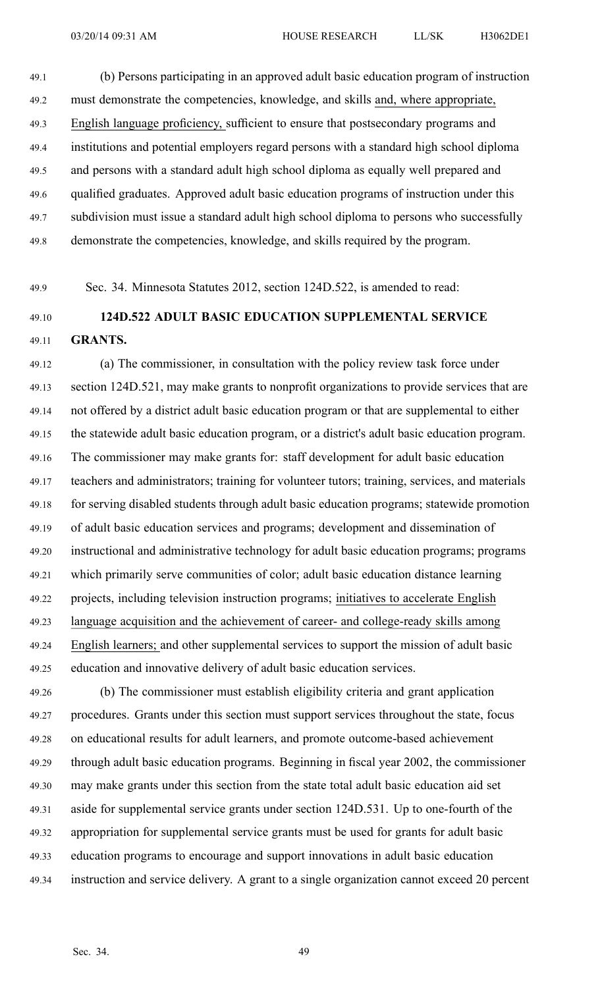49.1 (b) Persons participating in an approved adult basic education program of instruction 49.2 must demonstrate the competencies, knowledge, and skills and, where appropriate, 49.3 English language proficiency, sufficient to ensure that postsecondary programs and 49.4 institutions and potential employers regard persons with <sup>a</sup> standard high school diploma 49.5 and persons with <sup>a</sup> standard adult high school diploma as equally well prepared and 49.6 qualified graduates. Approved adult basic education programs of instruction under this 49.7 subdivision must issue <sup>a</sup> standard adult high school diploma to persons who successfully 49.8 demonstrate the competencies, knowledge, and skills required by the program.

49.9 Sec. 34. Minnesota Statutes 2012, section 124D.522, is amended to read:

### 49.10 **124D.522 ADULT BASIC EDUCATION SUPPLEMENTAL SERVICE** 49.11 **GRANTS.**

49.12 (a) The commissioner, in consultation with the policy review task force under 49.13 section 124D.521, may make grants to nonprofit organizations to provide services that are 49.14 not offered by <sup>a</sup> district adult basic education program or that are supplemental to either 49.15 the statewide adult basic education program, or <sup>a</sup> district's adult basic education program. 49.16 The commissioner may make grants for: staff development for adult basic education 49.17 teachers and administrators; training for volunteer tutors; training, services, and materials 49.18 for serving disabled students through adult basic education programs; statewide promotion 49.19 of adult basic education services and programs; development and dissemination of 49.20 instructional and administrative technology for adult basic education programs; programs 49.21 which primarily serve communities of color; adult basic education distance learning 49.22 projects, including television instruction programs; initiatives to accelerate English 49.23 language acquisition and the achievement of career- and college-ready skills among 49.24 English learners; and other supplemental services to suppor<sup>t</sup> the mission of adult basic 49.25 education and innovative delivery of adult basic education services.

49.26 (b) The commissioner must establish eligibility criteria and gran<sup>t</sup> application 49.27 procedures. Grants under this section must suppor<sup>t</sup> services throughout the state, focus 49.28 on educational results for adult learners, and promote outcome-based achievement 49.29 through adult basic education programs. Beginning in fiscal year 2002, the commissioner 49.30 may make grants under this section from the state total adult basic education aid set 49.31 aside for supplemental service grants under section 124D.531. Up to one-fourth of the 49.32 appropriation for supplemental service grants must be used for grants for adult basic 49.33 education programs to encourage and suppor<sup>t</sup> innovations in adult basic education 49.34 instruction and service delivery. A gran<sup>t</sup> to <sup>a</sup> single organization cannot exceed 20 percen<sup>t</sup>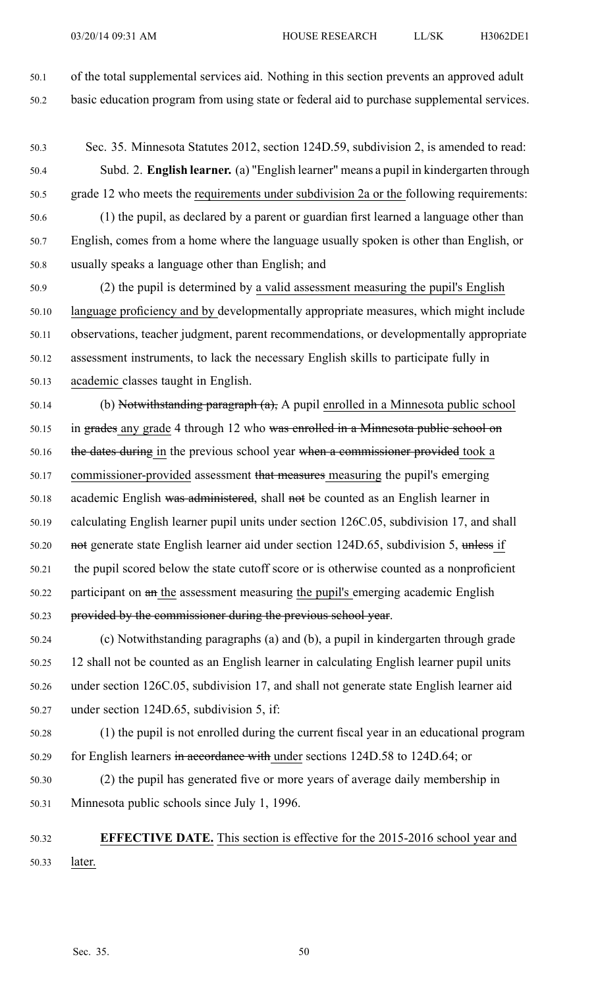50.1 of the total supplemental services aid. Nothing in this section prevents an approved adult 50.2 basic education program from using state or federal aid to purchase supplemental services.

50.3 Sec. 35. Minnesota Statutes 2012, section 124D.59, subdivision 2, is amended to read: 50.4 Subd. 2. **English learner.** (a) "English learner" means <sup>a</sup> pupil in kindergarten through 50.5 grade 12 who meets the requirements under subdivision 2a or the following requirements: 50.6 (1) the pupil, as declared by <sup>a</sup> paren<sup>t</sup> or guardian first learned <sup>a</sup> language other than

50.7 English, comes from <sup>a</sup> home where the language usually spoken is other than English, or 50.8 usually speaks <sup>a</sup> language other than English; and

50.9 (2) the pupil is determined by <sup>a</sup> valid assessment measuring the pupil's English 50.10 language proficiency and by developmentally appropriate measures, which might include 50.11 observations, teacher judgment, paren<sup>t</sup> recommendations, or developmentally appropriate 50.12 assessment instruments, to lack the necessary English skills to participate fully in 50.13 academic classes taught in English.

50.14 (b) Notwithstanding paragraph  $(a)$ , A pupil enrolled in a Minnesota public school 50.15 in grades any grade 4 through 12 who was enrolled in a Minnesota public school on 50.16 the dates during in the previous school year when a commissioner provided took a 50.17 commissioner-provided assessment that measures measuring the pupil's emerging 50.18 academic English was administered, shall not be counted as an English learner in 50.19 calculating English learner pupil units under section 126C.05, subdivision 17, and shall 50.20 not generate state English learner aid under section 124D.65, subdivision 5, unless if 50.21 the pupil scored below the state cutoff score or is otherwise counted as <sup>a</sup> nonproficient 50.22 participant on an the assessment measuring the pupil's emerging academic English 50.23 provided by the commissioner during the previous school year.

- 50.24 (c) Notwithstanding paragraphs (a) and (b), <sup>a</sup> pupil in kindergarten through grade 50.25 12 shall not be counted as an English learner in calculating English learner pupil units 50.26 under section 126C.05, subdivision 17, and shall not generate state English learner aid 50.27 under section 124D.65, subdivision 5, if:
- 50.28 (1) the pupil is not enrolled during the current fiscal year in an educational program 50.29 for English learners in accordance with under sections 124D.58 to 124D.64; or
- 50.30 (2) the pupil has generated five or more years of average daily membership in 50.31 Minnesota public schools since July 1, 1996.
- 50.32 **EFFECTIVE DATE.** This section is effective for the 2015-2016 school year and 50.33 later.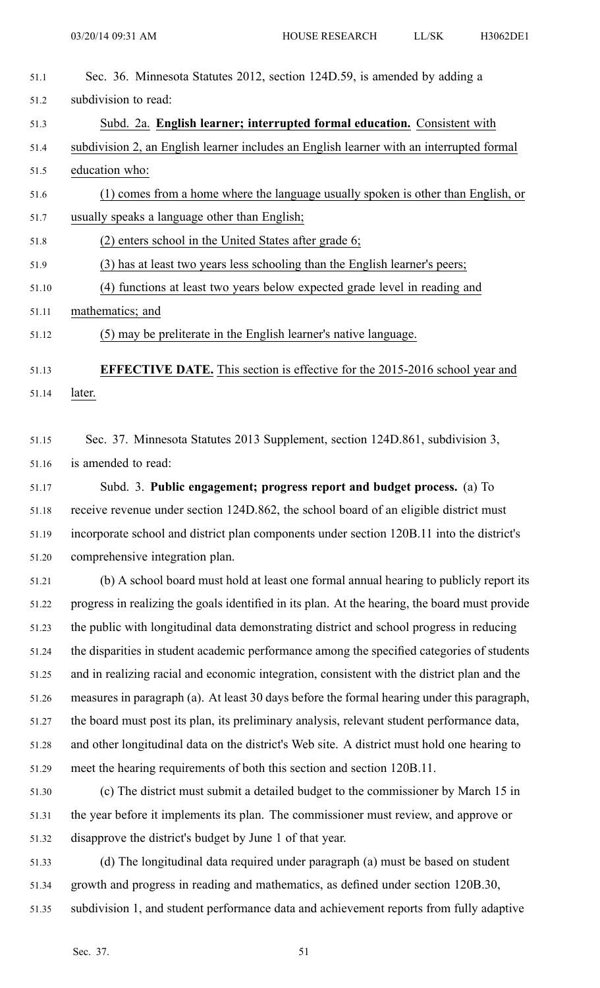| 51.1  | Sec. 36. Minnesota Statutes 2012, section 124D.59, is amended by adding a                |
|-------|------------------------------------------------------------------------------------------|
| 51.2  | subdivision to read:                                                                     |
| 51.3  | Subd. 2a. English learner; interrupted formal education. Consistent with                 |
| 51.4  | subdivision 2, an English learner includes an English learner with an interrupted formal |
| 51.5  | education who:                                                                           |
| 51.6  | (1) comes from a home where the language usually spoken is other than English, or        |
| 51.7  | usually speaks a language other than English;                                            |
| 51.8  | (2) enters school in the United States after grade 6;                                    |
| 51.9  | (3) has at least two years less schooling than the English learner's peers;              |
| 51.10 | (4) functions at least two years below expected grade level in reading and               |
| 51.11 | mathematics; and                                                                         |
| 51.12 | (5) may be preliterate in the English learner's native language.                         |
|       |                                                                                          |
| 51.13 | <b>EFFECTIVE DATE.</b> This section is effective for the 2015-2016 school year and       |

51.14 later.

51.15 Sec. 37. Minnesota Statutes 2013 Supplement, section 124D.861, subdivision 3, 51.16 is amended to read:

51.17 Subd. 3. **Public engagement; progress repor<sup>t</sup> and budget process.** (a) To 51.18 receive revenue under section 124D.862, the school board of an eligible district must 51.19 incorporate school and district plan components under section 120B.11 into the district's 51.20 comprehensive integration plan.

51.21 (b) A school board must hold at least one formal annual hearing to publicly repor<sup>t</sup> its 51.22 progress in realizing the goals identified in its plan. At the hearing, the board must provide 51.23 the public with longitudinal data demonstrating district and school progress in reducing 51.24 the disparities in student academic performance among the specified categories of students 51.25 and in realizing racial and economic integration, consistent with the district plan and the 51.26 measures in paragraph (a). At least 30 days before the formal hearing under this paragraph, 51.27 the board must pos<sup>t</sup> its plan, its preliminary analysis, relevant student performance data, 51.28 and other longitudinal data on the district's Web site. A district must hold one hearing to 51.29 meet the hearing requirements of both this section and section 120B.11.

51.30 (c) The district must submit <sup>a</sup> detailed budget to the commissioner by March 15 in 51.31 the year before it implements its plan. The commissioner must review, and approve or 51.32 disapprove the district's budget by June 1 of that year.

51.33 (d) The longitudinal data required under paragraph (a) must be based on student 51.34 growth and progress in reading and mathematics, as defined under section 120B.30, 51.35 subdivision 1, and student performance data and achievement reports from fully adaptive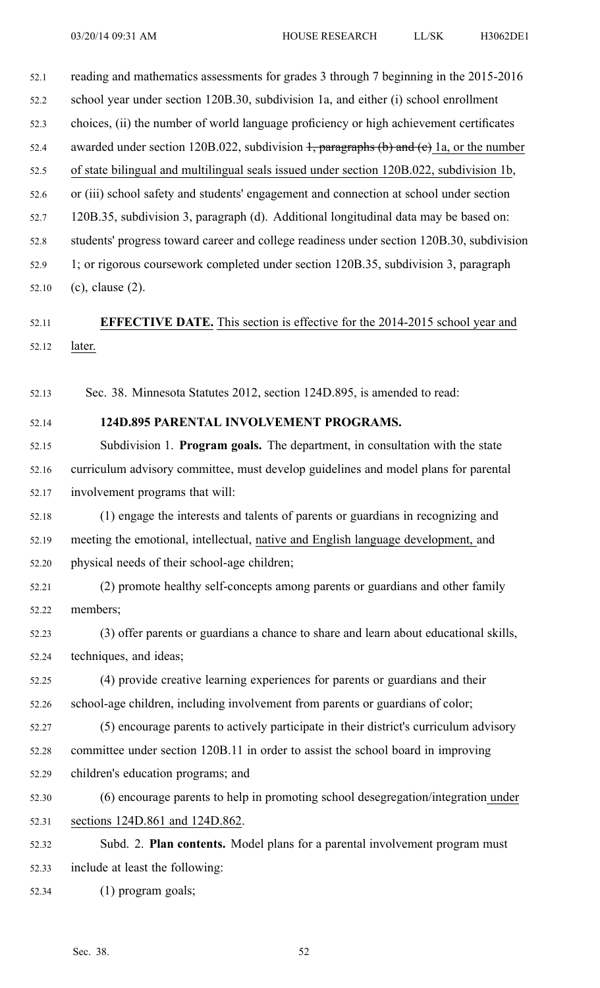52.1 reading and mathematics assessments for grades 3 through 7 beginning in the 2015-2016 52.2 school year under section 120B.30, subdivision 1a, and either (i) school enrollment 52.3 choices, (ii) the number of world language proficiency or high achievement certificates 52.4 awarded under section 120B.022, subdivision  $\frac{1}{2}$ , paragraphs (b) and (e) 1a, or the number 52.5 of state bilingual and multilingual seals issued under section 120B.022, subdivision 1b, 52.6 or (iii) school safety and students' engagemen<sup>t</sup> and connection at school under section 52.7 120B.35, subdivision 3, paragraph (d). Additional longitudinal data may be based on: 52.8 students' progress toward career and college readiness under section 120B.30, subdivision 52.9 1; or rigorous coursework completed under section 120B.35, subdivision 3, paragraph 52.10 (c), clause (2).

52.11 **EFFECTIVE DATE.** This section is effective for the 2014-2015 school year and 52.12 later.

52.13 Sec. 38. Minnesota Statutes 2012, section 124D.895, is amended to read:

#### 52.14 **124D.895 PARENTAL INVOLVEMENT PROGRAMS.**

52.15 Subdivision 1. **Program goals.** The department, in consultation with the state 52.16 curriculum advisory committee, must develop guidelines and model plans for parental 52.17 involvement programs that will:

52.18 (1) engage the interests and talents of parents or guardians in recognizing and 52.19 meeting the emotional, intellectual, native and English language development, and 52.20 physical needs of their school-age children;

52.21 (2) promote healthy self-concepts among parents or guardians and other family 52.22 members;

52.23 (3) offer parents or guardians <sup>a</sup> chance to share and learn about educational skills, 52.24 techniques, and ideas;

52.25 (4) provide creative learning experiences for parents or guardians and their 52.26 school-age children, including involvement from parents or guardians of color;

52.27 (5) encourage parents to actively participate in their district's curriculum advisory 52.28 committee under section 120B.11 in order to assist the school board in improving 52.29 children's education programs; and

52.30 (6) encourage parents to help in promoting school desegregation/integration under 52.31 sections 124D.861 and 124D.862.

52.32 Subd. 2. **Plan contents.** Model plans for <sup>a</sup> parental involvement program must 52.33 include at least the following:

52.34 (1) program goals;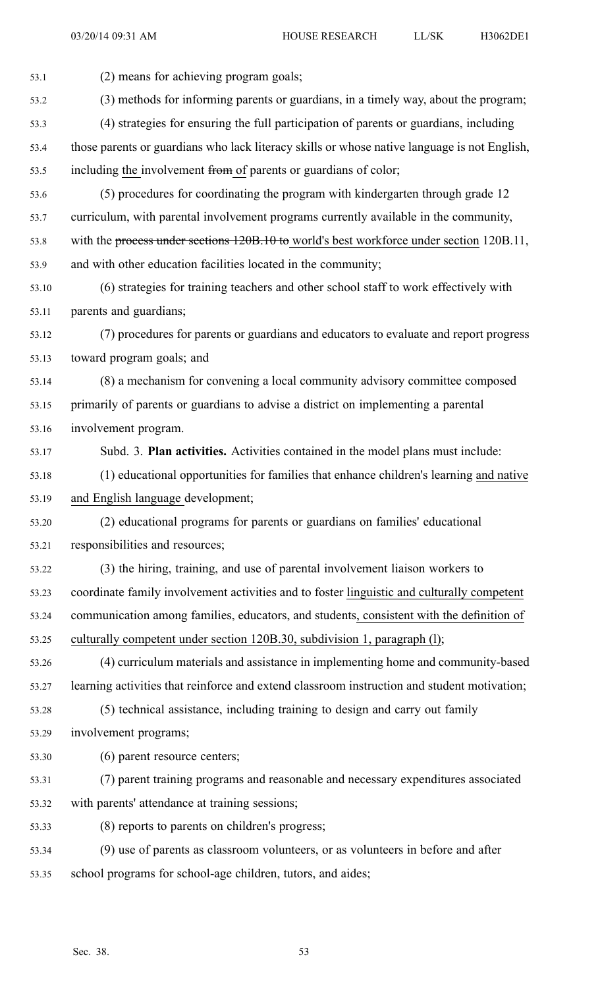53.1 (2) means for achieving program goals; 53.2 (3) methods for informing parents or guardians, in <sup>a</sup> timely way, about the program; 53.3 (4) strategies for ensuring the full participation of parents or guardians, including 53.4 those parents or guardians who lack literacy skills or whose native language is not English, 53.5 including the involvement from of parents or guardians of color; 53.6 (5) procedures for coordinating the program with kindergarten through grade 12 53.7 curriculum, with parental involvement programs currently available in the community, 53.8 with the process under sections 120B.10 to world's best workforce under section 120B.11, 53.9 and with other education facilities located in the community; 53.10 (6) strategies for training teachers and other school staff to work effectively with 53.11 parents and guardians; 53.12 (7) procedures for parents or guardians and educators to evaluate and repor<sup>t</sup> progress 53.13 toward program goals; and 53.14 (8) <sup>a</sup> mechanism for convening <sup>a</sup> local community advisory committee composed 53.15 primarily of parents or guardians to advise <sup>a</sup> district on implementing <sup>a</sup> parental 53.16 involvement program. 53.17 Subd. 3. **Plan activities.** Activities contained in the model plans must include: 53.18 (1) educational opportunities for families that enhance children's learning and native 53.19 and English language development; 53.20 (2) educational programs for parents or guardians on families' educational 53.21 responsibilities and resources; 53.22 (3) the hiring, training, and use of parental involvement liaison workers to 53.23 coordinate family involvement activities and to foster linguistic and culturally competent 53.24 communication among families, educators, and students, consistent with the definition of 53.25 culturally competent under section 120B.30, subdivision 1, paragraph (l); 53.26 (4) curriculum materials and assistance in implementing home and community-based 53.27 learning activities that reinforce and extend classroom instruction and student motivation; 53.28 (5) technical assistance, including training to design and carry out family 53.29 involvement programs; 53.30 (6) paren<sup>t</sup> resource centers; 53.31 (7) paren<sup>t</sup> training programs and reasonable and necessary expenditures associated 53.32 with parents' attendance at training sessions; 53.33 (8) reports to parents on children's progress; 53.34 (9) use of parents as classroom volunteers, or as volunteers in before and after 53.35 school programs for school-age children, tutors, and aides;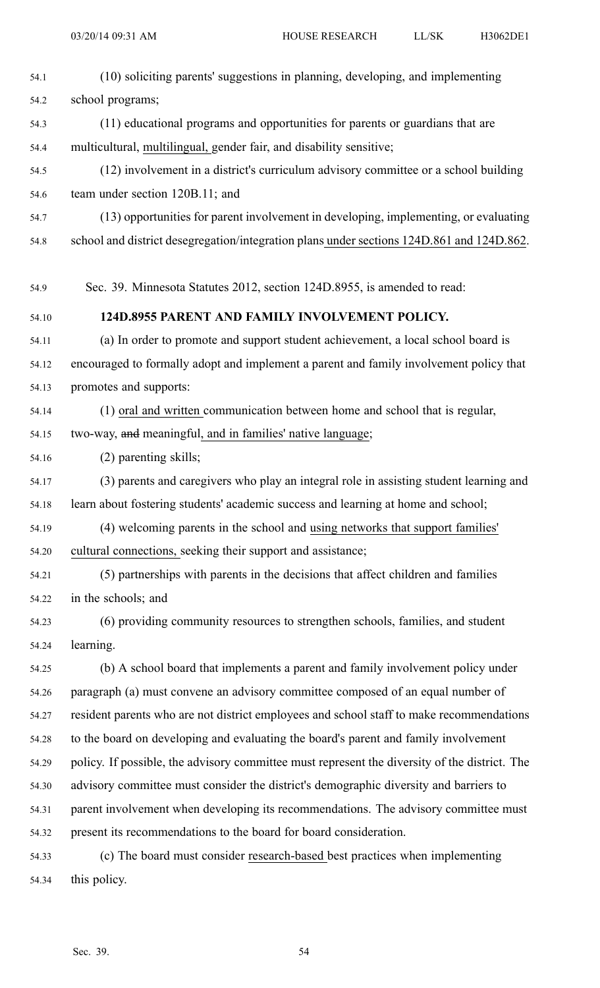| 54.1  | (10) soliciting parents' suggestions in planning, developing, and implementing                |
|-------|-----------------------------------------------------------------------------------------------|
| 54.2  | school programs;                                                                              |
| 54.3  | (11) educational programs and opportunities for parents or guardians that are                 |
| 54.4  | multicultural, multilingual, gender fair, and disability sensitive;                           |
| 54.5  | (12) involvement in a district's curriculum advisory committee or a school building           |
| 54.6  | team under section 120B.11; and                                                               |
| 54.7  | (13) opportunities for parent involvement in developing, implementing, or evaluating          |
| 54.8  | school and district desegregation/integration plans under sections 124D.861 and 124D.862.     |
| 54.9  | Sec. 39. Minnesota Statutes 2012, section 124D.8955, is amended to read:                      |
| 54.10 | 124D.8955 PARENT AND FAMILY INVOLVEMENT POLICY.                                               |
| 54.11 | (a) In order to promote and support student achievement, a local school board is              |
| 54.12 | encouraged to formally adopt and implement a parent and family involvement policy that        |
| 54.13 | promotes and supports:                                                                        |
| 54.14 | (1) oral and written communication between home and school that is regular,                   |
| 54.15 | two-way, and meaningful, and in families' native language;                                    |
| 54.16 | (2) parenting skills;                                                                         |
| 54.17 | (3) parents and caregivers who play an integral role in assisting student learning and        |
| 54.18 | learn about fostering students' academic success and learning at home and school;             |
| 54.19 | (4) welcoming parents in the school and using networks that support families'                 |
| 54.20 | cultural connections, seeking their support and assistance;                                   |
| 54.21 | (5) partnerships with parents in the decisions that affect children and families              |
| 54.22 | in the schools; and                                                                           |
| 54.23 | (6) providing community resources to strengthen schools, families, and student                |
| 54.24 | learning.                                                                                     |
| 54.25 | (b) A school board that implements a parent and family involvement policy under               |
| 54.26 | paragraph (a) must convene an advisory committee composed of an equal number of               |
| 54.27 | resident parents who are not district employees and school staff to make recommendations      |
| 54.28 | to the board on developing and evaluating the board's parent and family involvement           |
| 54.29 | policy. If possible, the advisory committee must represent the diversity of the district. The |
| 54.30 | advisory committee must consider the district's demographic diversity and barriers to         |
| 54.31 | parent involvement when developing its recommendations. The advisory committee must           |
| 54.32 | present its recommendations to the board for board consideration.                             |
| 54.33 | (c) The board must consider research-based best practices when implementing                   |
| 54.34 | this policy.                                                                                  |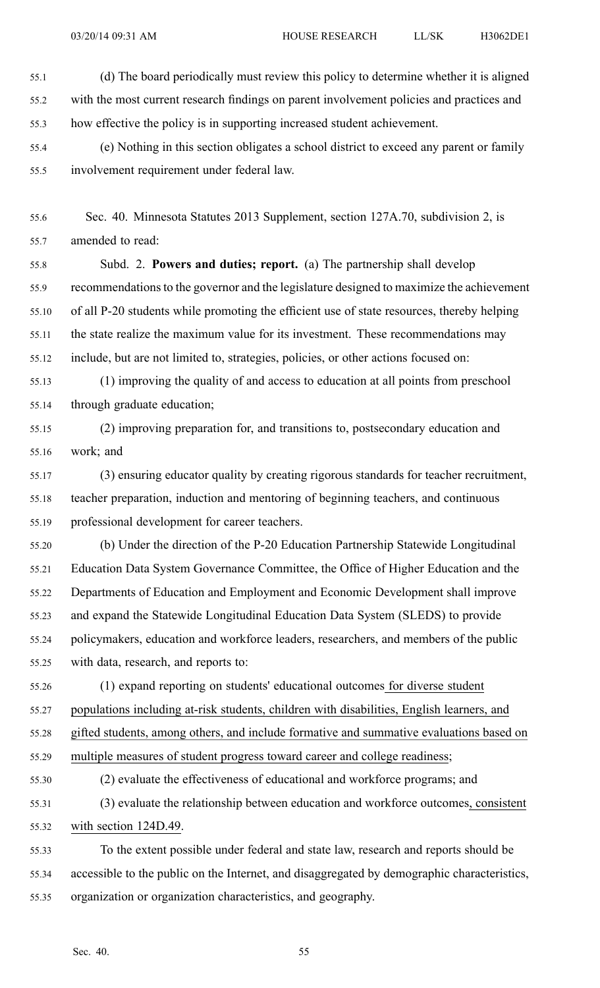03/20/14 09:31 AM HOUSE RESEARCH LL/SK H3062DE1

55.2 with the most current research findings on paren<sup>t</sup> involvement policies and practices and 55.3 how effective the policy is in supporting increased student achievement.

55.4 (e) Nothing in this section obligates <sup>a</sup> school district to exceed any paren<sup>t</sup> or family 55.5 involvement requirement under federal law.

55.6 Sec. 40. Minnesota Statutes 2013 Supplement, section 127A.70, subdivision 2, is 55.7 amended to read:

55.8 Subd. 2. **Powers and duties; report.** (a) The partnership shall develop 55.9 recommendationsto the governor and the legislature designed to maximize the achievement 55.10 of all P-20 students while promoting the efficient use of state resources, thereby helping 55.11 the state realize the maximum value for its investment. These recommendations may 55.12 include, but are not limited to, strategies, policies, or other actions focused on:

55.13 (1) improving the quality of and access to education at all points from preschool 55.14 through graduate education;

55.15 (2) improving preparation for, and transitions to, postsecondary education and 55.16 work; and

55.17 (3) ensuring educator quality by creating rigorous standards for teacher recruitment, 55.18 teacher preparation, induction and mentoring of beginning teachers, and continuous 55.19 professional development for career teachers.

55.20 (b) Under the direction of the P-20 Education Partnership Statewide Longitudinal 55.21 Education Data System Governance Committee, the Office of Higher Education and the 55.22 Departments of Education and Employment and Economic Development shall improve 55.23 and expand the Statewide Longitudinal Education Data System (SLEDS) to provide 55.24 policymakers, education and workforce leaders, researchers, and members of the public 55.25 with data, research, and reports to:

55.26 (1) expand reporting on students' educational outcomes for diverse student 55.27 populations including at-risk students, children with disabilities, English learners, and 55.28 gifted students, among others, and include formative and summative evaluations based on 55.29 multiple measures of student progress toward career and college readiness;

55.30 (2) evaluate the effectiveness of educational and workforce programs; and

55.31 (3) evaluate the relationship between education and workforce outcomes, consistent 55.32 with section 124D.49.

55.33 To the extent possible under federal and state law, research and reports should be 55.34 accessible to the public on the Internet, and disaggregated by demographic characteristics, 55.35 organization or organization characteristics, and geography.